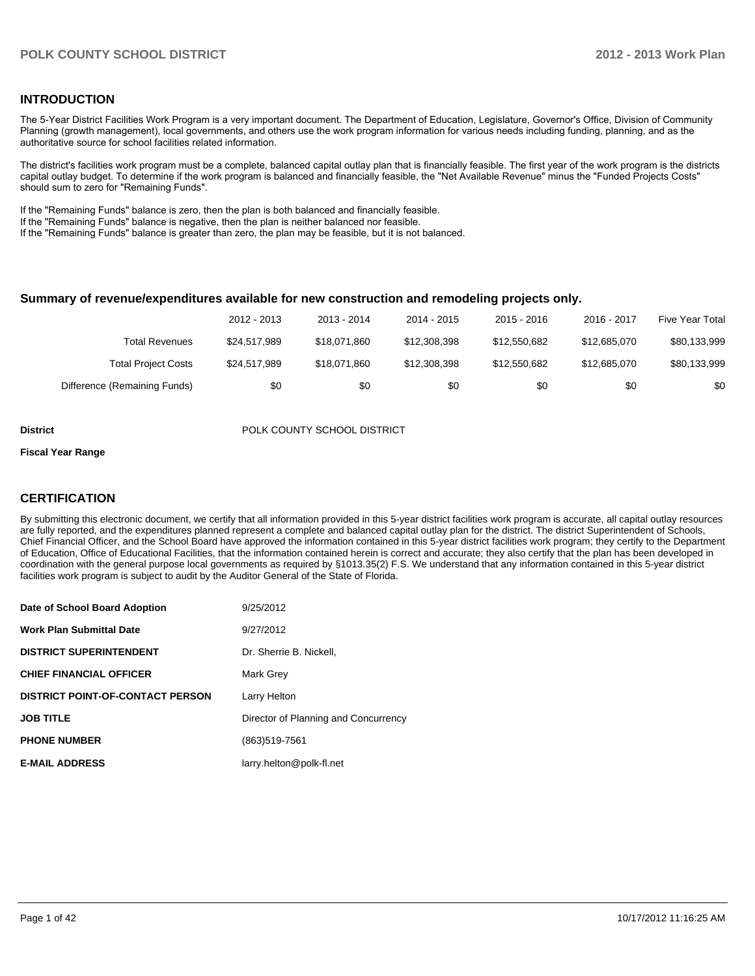#### **INTRODUCTION**

The 5-Year District Facilities Work Program is a very important document. The Department of Education, Legislature, Governor's Office, Division of Community Planning (growth management), local governments, and others use the work program information for various needs including funding, planning, and as the authoritative source for school facilities related information.

The district's facilities work program must be a complete, balanced capital outlay plan that is financially feasible. The first year of the work program is the districts capital outlay budget. To determine if the work program is balanced and financially feasible, the "Net Available Revenue" minus the "Funded Projects Costs" should sum to zero for "Remaining Funds".

If the "Remaining Funds" balance is zero, then the plan is both balanced and financially feasible.

If the "Remaining Funds" balance is negative, then the plan is neither balanced nor feasible.

If the "Remaining Funds" balance is greater than zero, the plan may be feasible, but it is not balanced.

#### **Summary of revenue/expenditures available for new construction and remodeling projects only.**

|                              | 2012 - 2013  | 2013 - 2014  | 2014 - 2015  | $2015 - 2016$ | 2016 - 2017  | <b>Five Year Total</b> |
|------------------------------|--------------|--------------|--------------|---------------|--------------|------------------------|
| <b>Total Revenues</b>        | \$24.517.989 | \$18,071,860 | \$12,308,398 | \$12,550,682  | \$12,685,070 | \$80,133,999           |
| <b>Total Project Costs</b>   | \$24.517.989 | \$18,071,860 | \$12,308,398 | \$12,550,682  | \$12,685,070 | \$80,133,999           |
| Difference (Remaining Funds) | \$0          | \$0          | \$0          | \$0           | \$0          | \$0                    |

**District District POLK COUNTY SCHOOL DISTRICT** 

#### **Fiscal Year Range**

#### **CERTIFICATION**

By submitting this electronic document, we certify that all information provided in this 5-year district facilities work program is accurate, all capital outlay resources are fully reported, and the expenditures planned represent a complete and balanced capital outlay plan for the district. The district Superintendent of Schools, Chief Financial Officer, and the School Board have approved the information contained in this 5-year district facilities work program; they certify to the Department of Education, Office of Educational Facilities, that the information contained herein is correct and accurate; they also certify that the plan has been developed in coordination with the general purpose local governments as required by §1013.35(2) F.S. We understand that any information contained in this 5-year district facilities work program is subject to audit by the Auditor General of the State of Florida.

| Date of School Board Adoption           | 9/25/2012                            |
|-----------------------------------------|--------------------------------------|
| <b>Work Plan Submittal Date</b>         | 9/27/2012                            |
| <b>DISTRICT SUPERINTENDENT</b>          | Dr. Sherrie B. Nickell.              |
| <b>CHIEF FINANCIAL OFFICER</b>          | Mark Grey                            |
| <b>DISTRICT POINT-OF-CONTACT PERSON</b> | Larry Helton                         |
| <b>JOB TITLE</b>                        | Director of Planning and Concurrency |
| <b>PHONE NUMBER</b>                     | (863) 519-7561                       |
| <b>E-MAIL ADDRESS</b>                   | larry.helton@polk-fl.net             |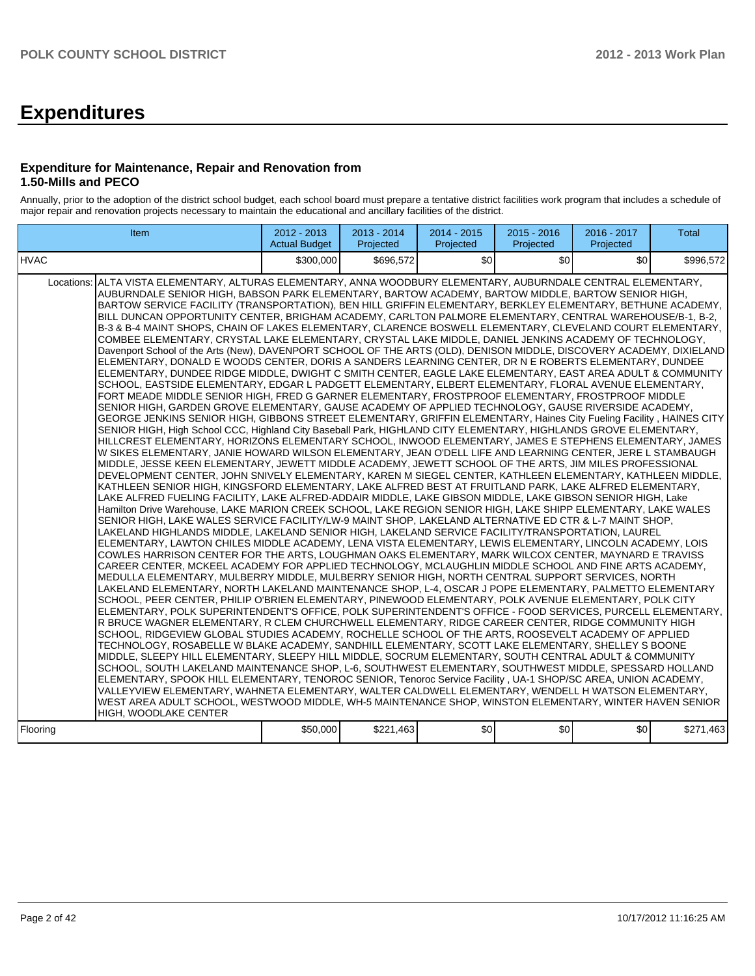# **Expenditures**

#### **Expenditure for Maintenance, Repair and Renovation from 1.50-Mills and PECO**

Annually, prior to the adoption of the district school budget, each school board must prepare a tentative district facilities work program that includes a schedule of major repair and renovation projects necessary to maintain the educational and ancillary facilities of the district.

| Item                                                                                                                                                                                                                                                                                                                                                                                                                                                                                                                                                                                                                                                                                                                                                                                                                                                                                                                                                                                                                                                                                                                                                                                                                                                                                                                                                                                                                                                                                                                                                                                                                                                                                                                                                                                                                                                                                                                                                                                                                                                                                                                                                                                                                                                                                                                                                                                                                                                                                                                                                                                                                                                                                                                                                                                                                                                                                                                                                                                                                                                                                                                                                                                                                                                                                                                                                                                                                                                                                                                                                                                                                                                                                                                                                                                                                                                                                                                                                                                                                                                                                                                                                                                                                                                                                        | $2012 - 2013$<br><b>Actual Budget</b> | 2013 - 2014<br>Projected | 2014 - 2015<br>Projected | 2015 - 2016<br>Projected | 2016 - 2017<br>Projected | <b>Total</b> |
|---------------------------------------------------------------------------------------------------------------------------------------------------------------------------------------------------------------------------------------------------------------------------------------------------------------------------------------------------------------------------------------------------------------------------------------------------------------------------------------------------------------------------------------------------------------------------------------------------------------------------------------------------------------------------------------------------------------------------------------------------------------------------------------------------------------------------------------------------------------------------------------------------------------------------------------------------------------------------------------------------------------------------------------------------------------------------------------------------------------------------------------------------------------------------------------------------------------------------------------------------------------------------------------------------------------------------------------------------------------------------------------------------------------------------------------------------------------------------------------------------------------------------------------------------------------------------------------------------------------------------------------------------------------------------------------------------------------------------------------------------------------------------------------------------------------------------------------------------------------------------------------------------------------------------------------------------------------------------------------------------------------------------------------------------------------------------------------------------------------------------------------------------------------------------------------------------------------------------------------------------------------------------------------------------------------------------------------------------------------------------------------------------------------------------------------------------------------------------------------------------------------------------------------------------------------------------------------------------------------------------------------------------------------------------------------------------------------------------------------------------------------------------------------------------------------------------------------------------------------------------------------------------------------------------------------------------------------------------------------------------------------------------------------------------------------------------------------------------------------------------------------------------------------------------------------------------------------------------------------------------------------------------------------------------------------------------------------------------------------------------------------------------------------------------------------------------------------------------------------------------------------------------------------------------------------------------------------------------------------------------------------------------------------------------------------------------------------------------------------------------------------------------------------------------------------------------------------------------------------------------------------------------------------------------------------------------------------------------------------------------------------------------------------------------------------------------------------------------------------------------------------------------------------------------------------------------------------------------------------------------------------------------------------------|---------------------------------------|--------------------------|--------------------------|--------------------------|--------------------------|--------------|
| <b>IHVAC</b>                                                                                                                                                                                                                                                                                                                                                                                                                                                                                                                                                                                                                                                                                                                                                                                                                                                                                                                                                                                                                                                                                                                                                                                                                                                                                                                                                                                                                                                                                                                                                                                                                                                                                                                                                                                                                                                                                                                                                                                                                                                                                                                                                                                                                                                                                                                                                                                                                                                                                                                                                                                                                                                                                                                                                                                                                                                                                                                                                                                                                                                                                                                                                                                                                                                                                                                                                                                                                                                                                                                                                                                                                                                                                                                                                                                                                                                                                                                                                                                                                                                                                                                                                                                                                                                                                | \$300,000                             | \$696.572                | \$0 <sub>1</sub>         | \$0                      | \$0                      | \$996.572    |
| ALTA VISTA ELEMENTARY, ALTURAS ELEMENTARY, ANNA WOODBURY ELEMENTARY, AUBURNDALE CENTRAL ELEMENTARY,<br>Locations:<br>AUBURNDALE SENIOR HIGH, BABSON PARK ELEMENTARY, BARTOW ACADEMY, BARTOW MIDDLE, BARTOW SENIOR HIGH,<br>BARTOW SERVICE FACILITY (TRANSPORTATION), BEN HILL GRIFFIN ELEMENTARY, BERKLEY ELEMENTARY, BETHUNE ACADEMY,<br>BILL DUNCAN OPPORTUNITY CENTER, BRIGHAM ACADEMY, CARLTON PALMORE ELEMENTARY, CENTRAL WAREHOUSE/B-1, B-2,<br>B-3 & B-4 MAINT SHOPS, CHAIN OF LAKES ELEMENTARY, CLARENCE BOSWELL ELEMENTARY, CLEVELAND COURT ELEMENTARY,<br>COMBEE ELEMENTARY, CRYSTAL LAKE ELEMENTARY, CRYSTAL LAKE MIDDLE, DANIEL JENKINS ACADEMY OF TECHNOLOGY,<br>Davenport School of the Arts (New), DAVENPORT SCHOOL OF THE ARTS (OLD), DENISON MIDDLE, DISCOVERY ACADEMY, DIXIELAND<br>ELEMENTARY, DONALD E WOODS CENTER, DORIS A SANDERS LEARNING CENTER, DR N E ROBERTS ELEMENTARY, DUNDEE<br>ELEMENTARY, DUNDEE RIDGE MIDDLE, DWIGHT C SMITH CENTER, EAGLE LAKE ELEMENTARY, EAST AREA ADULT & COMMUNITY<br>SCHOOL, EASTSIDE ELEMENTARY, EDGAR L PADGETT ELEMENTARY, ELBERT ELEMENTARY, FLORAL AVENUE ELEMENTARY,<br>FORT MEADE MIDDLE SENIOR HIGH, FRED G GARNER ELEMENTARY, FROSTPROOF ELEMENTARY, FROSTPROOF MIDDLE<br>SENIOR HIGH, GARDEN GROVE ELEMENTARY, GAUSE ACADEMY OF APPLIED TECHNOLOGY, GAUSE RIVERSIDE ACADEMY,<br>GEORGE JENKINS SENIOR HIGH, GIBBONS STREET ELEMENTARY, GRIFFIN ELEMENTARY, Haines City Fueling Facility, HAINES CITY<br>SENIOR HIGH, High School CCC, Highland City Baseball Park, HIGHLAND CITY ELEMENTARY, HIGHLANDS GROVE ELEMENTARY,<br>HILLCREST ELEMENTARY, HORIZONS ELEMENTARY SCHOOL, INWOOD ELEMENTARY, JAMES E STEPHENS ELEMENTARY, JAMES<br>W SIKES ELEMENTARY, JANIE HOWARD WILSON ELEMENTARY, JEAN O'DELL LIFE AND LEARNING CENTER, JERE L STAMBAUGH<br>MIDDLE, JESSE KEEN ELEMENTARY, JEWETT MIDDLE ACADEMY, JEWETT SCHOOL OF THE ARTS, JIM MILES PROFESSIONAL<br>DEVELOPMENT CENTER, JOHN SNIVELY ELEMENTARY, KAREN M SIEGEL CENTER, KATHLEEN ELEMENTARY, KATHLEEN MIDDLE,<br>KATHLEEN SENIOR HIGH, KINGSFORD ELEMENTARY, LAKE ALFRED BEST AT FRUITLAND PARK, LAKE ALFRED ELEMENTARY,<br>LAKE ALFRED FUELING FACILITY, LAKE ALFRED-ADDAIR MIDDLE, LAKE GIBSON MIDDLE, LAKE GIBSON SENIOR HIGH, Lake<br>Hamilton Drive Warehouse, LAKE MARION CREEK SCHOOL, LAKE REGION SENIOR HIGH, LAKE SHIPP ELEMENTARY, LAKE WALES<br>SENIOR HIGH, LAKE WALES SERVICE FACILITY/LW-9 MAINT SHOP, LAKELAND ALTERNATIVE ED CTR & L-7 MAINT SHOP,<br>LAKELAND HIGHLANDS MIDDLE. LAKELAND SENIOR HIGH. LAKELAND SERVICE FACILITY/TRANSPORTATION. LAUREL<br>ELEMENTARY, LAWTON CHILES MIDDLE ACADEMY, LENA VISTA ELEMENTARY, LEWIS ELEMENTARY, LINCOLN ACADEMY, LOIS<br>COWLES HARRISON CENTER FOR THE ARTS, LOUGHMAN OAKS ELEMENTARY, MARK WILCOX CENTER, MAYNARD E TRAVISS<br>CAREER CENTER, MCKEEL ACADEMY FOR APPLIED TECHNOLOGY, MCLAUGHLIN MIDDLE SCHOOL AND FINE ARTS ACADEMY,<br>MEDULLA ELEMENTARY, MULBERRY MIDDLE, MULBERRY SENIOR HIGH, NORTH CENTRAL SUPPORT SERVICES, NORTH<br>LAKELAND ELEMENTARY, NORTH LAKELAND MAINTENANCE SHOP, L-4, OSCAR J POPE ELEMENTARY, PALMETTO ELEMENTARY<br>SCHOOL, PEER CENTER, PHILIP O'BRIEN ELEMENTARY, PINEWOOD ELEMENTARY, POLK AVENUE ELEMENTARY, POLK CITY<br>ELEMENTARY, POLK SUPERINTENDENT'S OFFICE, POLK SUPERINTENDENT'S OFFICE - FOOD SERVICES, PURCELL ELEMENTARY,<br>R BRUCE WAGNER ELEMENTARY. R CLEM CHURCHWELL ELEMENTARY. RIDGE CAREER CENTER. RIDGE COMMUNITY HIGH<br>SCHOOL, RIDGEVIEW GLOBAL STUDIES ACADEMY, ROCHELLE SCHOOL OF THE ARTS, ROOSEVELT ACADEMY OF APPLIED<br>TECHNOLOGY, ROSABELLE W BLAKE ACADEMY, SANDHILL ELEMENTARY, SCOTT LAKE ELEMENTARY, SHELLEY S BOONE<br>MIDDLE, SLEEPY HILL ELEMENTARY, SLEEPY HILL MIDDLE, SOCRUM ELEMENTARY, SOUTH CENTRAL ADULT & COMMUNITY<br>SCHOOL, SOUTH LAKELAND MAINTENANCE SHOP, L-6, SOUTHWEST ELEMENTARY, SOUTHWEST MIDDLE, SPESSARD HOLLAND<br>ELEMENTARY, SPOOK HILL ELEMENTARY, TENOROC SENIOR, Tenoroc Service Facility, UA-1 SHOP/SC AREA, UNION ACADEMY,<br>VALLEYVIEW ELEMENTARY, WAHNETA ELEMENTARY, WALTER CALDWELL ELEMENTARY, WENDELL H WATSON ELEMENTARY,<br>WEST AREA ADULT SCHOOL, WESTWOOD MIDDLE, WH-5 MAINTENANCE SHOP, WINSTON ELEMENTARY, WINTER HAVEN SENIOR<br>HIGH, WOODLAKE CENTER<br>Flooring | \$50,000                              | \$221,463                | \$0                      | \$0                      | \$0                      | \$271,463    |
|                                                                                                                                                                                                                                                                                                                                                                                                                                                                                                                                                                                                                                                                                                                                                                                                                                                                                                                                                                                                                                                                                                                                                                                                                                                                                                                                                                                                                                                                                                                                                                                                                                                                                                                                                                                                                                                                                                                                                                                                                                                                                                                                                                                                                                                                                                                                                                                                                                                                                                                                                                                                                                                                                                                                                                                                                                                                                                                                                                                                                                                                                                                                                                                                                                                                                                                                                                                                                                                                                                                                                                                                                                                                                                                                                                                                                                                                                                                                                                                                                                                                                                                                                                                                                                                                                             |                                       |                          |                          |                          |                          |              |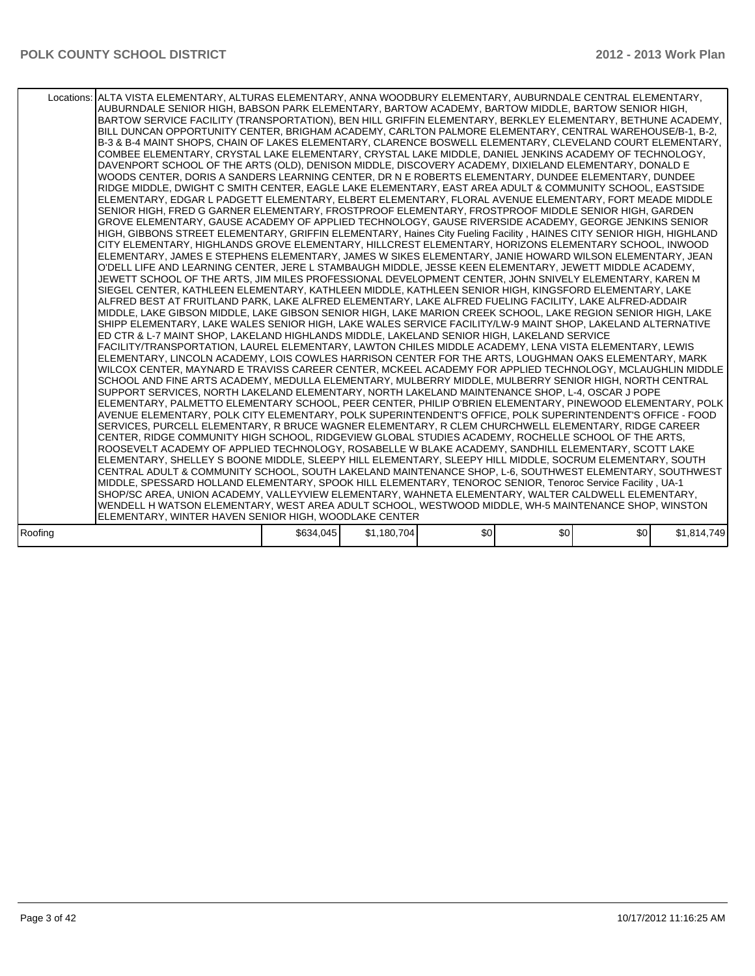|         | Locations: ALTA VISTA ELEMENTARY, ALTURAS ELEMENTARY, ANNA WOODBURY ELEMENTARY, AUBURNDALE CENTRAL ELEMENTARY,<br>AUBURNDALE SENIOR HIGH, BABSON PARK ELEMENTARY, BARTOW ACADEMY, BARTOW MIDDLE, BARTOW SENIOR HIGH,<br>BARTOW SERVICE FACILITY (TRANSPORTATION), BEN HILL GRIFFIN ELEMENTARY, BERKLEY ELEMENTARY, BETHUNE ACADEMY,<br>BILL DUNCAN OPPORTUNITY CENTER, BRIGHAM ACADEMY, CARLTON PALMORE ELEMENTARY, CENTRAL WAREHOUSE/B-1, B-2,<br>B-3 & B-4 MAINT SHOPS. CHAIN OF LAKES ELEMENTARY. CLARENCE BOSWELL ELEMENTARY. CLEVELAND COURT ELEMENTARY.<br>COMBEE ELEMENTARY, CRYSTAL LAKE ELEMENTARY, CRYSTAL LAKE MIDDLE, DANIEL JENKINS ACADEMY OF TECHNOLOGY,<br>DAVENPORT SCHOOL OF THE ARTS (OLD), DENISON MIDDLE, DISCOVERY ACADEMY, DIXIELAND ELEMENTARY, DONALD E<br>WOODS CENTER, DORIS A SANDERS LEARNING CENTER, DR N E ROBERTS ELEMENTARY, DUNDEE ELEMENTARY, DUNDEE<br>RIDGE MIDDLE, DWIGHT C SMITH CENTER, EAGLE LAKE ELEMENTARY, EAST AREA ADULT & COMMUNITY SCHOOL, EASTSIDE<br>ELEMENTARY, EDGAR L PADGETT ELEMENTARY, ELBERT ELEMENTARY, FLORAL AVENUE ELEMENTARY, FORT MEADE MIDDLE<br>SENIOR HIGH, FRED G GARNER ELEMENTARY, FROSTPROOF ELEMENTARY, FROSTPROOF MIDDLE SENIOR HIGH, GARDEN<br>GROVE ELEMENTARY, GAUSE ACADEMY OF APPLIED TECHNOLOGY, GAUSE RIVERSIDE ACADEMY, GEORGE JENKINS SENIOR<br>HIGH, GIBBONS STREET ELEMENTARY, GRIFFIN ELEMENTARY, Haines City Fueling Facility, HAINES CITY SENIOR HIGH, HIGHLAND<br>CITY ELEMENTARY, HIGHLANDS GROVE ELEMENTARY, HILLCREST ELEMENTARY, HORIZONS ELEMENTARY SCHOOL, INWOOD<br>ELEMENTARY, JAMES E STEPHENS ELEMENTARY, JAMES W SIKES ELEMENTARY, JANIE HOWARD WILSON ELEMENTARY, JEAN<br>O'DELL LIFE AND LEARNING CENTER. JERE L STAMBAUGH MIDDLE. JESSE KEEN ELEMENTARY. JEWETT MIDDLE ACADEMY.<br>JEWETT SCHOOL OF THE ARTS, JIM MILES PROFESSIONAL DEVELOPMENT CENTER, JOHN SNIVELY ELEMENTARY, KAREN M<br>SIEGEL CENTER. KATHLEEN ELEMENTARY, KATHLEEN MIDDLE, KATHLEEN SENIOR HIGH, KINGSFORD ELEMENTARY, LAKE<br>ALFRED BEST AT FRUITLAND PARK, LAKE ALFRED ELEMENTARY, LAKE ALFRED FUELING FACILITY, LAKE ALFRED-ADDAIR<br>MIDDLE, LAKE GIBSON MIDDLE, LAKE GIBSON SENIOR HIGH, LAKE MARION CREEK SCHOOL, LAKE REGION SENIOR HIGH, LAKE<br>SHIPP ELEMENTARY, LAKE WALES SENIOR HIGH, LAKE WALES SERVICE FACILITY/LW-9 MAINT SHOP, LAKELAND ALTERNATIVE<br>ED CTR & L-7 MAINT SHOP, LAKELAND HIGHLANDS MIDDLE, LAKELAND SENIOR HIGH, LAKELAND SERVICE<br>FACILITY/TRANSPORTATION, LAUREL ELEMENTARY, LAWTON CHILES MIDDLE ACADEMY, LENA VISTA ELEMENTARY, LEWIS<br>ELEMENTARY, LINCOLN ACADEMY, LOIS COWLES HARRISON CENTER FOR THE ARTS, LOUGHMAN OAKS ELEMENTARY, MARK<br>WILCOX CENTER. MAYNARD E TRAVISS CAREER CENTER. MCKEEL ACADEMY FOR APPLIED TECHNOLOGY. MCLAUGHLIN MIDDLE<br>SCHOOL AND FINE ARTS ACADEMY, MEDULLA ELEMENTARY, MULBERRY MIDDLE, MULBERRY SENIOR HIGH, NORTH CENTRAL<br>SUPPORT SERVICES. NORTH LAKELAND ELEMENTARY. NORTH LAKELAND MAINTENANCE SHOP. L-4. OSCAR J POPE<br>ELEMENTARY, PALMETTO ELEMENTARY SCHOOL, PEER CENTER, PHILIP O'BRIEN ELEMENTARY, PINEWOOD ELEMENTARY, POLK<br>AVENUE ELEMENTARY. POLK CITY ELEMENTARY. POLK SUPERINTENDENT'S OFFICE. POLK SUPERINTENDENT'S OFFICE - FOOD<br>SERVICES, PURCELL ELEMENTARY, R BRUCE WAGNER ELEMENTARY, R CLEM CHURCHWELL ELEMENTARY, RIDGE CAREER<br>CENTER, RIDGE COMMUNITY HIGH SCHOOL, RIDGEVIEW GLOBAL STUDIES ACADEMY, ROCHELLE SCHOOL OF THE ARTS,<br>ROOSEVELT ACADEMY OF APPLIED TECHNOLOGY, ROSABELLE W BLAKE ACADEMY, SANDHILL ELEMENTARY, SCOTT LAKE<br>ELEMENTARY, SHELLEY S BOONE MIDDLE, SLEEPY HILL ELEMENTARY, SLEEPY HILL MIDDLE, SOCRUM ELEMENTARY, SOUTH<br>CENTRAL ADULT & COMMUNITY SCHOOL, SOUTH LAKELAND MAINTENANCE SHOP, L-6, SOUTHWEST ELEMENTARY, SOUTHWEST<br>MIDDLE, SPESSARD HOLLAND ELEMENTARY, SPOOK HILL ELEMENTARY, TENOROC SENIOR, Tenoroc Service Facility, UA-1<br>SHOP/SC AREA, UNION ACADEMY, VALLEYVIEW ELEMENTARY, WAHNETA ELEMENTARY, WALTER CALDWELL ELEMENTARY, |           |             |     |      |     |             |
|---------|-----------------------------------------------------------------------------------------------------------------------------------------------------------------------------------------------------------------------------------------------------------------------------------------------------------------------------------------------------------------------------------------------------------------------------------------------------------------------------------------------------------------------------------------------------------------------------------------------------------------------------------------------------------------------------------------------------------------------------------------------------------------------------------------------------------------------------------------------------------------------------------------------------------------------------------------------------------------------------------------------------------------------------------------------------------------------------------------------------------------------------------------------------------------------------------------------------------------------------------------------------------------------------------------------------------------------------------------------------------------------------------------------------------------------------------------------------------------------------------------------------------------------------------------------------------------------------------------------------------------------------------------------------------------------------------------------------------------------------------------------------------------------------------------------------------------------------------------------------------------------------------------------------------------------------------------------------------------------------------------------------------------------------------------------------------------------------------------------------------------------------------------------------------------------------------------------------------------------------------------------------------------------------------------------------------------------------------------------------------------------------------------------------------------------------------------------------------------------------------------------------------------------------------------------------------------------------------------------------------------------------------------------------------------------------------------------------------------------------------------------------------------------------------------------------------------------------------------------------------------------------------------------------------------------------------------------------------------------------------------------------------------------------------------------------------------------------------------------------------------------------------------------------------------------------------------------------------------------------------------------------------------------------------------------------------------------------------------------------------------------------------------------------------------------------------------------------------------------------------------------------------------------------------------------------------------------------------------------------------------------------------------------------------------------------------------------------------------------------------------------------------------------------------------------------------------------------------------------------------------------------------------------------------------------------------------------------------------------------------------|-----------|-------------|-----|------|-----|-------------|
|         | WENDELL H WATSON ELEMENTARY, WEST AREA ADULT SCHOOL, WESTWOOD MIDDLE, WH-5 MAINTENANCE SHOP, WINSTON                                                                                                                                                                                                                                                                                                                                                                                                                                                                                                                                                                                                                                                                                                                                                                                                                                                                                                                                                                                                                                                                                                                                                                                                                                                                                                                                                                                                                                                                                                                                                                                                                                                                                                                                                                                                                                                                                                                                                                                                                                                                                                                                                                                                                                                                                                                                                                                                                                                                                                                                                                                                                                                                                                                                                                                                                                                                                                                                                                                                                                                                                                                                                                                                                                                                                                                                                                                                                                                                                                                                                                                                                                                                                                                                                                                                                                                                                    |           |             |     |      |     |             |
|         | ELEMENTARY, WINTER HAVEN SENIOR HIGH, WOODLAKE CENTER                                                                                                                                                                                                                                                                                                                                                                                                                                                                                                                                                                                                                                                                                                                                                                                                                                                                                                                                                                                                                                                                                                                                                                                                                                                                                                                                                                                                                                                                                                                                                                                                                                                                                                                                                                                                                                                                                                                                                                                                                                                                                                                                                                                                                                                                                                                                                                                                                                                                                                                                                                                                                                                                                                                                                                                                                                                                                                                                                                                                                                                                                                                                                                                                                                                                                                                                                                                                                                                                                                                                                                                                                                                                                                                                                                                                                                                                                                                                   |           |             |     |      |     |             |
|         |                                                                                                                                                                                                                                                                                                                                                                                                                                                                                                                                                                                                                                                                                                                                                                                                                                                                                                                                                                                                                                                                                                                                                                                                                                                                                                                                                                                                                                                                                                                                                                                                                                                                                                                                                                                                                                                                                                                                                                                                                                                                                                                                                                                                                                                                                                                                                                                                                                                                                                                                                                                                                                                                                                                                                                                                                                                                                                                                                                                                                                                                                                                                                                                                                                                                                                                                                                                                                                                                                                                                                                                                                                                                                                                                                                                                                                                                                                                                                                                         |           |             |     |      |     |             |
| Roofing |                                                                                                                                                                                                                                                                                                                                                                                                                                                                                                                                                                                                                                                                                                                                                                                                                                                                                                                                                                                                                                                                                                                                                                                                                                                                                                                                                                                                                                                                                                                                                                                                                                                                                                                                                                                                                                                                                                                                                                                                                                                                                                                                                                                                                                                                                                                                                                                                                                                                                                                                                                                                                                                                                                                                                                                                                                                                                                                                                                                                                                                                                                                                                                                                                                                                                                                                                                                                                                                                                                                                                                                                                                                                                                                                                                                                                                                                                                                                                                                         | \$634,045 | \$1,180,704 | \$0 | \$0] | \$0 | \$1.814.749 |
|         |                                                                                                                                                                                                                                                                                                                                                                                                                                                                                                                                                                                                                                                                                                                                                                                                                                                                                                                                                                                                                                                                                                                                                                                                                                                                                                                                                                                                                                                                                                                                                                                                                                                                                                                                                                                                                                                                                                                                                                                                                                                                                                                                                                                                                                                                                                                                                                                                                                                                                                                                                                                                                                                                                                                                                                                                                                                                                                                                                                                                                                                                                                                                                                                                                                                                                                                                                                                                                                                                                                                                                                                                                                                                                                                                                                                                                                                                                                                                                                                         |           |             |     |      |     |             |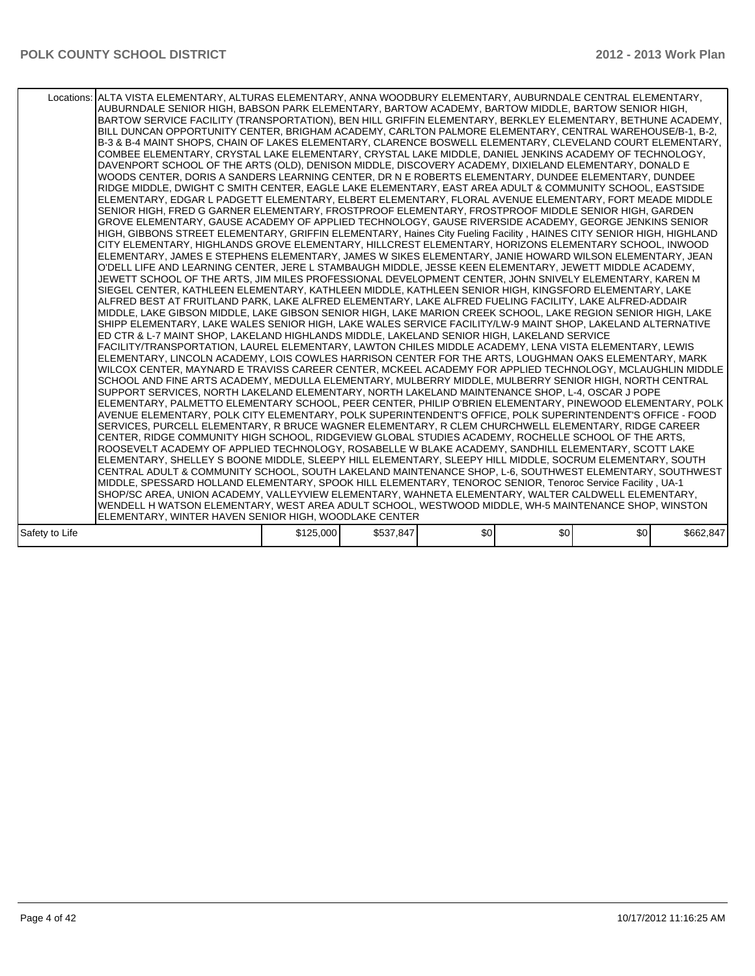|                | Locations: ALTA VISTA ELEMENTARY, ALTURAS ELEMENTARY, ANNA WOODBURY ELEMENTARY, AUBURNDALE CENTRAL ELEMENTARY,<br>AUBURNDALE SENIOR HIGH, BABSON PARK ELEMENTARY, BARTOW ACADEMY, BARTOW MIDDLE, BARTOW SENIOR HIGH,<br>BARTOW SERVICE FACILITY (TRANSPORTATION), BEN HILL GRIFFIN ELEMENTARY, BERKLEY ELEMENTARY, BETHUNE ACADEMY,<br>BILL DUNCAN OPPORTUNITY CENTER, BRIGHAM ACADEMY, CARLTON PALMORE ELEMENTARY, CENTRAL WAREHOUSE/B-1, B-2,<br>B-3 & B-4 MAINT SHOPS. CHAIN OF LAKES ELEMENTARY. CLARENCE BOSWELL ELEMENTARY. CLEVELAND COURT ELEMENTARY.<br>COMBEE ELEMENTARY, CRYSTAL LAKE ELEMENTARY, CRYSTAL LAKE MIDDLE, DANIEL JENKINS ACADEMY OF TECHNOLOGY,<br>DAVENPORT SCHOOL OF THE ARTS (OLD), DENISON MIDDLE, DISCOVERY ACADEMY, DIXIELAND ELEMENTARY, DONALD E<br>WOODS CENTER, DORIS A SANDERS LEARNING CENTER, DR N E ROBERTS ELEMENTARY, DUNDEE ELEMENTARY, DUNDEE<br>RIDGE MIDDLE, DWIGHT C SMITH CENTER, EAGLE LAKE ELEMENTARY, EAST AREA ADULT & COMMUNITY SCHOOL, EASTSIDE<br>ELEMENTARY, EDGAR L PADGETT ELEMENTARY, ELBERT ELEMENTARY, FLORAL AVENUE ELEMENTARY, FORT MEADE MIDDLE<br>SENIOR HIGH, FRED G GARNER ELEMENTARY, FROSTPROOF ELEMENTARY, FROSTPROOF MIDDLE SENIOR HIGH, GARDEN<br>GROVE ELEMENTARY, GAUSE ACADEMY OF APPLIED TECHNOLOGY, GAUSE RIVERSIDE ACADEMY, GEORGE JENKINS SENIOR<br>HIGH, GIBBONS STREET ELEMENTARY, GRIFFIN ELEMENTARY, Haines City Fueling Facility, HAINES CITY SENIOR HIGH, HIGHLAND<br>CITY ELEMENTARY, HIGHLANDS GROVE ELEMENTARY, HILLCREST ELEMENTARY, HORIZONS ELEMENTARY SCHOOL, INWOOD<br>ELEMENTARY, JAMES E STEPHENS ELEMENTARY, JAMES W SIKES ELEMENTARY, JANIE HOWARD WILSON ELEMENTARY, JEAN<br>O'DELL LIFE AND LEARNING CENTER, JERE L STAMBAUGH MIDDLE, JESSE KEEN ELEMENTARY, JEWETT MIDDLE ACADEMY,<br>JEWETT SCHOOL OF THE ARTS, JIM MILES PROFESSIONAL DEVELOPMENT CENTER, JOHN SNIVELY ELEMENTARY, KAREN M<br>SIEGEL CENTER, KATHLEEN ELEMENTARY, KATHLEEN MIDDLE, KATHLEEN SENIOR HIGH, KINGSFORD ELEMENTARY, LAKE<br>ALFRED BEST AT FRUITLAND PARK, LAKE ALFRED ELEMENTARY, LAKE ALFRED FUELING FACILITY, LAKE ALFRED-ADDAIR<br>MIDDLE, LAKE GIBSON MIDDLE, LAKE GIBSON SENIOR HIGH, LAKE MARION CREEK SCHOOL, LAKE REGION SENIOR HIGH, LAKE<br>SHIPP ELEMENTARY, LAKE WALES SENIOR HIGH, LAKE WALES SERVICE FACILITY/LW-9 MAINT SHOP, LAKELAND ALTERNATIVE<br>ED CTR & L-7 MAINT SHOP, LAKELAND HIGHLANDS MIDDLE, LAKELAND SENIOR HIGH, LAKELAND SERVICE<br>FACILITY/TRANSPORTATION, LAUREL ELEMENTARY, LAWTON CHILES MIDDLE ACADEMY, LENA VISTA ELEMENTARY, LEWIS<br>ELEMENTARY, LINCOLN ACADEMY, LOIS COWLES HARRISON CENTER FOR THE ARTS, LOUGHMAN OAKS ELEMENTARY, MARK<br>WILCOX CENTER, MAYNARD E TRAVISS CAREER CENTER, MCKEEL ACADEMY FOR APPLIED TECHNOLOGY, MCLAUGHLIN MIDDLE<br>SCHOOL AND FINE ARTS ACADEMY, MEDULLA ELEMENTARY, MULBERRY MIDDLE, MULBERRY SENIOR HIGH, NORTH CENTRAL<br>SUPPORT SERVICES, NORTH LAKELAND ELEMENTARY, NORTH LAKELAND MAINTENANCE SHOP, L-4, OSCAR J POPE<br>ELEMENTARY, PALMETTO ELEMENTARY SCHOOL, PEER CENTER, PHILIP O'BRIEN ELEMENTARY, PINEWOOD ELEMENTARY, POLK<br>AVENUE ELEMENTARY, POLK CITY ELEMENTARY, POLK SUPERINTENDENT'S OFFICE, POLK SUPERINTENDENT'S OFFICE - FOOD<br>SERVICES, PURCELL ELEMENTARY, R BRUCE WAGNER ELEMENTARY, R CLEM CHURCHWELL ELEMENTARY, RIDGE CAREER<br>CENTER, RIDGE COMMUNITY HIGH SCHOOL, RIDGEVIEW GLOBAL STUDIES ACADEMY, ROCHELLE SCHOOL OF THE ARTS,<br>ROOSEVELT ACADEMY OF APPLIED TECHNOLOGY. ROSABELLE W BLAKE ACADEMY. SANDHILL ELEMENTARY. SCOTT LAKE<br>ELEMENTARY, SHELLEY S BOONE MIDDLE, SLEEPY HILL ELEMENTARY, SLEEPY HILL MIDDLE, SOCRUM ELEMENTARY, SOUTH<br>CENTRAL ADULT & COMMUNITY SCHOOL, SOUTH LAKELAND MAINTENANCE SHOP, L-6, SOUTHWEST ELEMENTARY, SOUTHWEST<br>MIDDLE, SPESSARD HOLLAND ELEMENTARY, SPOOK HILL ELEMENTARY, TENOROC SENIOR, Tenoroc Service Facility, UA-1<br>SHOP/SC AREA, UNION ACADEMY, VALLEYVIEW ELEMENTARY, WAHNETA ELEMENTARY, WALTER CALDWELL ELEMENTARY,<br>WENDELL H WATSON ELEMENTARY, WEST AREA ADULT SCHOOL, WESTWOOD MIDDLE, WH-5 MAINTENANCE SHOP, WINSTON |           |           |     |      |                  |           |
|----------------|-------------------------------------------------------------------------------------------------------------------------------------------------------------------------------------------------------------------------------------------------------------------------------------------------------------------------------------------------------------------------------------------------------------------------------------------------------------------------------------------------------------------------------------------------------------------------------------------------------------------------------------------------------------------------------------------------------------------------------------------------------------------------------------------------------------------------------------------------------------------------------------------------------------------------------------------------------------------------------------------------------------------------------------------------------------------------------------------------------------------------------------------------------------------------------------------------------------------------------------------------------------------------------------------------------------------------------------------------------------------------------------------------------------------------------------------------------------------------------------------------------------------------------------------------------------------------------------------------------------------------------------------------------------------------------------------------------------------------------------------------------------------------------------------------------------------------------------------------------------------------------------------------------------------------------------------------------------------------------------------------------------------------------------------------------------------------------------------------------------------------------------------------------------------------------------------------------------------------------------------------------------------------------------------------------------------------------------------------------------------------------------------------------------------------------------------------------------------------------------------------------------------------------------------------------------------------------------------------------------------------------------------------------------------------------------------------------------------------------------------------------------------------------------------------------------------------------------------------------------------------------------------------------------------------------------------------------------------------------------------------------------------------------------------------------------------------------------------------------------------------------------------------------------------------------------------------------------------------------------------------------------------------------------------------------------------------------------------------------------------------------------------------------------------------------------------------------------------------------------------------------------------------------------------------------------------------------------------------------------------------------------------------------------------------------------------------------------------------------------------------------------------------------------------------------------------------------------------------------------------------------------------------------------------------------------------------------------------------------------------------------------------------------------------------------------------------------------------------|-----------|-----------|-----|------|------------------|-----------|
|                |                                                                                                                                                                                                                                                                                                                                                                                                                                                                                                                                                                                                                                                                                                                                                                                                                                                                                                                                                                                                                                                                                                                                                                                                                                                                                                                                                                                                                                                                                                                                                                                                                                                                                                                                                                                                                                                                                                                                                                                                                                                                                                                                                                                                                                                                                                                                                                                                                                                                                                                                                                                                                                                                                                                                                                                                                                                                                                                                                                                                                                                                                                                                                                                                                                                                                                                                                                                                                                                                                                                                                                                                                                                                                                                                                                                                                                                                                                                                                                                                                                                                                                 |           |           |     |      |                  |           |
|                | ELEMENTARY, WINTER HAVEN SENIOR HIGH, WOODLAKE CENTER                                                                                                                                                                                                                                                                                                                                                                                                                                                                                                                                                                                                                                                                                                                                                                                                                                                                                                                                                                                                                                                                                                                                                                                                                                                                                                                                                                                                                                                                                                                                                                                                                                                                                                                                                                                                                                                                                                                                                                                                                                                                                                                                                                                                                                                                                                                                                                                                                                                                                                                                                                                                                                                                                                                                                                                                                                                                                                                                                                                                                                                                                                                                                                                                                                                                                                                                                                                                                                                                                                                                                                                                                                                                                                                                                                                                                                                                                                                                                                                                                                           |           |           |     |      |                  |           |
|                |                                                                                                                                                                                                                                                                                                                                                                                                                                                                                                                                                                                                                                                                                                                                                                                                                                                                                                                                                                                                                                                                                                                                                                                                                                                                                                                                                                                                                                                                                                                                                                                                                                                                                                                                                                                                                                                                                                                                                                                                                                                                                                                                                                                                                                                                                                                                                                                                                                                                                                                                                                                                                                                                                                                                                                                                                                                                                                                                                                                                                                                                                                                                                                                                                                                                                                                                                                                                                                                                                                                                                                                                                                                                                                                                                                                                                                                                                                                                                                                                                                                                                                 |           |           |     |      |                  |           |
| Safety to Life |                                                                                                                                                                                                                                                                                                                                                                                                                                                                                                                                                                                                                                                                                                                                                                                                                                                                                                                                                                                                                                                                                                                                                                                                                                                                                                                                                                                                                                                                                                                                                                                                                                                                                                                                                                                                                                                                                                                                                                                                                                                                                                                                                                                                                                                                                                                                                                                                                                                                                                                                                                                                                                                                                                                                                                                                                                                                                                                                                                                                                                                                                                                                                                                                                                                                                                                                                                                                                                                                                                                                                                                                                                                                                                                                                                                                                                                                                                                                                                                                                                                                                                 | \$125,000 | \$537,847 | \$0 | \$0] | \$0 <sub>1</sub> | \$662,847 |
|                |                                                                                                                                                                                                                                                                                                                                                                                                                                                                                                                                                                                                                                                                                                                                                                                                                                                                                                                                                                                                                                                                                                                                                                                                                                                                                                                                                                                                                                                                                                                                                                                                                                                                                                                                                                                                                                                                                                                                                                                                                                                                                                                                                                                                                                                                                                                                                                                                                                                                                                                                                                                                                                                                                                                                                                                                                                                                                                                                                                                                                                                                                                                                                                                                                                                                                                                                                                                                                                                                                                                                                                                                                                                                                                                                                                                                                                                                                                                                                                                                                                                                                                 |           |           |     |      |                  |           |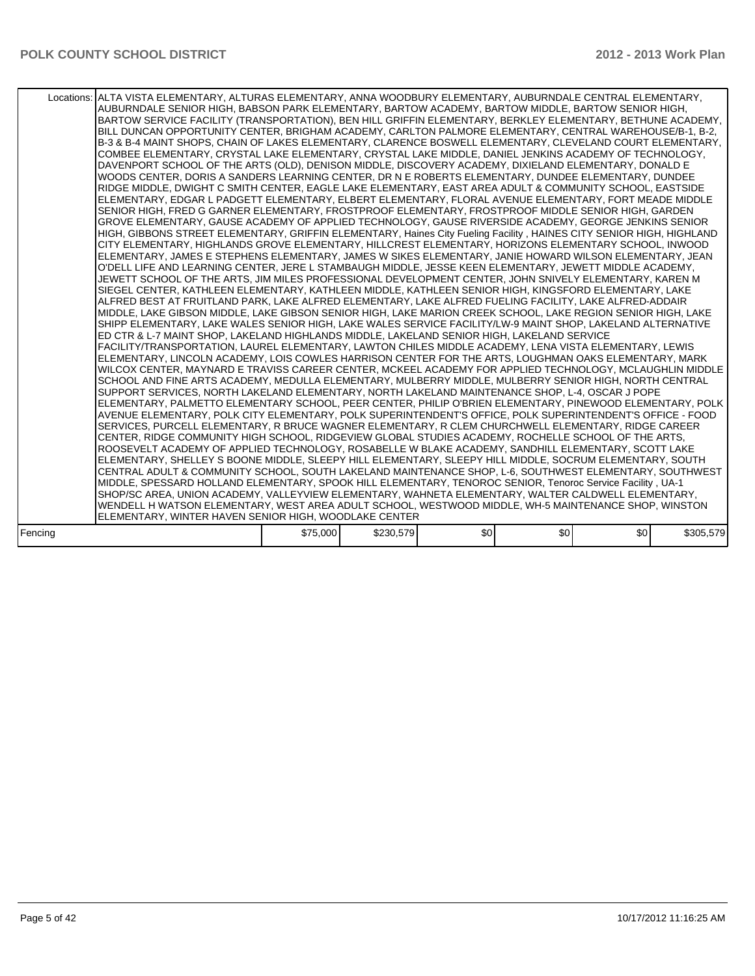|         | Locations: ALTA VISTA ELEMENTARY, ALTURAS ELEMENTARY, ANNA WOODBURY ELEMENTARY, AUBURNDALE CENTRAL ELEMENTARY,<br>AUBURNDALE SENIOR HIGH, BABSON PARK ELEMENTARY, BARTOW ACADEMY, BARTOW MIDDLE, BARTOW SENIOR HIGH,<br>BARTOW SERVICE FACILITY (TRANSPORTATION), BEN HILL GRIFFIN ELEMENTARY, BERKLEY ELEMENTARY, BETHUNE ACADEMY,<br>BILL DUNCAN OPPORTUNITY CENTER, BRIGHAM ACADEMY, CARLTON PALMORE ELEMENTARY, CENTRAL WAREHOUSE/B-1, B-2,<br>B-3 & B-4 MAINT SHOPS. CHAIN OF LAKES ELEMENTARY. CLARENCE BOSWELL ELEMENTARY. CLEVELAND COURT ELEMENTARY.<br>COMBEE ELEMENTARY, CRYSTAL LAKE ELEMENTARY, CRYSTAL LAKE MIDDLE, DANIEL JENKINS ACADEMY OF TECHNOLOGY,<br>DAVENPORT SCHOOL OF THE ARTS (OLD), DENISON MIDDLE, DISCOVERY ACADEMY, DIXIELAND ELEMENTARY, DONALD E<br>WOODS CENTER, DORIS A SANDERS LEARNING CENTER, DR N E ROBERTS ELEMENTARY, DUNDEE ELEMENTARY, DUNDEE<br>RIDGE MIDDLE, DWIGHT C SMITH CENTER, EAGLE LAKE ELEMENTARY, EAST AREA ADULT & COMMUNITY SCHOOL, EASTSIDE<br>IELEMENTARY. EDGAR L PADGETT ELEMENTARY. ELBERT ELEMENTARY. FLORAL AVENUE ELEMENTARY. FORT MEADE MIDDLE<br>SENIOR HIGH, FRED G GARNER ELEMENTARY, FROSTPROOF ELEMENTARY, FROSTPROOF MIDDLE SENIOR HIGH, GARDEN<br>GROVE ELEMENTARY, GAUSE ACADEMY OF APPLIED TECHNOLOGY, GAUSE RIVERSIDE ACADEMY, GEORGE JENKINS SENIOR<br>HIGH, GIBBONS STREET ELEMENTARY, GRIFFIN ELEMENTARY, Haines City Fueling Facility, HAINES CITY SENIOR HIGH, HIGHLAND<br>CITY ELEMENTARY, HIGHLANDS GROVE ELEMENTARY, HILLCREST ELEMENTARY, HORIZONS ELEMENTARY SCHOOL, INWOOD<br>ELEMENTARY, JAMES E STEPHENS ELEMENTARY, JAMES W SIKES ELEMENTARY, JANIE HOWARD WILSON ELEMENTARY, JEAN<br>O'DELL LIFE AND LEARNING CENTER, JERE L STAMBAUGH MIDDLE, JESSE KEEN ELEMENTARY, JEWETT MIDDLE ACADEMY,<br>JEWETT SCHOOL OF THE ARTS, JIM MILES PROFESSIONAL DEVELOPMENT CENTER, JOHN SNIVELY ELEMENTARY, KAREN M<br>SIEGEL CENTER, KATHLEEN ELEMENTARY, KATHLEEN MIDDLE, KATHLEEN SENIOR HIGH, KINGSFORD ELEMENTARY, LAKE<br>ALFRED BEST AT FRUITLAND PARK, LAKE ALFRED ELEMENTARY, LAKE ALFRED FUELING FACILITY, LAKE ALFRED-ADDAIR<br>MIDDLE, LAKE GIBSON MIDDLE, LAKE GIBSON SENIOR HIGH, LAKE MARION CREEK SCHOOL, LAKE REGION SENIOR HIGH, LAKE<br>SHIPP ELEMENTARY, LAKE WALES SENIOR HIGH, LAKE WALES SERVICE FACILITY/LW-9 MAINT SHOP, LAKELAND ALTERNATIVE<br>ED CTR & L-7 MAINT SHOP, LAKELAND HIGHLANDS MIDDLE, LAKELAND SENIOR HIGH, LAKELAND SERVICE<br>FACILITY/TRANSPORTATION, LAUREL ELEMENTARY, LAWTON CHILES MIDDLE ACADEMY, LENA VISTA ELEMENTARY, LEWIS<br>ELEMENTARY, LINCOLN ACADEMY, LOIS COWLES HARRISON CENTER FOR THE ARTS, LOUGHMAN OAKS ELEMENTARY, MARK<br>WILCOX CENTER, MAYNARD E TRAVISS CAREER CENTER, MCKEEL ACADEMY FOR APPLIED TECHNOLOGY, MCLAUGHLIN MIDDLE<br>SCHOOL AND FINE ARTS ACADEMY, MEDULLA ELEMENTARY, MULBERRY MIDDLE, MULBERRY SENIOR HIGH, NORTH CENTRAL<br>SUPPORT SERVICES, NORTH LAKELAND ELEMENTARY, NORTH LAKELAND MAINTENANCE SHOP, L-4, OSCAR J POPE<br>ELEMENTARY, PALMETTO ELEMENTARY SCHOOL, PEER CENTER, PHILIP O'BRIEN ELEMENTARY, PINEWOOD ELEMENTARY, POLK<br>AVENUE ELEMENTARY, POLK CITY ELEMENTARY, POLK SUPERINTENDENT'S OFFICE, POLK SUPERINTENDENT'S OFFICE - FOOD<br>SERVICES, PURCELL ELEMENTARY, R BRUCE WAGNER ELEMENTARY, R CLEM CHURCHWELL ELEMENTARY, RIDGE CAREER<br>CENTER, RIDGE COMMUNITY HIGH SCHOOL, RIDGEVIEW GLOBAL STUDIES ACADEMY, ROCHELLE SCHOOL OF THE ARTS,<br>ROOSEVELT ACADEMY OF APPLIED TECHNOLOGY, ROSABELLE W BLAKE ACADEMY, SANDHILL ELEMENTARY, SCOTT LAKE<br>ELEMENTARY, SHELLEY S BOONE MIDDLE, SLEEPY HILL ELEMENTARY, SLEEPY HILL MIDDLE, SOCRUM ELEMENTARY, SOUTH<br>CENTRAL ADULT & COMMUNITY SCHOOL, SOUTH LAKELAND MAINTENANCE SHOP, L-6, SOUTHWEST ELEMENTARY, SOUTHWEST<br>MIDDLE, SPESSARD HOLLAND ELEMENTARY, SPOOK HILL ELEMENTARY, TENOROC SENIOR, Tenoroc Service Facility, UA-1<br>SHOP/SC AREA, UNION ACADEMY, VALLEYVIEW ELEMENTARY, WAHNETA ELEMENTARY, WALTER CALDWELL ELEMENTARY,<br>WENDELL H WATSON ELEMENTARY, WEST AREA ADULT SCHOOL, WESTWOOD MIDDLE, WH-5 MAINTENANCE SHOP, WINSTON<br>ELEMENTARY, WINTER HAVEN SENIOR HIGH, WOODLAKE CENTER |          |           |     |      |     |           |
|---------|-----------------------------------------------------------------------------------------------------------------------------------------------------------------------------------------------------------------------------------------------------------------------------------------------------------------------------------------------------------------------------------------------------------------------------------------------------------------------------------------------------------------------------------------------------------------------------------------------------------------------------------------------------------------------------------------------------------------------------------------------------------------------------------------------------------------------------------------------------------------------------------------------------------------------------------------------------------------------------------------------------------------------------------------------------------------------------------------------------------------------------------------------------------------------------------------------------------------------------------------------------------------------------------------------------------------------------------------------------------------------------------------------------------------------------------------------------------------------------------------------------------------------------------------------------------------------------------------------------------------------------------------------------------------------------------------------------------------------------------------------------------------------------------------------------------------------------------------------------------------------------------------------------------------------------------------------------------------------------------------------------------------------------------------------------------------------------------------------------------------------------------------------------------------------------------------------------------------------------------------------------------------------------------------------------------------------------------------------------------------------------------------------------------------------------------------------------------------------------------------------------------------------------------------------------------------------------------------------------------------------------------------------------------------------------------------------------------------------------------------------------------------------------------------------------------------------------------------------------------------------------------------------------------------------------------------------------------------------------------------------------------------------------------------------------------------------------------------------------------------------------------------------------------------------------------------------------------------------------------------------------------------------------------------------------------------------------------------------------------------------------------------------------------------------------------------------------------------------------------------------------------------------------------------------------------------------------------------------------------------------------------------------------------------------------------------------------------------------------------------------------------------------------------------------------------------------------------------------------------------------------------------------------------------------------------------------------------------------------------------------------------------------------------------------------------------------------------------------------------------------------------------------------------|----------|-----------|-----|------|-----|-----------|
|         |                                                                                                                                                                                                                                                                                                                                                                                                                                                                                                                                                                                                                                                                                                                                                                                                                                                                                                                                                                                                                                                                                                                                                                                                                                                                                                                                                                                                                                                                                                                                                                                                                                                                                                                                                                                                                                                                                                                                                                                                                                                                                                                                                                                                                                                                                                                                                                                                                                                                                                                                                                                                                                                                                                                                                                                                                                                                                                                                                                                                                                                                                                                                                                                                                                                                                                                                                                                                                                                                                                                                                                                                                                                                                                                                                                                                                                                                                                                                                                                                                                                                                                                                                           |          |           |     |      |     |           |
| Fencing |                                                                                                                                                                                                                                                                                                                                                                                                                                                                                                                                                                                                                                                                                                                                                                                                                                                                                                                                                                                                                                                                                                                                                                                                                                                                                                                                                                                                                                                                                                                                                                                                                                                                                                                                                                                                                                                                                                                                                                                                                                                                                                                                                                                                                                                                                                                                                                                                                                                                                                                                                                                                                                                                                                                                                                                                                                                                                                                                                                                                                                                                                                                                                                                                                                                                                                                                                                                                                                                                                                                                                                                                                                                                                                                                                                                                                                                                                                                                                                                                                                                                                                                                                           | \$75,000 | \$230,579 | \$0 | \$0] | \$0 | \$305.579 |
|         |                                                                                                                                                                                                                                                                                                                                                                                                                                                                                                                                                                                                                                                                                                                                                                                                                                                                                                                                                                                                                                                                                                                                                                                                                                                                                                                                                                                                                                                                                                                                                                                                                                                                                                                                                                                                                                                                                                                                                                                                                                                                                                                                                                                                                                                                                                                                                                                                                                                                                                                                                                                                                                                                                                                                                                                                                                                                                                                                                                                                                                                                                                                                                                                                                                                                                                                                                                                                                                                                                                                                                                                                                                                                                                                                                                                                                                                                                                                                                                                                                                                                                                                                                           |          |           |     |      |     |           |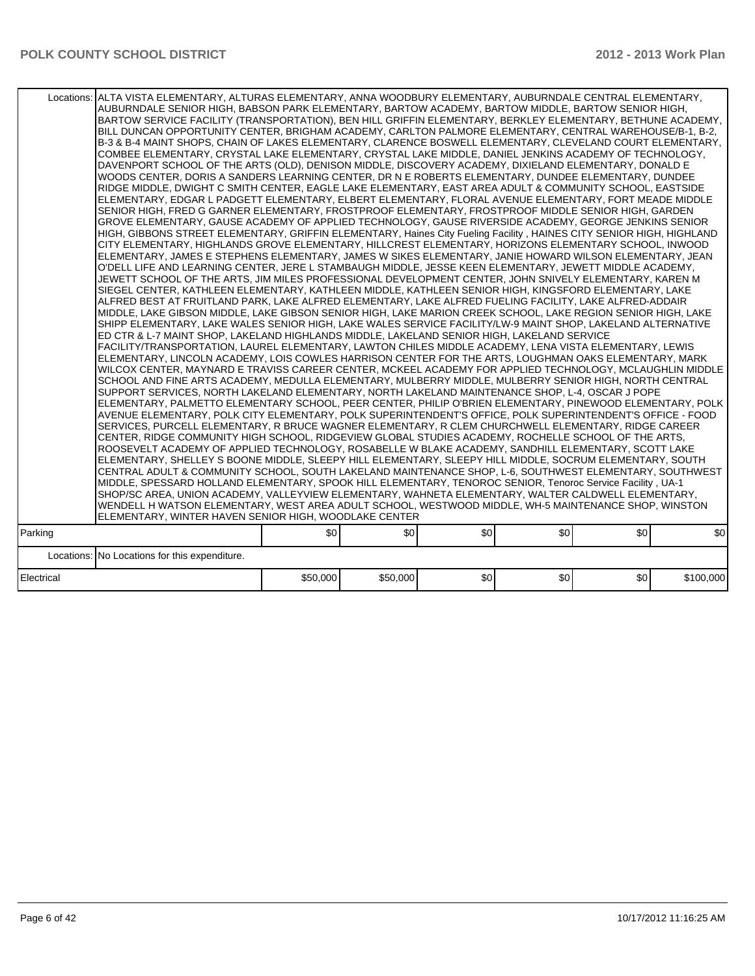|            | Locations: ALTA VISTA ELEMENTARY, ALTURAS ELEMENTARY, ANNA WOODBURY ELEMENTARY, AUBURNDALE CENTRAL ELEMENTARY,<br>AUBURNDALE SENIOR HIGH, BABSON PARK ELEMENTARY, BARTOW ACADEMY, BARTOW MIDDLE, BARTOW SENIOR HIGH,<br>BARTOW SERVICE FACILITY (TRANSPORTATION), BEN HILL GRIFFIN ELEMENTARY, BERKLEY ELEMENTARY, BETHUNE ACADEMY,<br>BILL DUNCAN OPPORTUNITY CENTER, BRIGHAM ACADEMY, CARLTON PALMORE ELEMENTARY, CENTRAL WAREHOUSE/B-1, B-2,<br>B-3 & B-4 MAINT SHOPS, CHAIN OF LAKES ELEMENTARY, CLARENCE BOSWELL ELEMENTARY, CLEVELAND COURT ELEMENTARY,<br>COMBEE ELEMENTARY, CRYSTAL LAKE ELEMENTARY, CRYSTAL LAKE MIDDLE, DANIEL JENKINS ACADEMY OF TECHNOLOGY,<br>DAVENPORT SCHOOL OF THE ARTS (OLD), DENISON MIDDLE, DISCOVERY ACADEMY, DIXIELAND ELEMENTARY, DONALD E<br>WOODS CENTER, DORIS A SANDERS LEARNING CENTER, DR N E ROBERTS ELEMENTARY, DUNDEE ELEMENTARY, DUNDEE<br>RIDGE MIDDLE, DWIGHT C SMITH CENTER, EAGLE LAKE ELEMENTARY, EAST AREA ADULT & COMMUNITY SCHOOL, EASTSIDE<br>ELEMENTARY, EDGAR L PADGETT ELEMENTARY, ELBERT ELEMENTARY, FLORAL AVENUE ELEMENTARY, FORT MEADE MIDDLE<br>SENIOR HIGH, FRED G GARNER ELEMENTARY, FROSTPROOF ELEMENTARY, FROSTPROOF MIDDLE SENIOR HIGH, GARDEN<br>GROVE ELEMENTARY, GAUSE ACADEMY OF APPLIED TECHNOLOGY, GAUSE RIVERSIDE ACADEMY, GEORGE JENKINS SENIOR<br>HIGH, GIBBONS STREET ELEMENTARY, GRIFFIN ELEMENTARY, Haines City Fueling Facility, HAINES CITY SENIOR HIGH, HIGHLAND<br>CITY ELEMENTARY, HIGHLANDS GROVE ELEMENTARY, HILLCREST ELEMENTARY, HORIZONS ELEMENTARY SCHOOL, INWOOD<br>ELEMENTARY, JAMES E STEPHENS ELEMENTARY, JAMES W SIKES ELEMENTARY, JANIE HOWARD WILSON ELEMENTARY, JEAN<br>O'DELL LIFE AND LEARNING CENTER, JERE L STAMBAUGH MIDDLE, JESSE KEEN ELEMENTARY, JEWETT MIDDLE ACADEMY,<br>JEWETT SCHOOL OF THE ARTS, JIM MILES PROFESSIONAL DEVELOPMENT CENTER, JOHN SNIVELY ELEMENTARY, KAREN M<br>SIEGEL CENTER, KATHLEEN ELEMENTARY, KATHLEEN MIDDLE, KATHLEEN SENIOR HIGH, KINGSFORD ELEMENTARY, LAKE<br>ALFRED BEST AT FRUITLAND PARK. LAKE ALFRED ELEMENTARY. LAKE ALFRED FUELING FACILITY. LAKE ALFRED-ADDAIR<br>MIDDLE, LAKE GIBSON MIDDLE, LAKE GIBSON SENIOR HIGH, LAKE MARION CREEK SCHOOL, LAKE REGION SENIOR HIGH, LAKE<br>SHIPP ELEMENTARY, LAKE WALES SENIOR HIGH, LAKE WALES SERVICE FACILITY/LW-9 MAINT SHOP, LAKELAND ALTERNATIVE<br>ED CTR & L-7 MAINT SHOP, LAKELAND HIGHLANDS MIDDLE, LAKELAND SENIOR HIGH, LAKELAND SERVICE<br>FACILITY/TRANSPORTATION, LAUREL ELEMENTARY, LAWTON CHILES MIDDLE ACADEMY, LENA VISTA ELEMENTARY, LEWIS<br>ELEMENTARY, LINCOLN ACADEMY, LOIS COWLES HARRISON CENTER FOR THE ARTS, LOUGHMAN OAKS ELEMENTARY, MARK<br>WILCOX CENTER, MAYNARD E TRAVISS CAREER CENTER, MCKEEL ACADEMY FOR APPLIED TECHNOLOGY, MCLAUGHLIN MIDDLE<br>SCHOOL AND FINE ARTS ACADEMY, MEDULLA ELEMENTARY, MULBERRY MIDDLE, MULBERRY SENIOR HIGH, NORTH CENTRAL<br>SUPPORT SERVICES, NORTH LAKELAND ELEMENTARY, NORTH LAKELAND MAINTENANCE SHOP, L-4, OSCAR J POPE<br>ELEMENTARY, PALMETTO ELEMENTARY SCHOOL, PEER CENTER, PHILIP O'BRIEN ELEMENTARY, PINEWOOD ELEMENTARY, POLK<br>AVENUE ELEMENTARY, POLK CITY ELEMENTARY, POLK SUPERINTENDENT'S OFFICE, POLK SUPERINTENDENT'S OFFICE - FOOD<br>SERVICES, PURCELL ELEMENTARY, R BRUCE WAGNER ELEMENTARY, R CLEM CHURCHWELL ELEMENTARY, RIDGE CAREER<br>CENTER, RIDGE COMMUNITY HIGH SCHOOL, RIDGEVIEW GLOBAL STUDIES ACADEMY, ROCHELLE SCHOOL OF THE ARTS,<br>ROOSEVELT ACADEMY OF APPLIED TECHNOLOGY, ROSABELLE W BLAKE ACADEMY, SANDHILL ELEMENTARY, SCOTT LAKE<br>ELEMENTARY, SHELLEY S BOONE MIDDLE, SLEEPY HILL ELEMENTARY, SLEEPY HILL MIDDLE, SOCRUM ELEMENTARY, SOUTH<br>CENTRAL ADULT & COMMUNITY SCHOOL, SOUTH LAKELAND MAINTENANCE SHOP, L-6, SOUTHWEST ELEMENTARY, SOUTHWEST<br>MIDDLE, SPESSARD HOLLAND ELEMENTARY, SPOOK HILL ELEMENTARY, TENOROC SENIOR, Tenoroc Service Facility, UA-1<br>SHOP/SC AREA, UNION ACADEMY, VALLEYVIEW ELEMENTARY, WAHNETA ELEMENTARY, WALTER CALDWELL ELEMENTARY,<br>WENDELL H WATSON ELEMENTARY, WEST AREA ADULT SCHOOL, WESTWOOD MIDDLE, WH-5 MAINTENANCE SHOP, WINSTON<br>ELEMENTARY, WINTER HAVEN SENIOR HIGH, WOODLAKE CENTER |          |          |     |     |     |           |
|------------|----------------------------------------------------------------------------------------------------------------------------------------------------------------------------------------------------------------------------------------------------------------------------------------------------------------------------------------------------------------------------------------------------------------------------------------------------------------------------------------------------------------------------------------------------------------------------------------------------------------------------------------------------------------------------------------------------------------------------------------------------------------------------------------------------------------------------------------------------------------------------------------------------------------------------------------------------------------------------------------------------------------------------------------------------------------------------------------------------------------------------------------------------------------------------------------------------------------------------------------------------------------------------------------------------------------------------------------------------------------------------------------------------------------------------------------------------------------------------------------------------------------------------------------------------------------------------------------------------------------------------------------------------------------------------------------------------------------------------------------------------------------------------------------------------------------------------------------------------------------------------------------------------------------------------------------------------------------------------------------------------------------------------------------------------------------------------------------------------------------------------------------------------------------------------------------------------------------------------------------------------------------------------------------------------------------------------------------------------------------------------------------------------------------------------------------------------------------------------------------------------------------------------------------------------------------------------------------------------------------------------------------------------------------------------------------------------------------------------------------------------------------------------------------------------------------------------------------------------------------------------------------------------------------------------------------------------------------------------------------------------------------------------------------------------------------------------------------------------------------------------------------------------------------------------------------------------------------------------------------------------------------------------------------------------------------------------------------------------------------------------------------------------------------------------------------------------------------------------------------------------------------------------------------------------------------------------------------------------------------------------------------------------------------------------------------------------------------------------------------------------------------------------------------------------------------------------------------------------------------------------------------------------------------------------------------------------------------------------------------------------------------------------------------------------------------------------------------------------------------------------------------------------------|----------|----------|-----|-----|-----|-----------|
| Parking    |                                                                                                                                                                                                                                                                                                                                                                                                                                                                                                                                                                                                                                                                                                                                                                                                                                                                                                                                                                                                                                                                                                                                                                                                                                                                                                                                                                                                                                                                                                                                                                                                                                                                                                                                                                                                                                                                                                                                                                                                                                                                                                                                                                                                                                                                                                                                                                                                                                                                                                                                                                                                                                                                                                                                                                                                                                                                                                                                                                                                                                                                                                                                                                                                                                                                                                                                                                                                                                                                                                                                                                                                                                                                                                                                                                                                                                                                                                                                                                                                                                                                                                                                                          | \$0      | \$0      | \$0 | \$0 | \$0 | \$0       |
|            | Locations: No Locations for this expenditure.                                                                                                                                                                                                                                                                                                                                                                                                                                                                                                                                                                                                                                                                                                                                                                                                                                                                                                                                                                                                                                                                                                                                                                                                                                                                                                                                                                                                                                                                                                                                                                                                                                                                                                                                                                                                                                                                                                                                                                                                                                                                                                                                                                                                                                                                                                                                                                                                                                                                                                                                                                                                                                                                                                                                                                                                                                                                                                                                                                                                                                                                                                                                                                                                                                                                                                                                                                                                                                                                                                                                                                                                                                                                                                                                                                                                                                                                                                                                                                                                                                                                                                            |          |          |     |     |     |           |
| Electrical |                                                                                                                                                                                                                                                                                                                                                                                                                                                                                                                                                                                                                                                                                                                                                                                                                                                                                                                                                                                                                                                                                                                                                                                                                                                                                                                                                                                                                                                                                                                                                                                                                                                                                                                                                                                                                                                                                                                                                                                                                                                                                                                                                                                                                                                                                                                                                                                                                                                                                                                                                                                                                                                                                                                                                                                                                                                                                                                                                                                                                                                                                                                                                                                                                                                                                                                                                                                                                                                                                                                                                                                                                                                                                                                                                                                                                                                                                                                                                                                                                                                                                                                                                          | \$50,000 | \$50,000 | \$0 | \$0 | \$0 | \$100,000 |
|            |                                                                                                                                                                                                                                                                                                                                                                                                                                                                                                                                                                                                                                                                                                                                                                                                                                                                                                                                                                                                                                                                                                                                                                                                                                                                                                                                                                                                                                                                                                                                                                                                                                                                                                                                                                                                                                                                                                                                                                                                                                                                                                                                                                                                                                                                                                                                                                                                                                                                                                                                                                                                                                                                                                                                                                                                                                                                                                                                                                                                                                                                                                                                                                                                                                                                                                                                                                                                                                                                                                                                                                                                                                                                                                                                                                                                                                                                                                                                                                                                                                                                                                                                                          |          |          |     |     |     |           |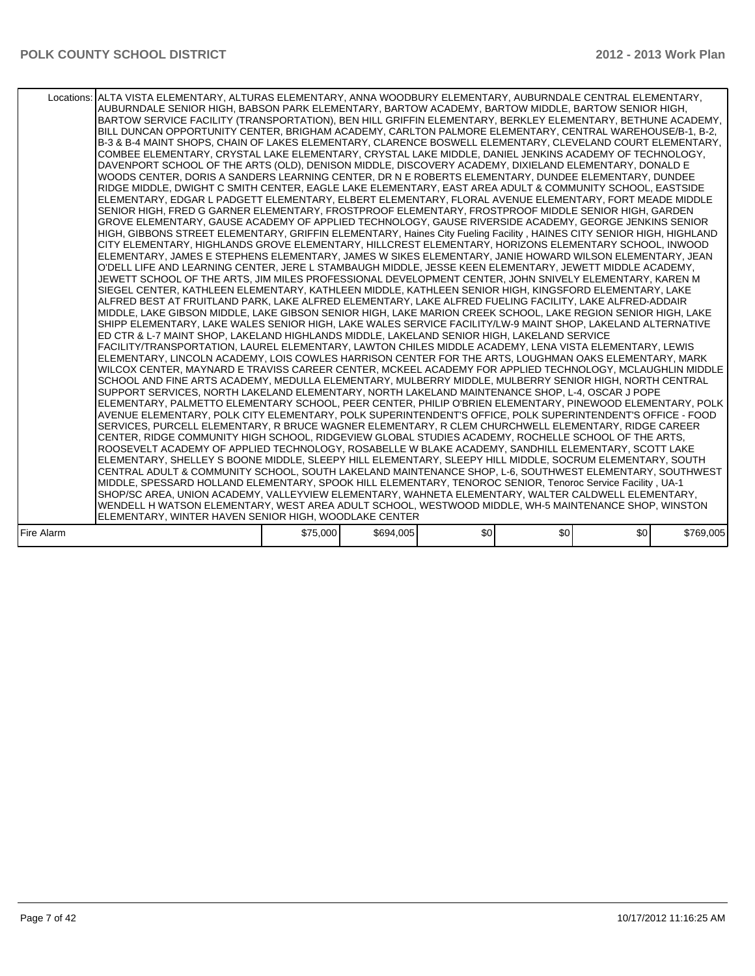|            | Locations: ALTA VISTA ELEMENTARY, ALTURAS ELEMENTARY, ANNA WOODBURY ELEMENTARY, AUBURNDALE CENTRAL ELEMENTARY,<br>AUBURNDALE SENIOR HIGH, BABSON PARK ELEMENTARY, BARTOW ACADEMY, BARTOW MIDDLE, BARTOW SENIOR HIGH,<br>BARTOW SERVICE FACILITY (TRANSPORTATION), BEN HILL GRIFFIN ELEMENTARY, BERKLEY ELEMENTARY, BETHUNE ACADEMY,<br>BILL DUNCAN OPPORTUNITY CENTER, BRIGHAM ACADEMY, CARLTON PALMORE ELEMENTARY, CENTRAL WAREHOUSE/B-1, B-2,<br>B-3 & B-4 MAINT SHOPS. CHAIN OF LAKES ELEMENTARY. CLARENCE BOSWELL ELEMENTARY. CLEVELAND COURT ELEMENTARY.<br>COMBEE ELEMENTARY, CRYSTAL LAKE ELEMENTARY, CRYSTAL LAKE MIDDLE, DANIEL JENKINS ACADEMY OF TECHNOLOGY,<br>DAVENPORT SCHOOL OF THE ARTS (OLD), DENISON MIDDLE, DISCOVERY ACADEMY, DIXIELAND ELEMENTARY, DONALD E<br>WOODS CENTER, DORIS A SANDERS LEARNING CENTER, DR N E ROBERTS ELEMENTARY, DUNDEE ELEMENTARY, DUNDEE<br>RIDGE MIDDLE, DWIGHT C SMITH CENTER, EAGLE LAKE ELEMENTARY, EAST AREA ADULT & COMMUNITY SCHOOL, EASTSIDE<br>ELEMENTARY, EDGAR L PADGETT ELEMENTARY, ELBERT ELEMENTARY, FLORAL AVENUE ELEMENTARY, FORT MEADE MIDDLE<br>SENIOR HIGH, FRED G GARNER ELEMENTARY, FROSTPROOF ELEMENTARY, FROSTPROOF MIDDLE SENIOR HIGH, GARDEN<br>GROVE ELEMENTARY, GAUSE ACADEMY OF APPLIED TECHNOLOGY, GAUSE RIVERSIDE ACADEMY, GEORGE JENKINS SENIOR<br>HIGH, GIBBONS STREET ELEMENTARY, GRIFFIN ELEMENTARY, Haines City Fueling Facility, HAINES CITY SENIOR HIGH, HIGHLAND<br>CITY ELEMENTARY. HIGHLANDS GROVE ELEMENTARY. HILLCREST ELEMENTARY. HORIZONS ELEMENTARY SCHOOL. INWOOD<br>ELEMENTARY, JAMES E STEPHENS ELEMENTARY, JAMES W SIKES ELEMENTARY, JANIE HOWARD WILSON ELEMENTARY, JEAN<br>O'DELL LIFE AND LEARNING CENTER, JERE L STAMBAUGH MIDDLE, JESSE KEEN ELEMENTARY, JEWETT MIDDLE ACADEMY,<br>JEWETT SCHOOL OF THE ARTS, JIM MILES PROFESSIONAL DEVELOPMENT CENTER, JOHN SNIVELY ELEMENTARY, KAREN M<br>SIEGEL CENTER, KATHLEEN ELEMENTARY, KATHLEEN MIDDLE, KATHLEEN SENIOR HIGH, KINGSFORD ELEMENTARY, LAKE<br>ALFRED BEST AT FRUITLAND PARK, LAKE ALFRED ELEMENTARY, LAKE ALFRED FUELING FACILITY, LAKE ALFRED-ADDAIR<br>MIDDLE, LAKE GIBSON MIDDLE, LAKE GIBSON SENIOR HIGH, LAKE MARION CREEK SCHOOL, LAKE REGION SENIOR HIGH, LAKE<br>SHIPP ELEMENTARY, LAKE WALES SENIOR HIGH, LAKE WALES SERVICE FACILITY/LW-9 MAINT SHOP, LAKELAND ALTERNATIVE<br>ED CTR & L-7 MAINT SHOP, LAKELAND HIGHLANDS MIDDLE, LAKELAND SENIOR HIGH, LAKELAND SERVICE<br>FACILITY/TRANSPORTATION, LAUREL ELEMENTARY, LAWTON CHILES MIDDLE ACADEMY, LENA VISTA ELEMENTARY, LEWIS<br>ELEMENTARY, LINCOLN ACADEMY, LOIS COWLES HARRISON CENTER FOR THE ARTS, LOUGHMAN OAKS ELEMENTARY, MARK<br>WILCOX CENTER. MAYNARD E TRAVISS CAREER CENTER. MCKEEL ACADEMY FOR APPLIED TECHNOLOGY. MCLAUGHLIN MIDDLE<br>SCHOOL AND FINE ARTS ACADEMY, MEDULLA ELEMENTARY, MULBERRY MIDDLE, MULBERRY SENIOR HIGH, NORTH CENTRAL<br>SUPPORT SERVICES, NORTH LAKELAND ELEMENTARY, NORTH LAKELAND MAINTENANCE SHOP, L-4, OSCAR J POPE<br>ELEMENTARY, PALMETTO ELEMENTARY SCHOOL, PEER CENTER, PHILIP O'BRIEN ELEMENTARY, PINEWOOD ELEMENTARY, POLK<br>AVENUE ELEMENTARY, POLK CITY ELEMENTARY, POLK SUPERINTENDENT'S OFFICE, POLK SUPERINTENDENT'S OFFICE - FOOD<br>SERVICES, PURCELL ELEMENTARY, R BRUCE WAGNER ELEMENTARY, R CLEM CHURCHWELL ELEMENTARY, RIDGE CAREER<br>CENTER, RIDGE COMMUNITY HIGH SCHOOL, RIDGEVIEW GLOBAL STUDIES ACADEMY, ROCHELLE SCHOOL OF THE ARTS,<br>ROOSEVELT ACADEMY OF APPLIED TECHNOLOGY, ROSABELLE W BLAKE ACADEMY, SANDHILL ELEMENTARY, SCOTT LAKE<br>ELEMENTARY, SHELLEY S BOONE MIDDLE, SLEEPY HILL ELEMENTARY, SLEEPY HILL MIDDLE, SOCRUM ELEMENTARY, SOUTH<br>CENTRAL ADULT & COMMUNITY SCHOOL, SOUTH LAKELAND MAINTENANCE SHOP, L-6, SOUTHWEST ELEMENTARY, SOUTHWEST<br>MIDDLE, SPESSARD HOLLAND ELEMENTARY, SPOOK HILL ELEMENTARY, TENOROC SENIOR, Tenoroc Service Facility, UA-1<br>SHOP/SC AREA, UNION ACADEMY, VALLEYVIEW ELEMENTARY, WAHNETA ELEMENTARY, WALTER CALDWELL ELEMENTARY, |          |           |     |     |                  |           |
|------------|-----------------------------------------------------------------------------------------------------------------------------------------------------------------------------------------------------------------------------------------------------------------------------------------------------------------------------------------------------------------------------------------------------------------------------------------------------------------------------------------------------------------------------------------------------------------------------------------------------------------------------------------------------------------------------------------------------------------------------------------------------------------------------------------------------------------------------------------------------------------------------------------------------------------------------------------------------------------------------------------------------------------------------------------------------------------------------------------------------------------------------------------------------------------------------------------------------------------------------------------------------------------------------------------------------------------------------------------------------------------------------------------------------------------------------------------------------------------------------------------------------------------------------------------------------------------------------------------------------------------------------------------------------------------------------------------------------------------------------------------------------------------------------------------------------------------------------------------------------------------------------------------------------------------------------------------------------------------------------------------------------------------------------------------------------------------------------------------------------------------------------------------------------------------------------------------------------------------------------------------------------------------------------------------------------------------------------------------------------------------------------------------------------------------------------------------------------------------------------------------------------------------------------------------------------------------------------------------------------------------------------------------------------------------------------------------------------------------------------------------------------------------------------------------------------------------------------------------------------------------------------------------------------------------------------------------------------------------------------------------------------------------------------------------------------------------------------------------------------------------------------------------------------------------------------------------------------------------------------------------------------------------------------------------------------------------------------------------------------------------------------------------------------------------------------------------------------------------------------------------------------------------------------------------------------------------------------------------------------------------------------------------------------------------------------------------------------------------------------------------------------------------------------------------------------------------------------------------------------------------------------------------------------------------------------------------------------------------------------------------|----------|-----------|-----|-----|------------------|-----------|
|            |                                                                                                                                                                                                                                                                                                                                                                                                                                                                                                                                                                                                                                                                                                                                                                                                                                                                                                                                                                                                                                                                                                                                                                                                                                                                                                                                                                                                                                                                                                                                                                                                                                                                                                                                                                                                                                                                                                                                                                                                                                                                                                                                                                                                                                                                                                                                                                                                                                                                                                                                                                                                                                                                                                                                                                                                                                                                                                                                                                                                                                                                                                                                                                                                                                                                                                                                                                                                                                                                                                                                                                                                                                                                                                                                                                                                                                                                                                                                                                                         |          |           |     |     |                  |           |
|            | WENDELL H WATSON ELEMENTARY, WEST AREA ADULT SCHOOL, WESTWOOD MIDDLE, WH-5 MAINTENANCE SHOP, WINSTON                                                                                                                                                                                                                                                                                                                                                                                                                                                                                                                                                                                                                                                                                                                                                                                                                                                                                                                                                                                                                                                                                                                                                                                                                                                                                                                                                                                                                                                                                                                                                                                                                                                                                                                                                                                                                                                                                                                                                                                                                                                                                                                                                                                                                                                                                                                                                                                                                                                                                                                                                                                                                                                                                                                                                                                                                                                                                                                                                                                                                                                                                                                                                                                                                                                                                                                                                                                                                                                                                                                                                                                                                                                                                                                                                                                                                                                                                    |          |           |     |     |                  |           |
|            | ELEMENTARY, WINTER HAVEN SENIOR HIGH, WOODLAKE CENTER                                                                                                                                                                                                                                                                                                                                                                                                                                                                                                                                                                                                                                                                                                                                                                                                                                                                                                                                                                                                                                                                                                                                                                                                                                                                                                                                                                                                                                                                                                                                                                                                                                                                                                                                                                                                                                                                                                                                                                                                                                                                                                                                                                                                                                                                                                                                                                                                                                                                                                                                                                                                                                                                                                                                                                                                                                                                                                                                                                                                                                                                                                                                                                                                                                                                                                                                                                                                                                                                                                                                                                                                                                                                                                                                                                                                                                                                                                                                   |          |           |     |     |                  |           |
| Fire Alarm |                                                                                                                                                                                                                                                                                                                                                                                                                                                                                                                                                                                                                                                                                                                                                                                                                                                                                                                                                                                                                                                                                                                                                                                                                                                                                                                                                                                                                                                                                                                                                                                                                                                                                                                                                                                                                                                                                                                                                                                                                                                                                                                                                                                                                                                                                                                                                                                                                                                                                                                                                                                                                                                                                                                                                                                                                                                                                                                                                                                                                                                                                                                                                                                                                                                                                                                                                                                                                                                                                                                                                                                                                                                                                                                                                                                                                                                                                                                                                                                         | \$75,000 | \$694,005 | \$0 | \$0 | \$0 <sub>1</sub> | \$769,005 |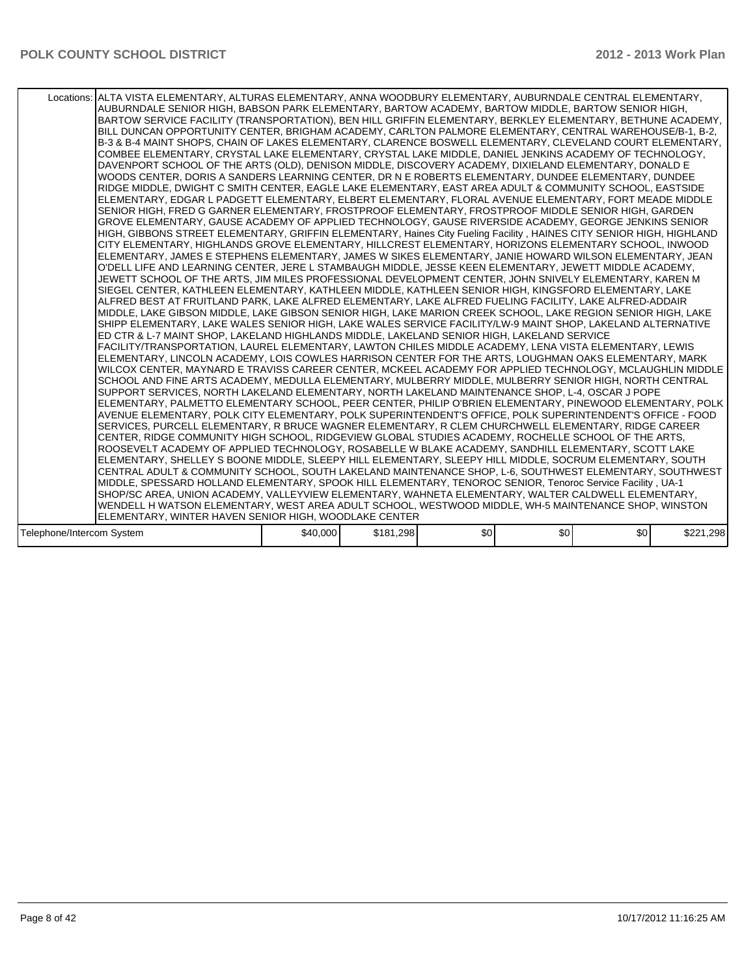|                           | Locations: ALTA VISTA ELEMENTARY, ALTURAS ELEMENTARY, ANNA WOODBURY ELEMENTARY, AUBURNDALE CENTRAL ELEMENTARY,<br>AUBURNDALE SENIOR HIGH, BABSON PARK ELEMENTARY, BARTOW ACADEMY, BARTOW MIDDLE, BARTOW SENIOR HIGH,<br>BARTOW SERVICE FACILITY (TRANSPORTATION), BEN HILL GRIFFIN ELEMENTARY, BERKLEY ELEMENTARY, BETHUNE ACADEMY,<br>BILL DUNCAN OPPORTUNITY CENTER, BRIGHAM ACADEMY, CARLTON PALMORE ELEMENTARY, CENTRAL WAREHOUSE/B-1, B-2,<br>B-3 & B-4 MAINT SHOPS, CHAIN OF LAKES ELEMENTARY, CLARENCE BOSWELL ELEMENTARY, CLEVELAND COURT ELEMENTARY,<br>COMBEE ELEMENTARY, CRYSTAL LAKE ELEMENTARY, CRYSTAL LAKE MIDDLE, DANIEL JENKINS ACADEMY OF TECHNOLOGY,<br>DAVENPORT SCHOOL OF THE ARTS (OLD), DENISON MIDDLE, DISCOVERY ACADEMY, DIXIELAND ELEMENTARY, DONALD E<br>WOODS CENTER, DORIS A SANDERS LEARNING CENTER, DR N E ROBERTS ELEMENTARY, DUNDEE ELEMENTARY, DUNDEE<br>RIDGE MIDDLE, DWIGHT C SMITH CENTER, EAGLE LAKE ELEMENTARY, EAST AREA ADULT & COMMUNITY SCHOOL, EASTSIDE<br>ELEMENTARY, EDGAR L PADGETT ELEMENTARY, ELBERT ELEMENTARY, FLORAL AVENUE ELEMENTARY, FORT MEADE MIDDLE<br>SENIOR HIGH, FRED G GARNER ELEMENTARY, FROSTPROOF ELEMENTARY, FROSTPROOF MIDDLE SENIOR HIGH, GARDEN<br>GROVE ELEMENTARY, GAUSE ACADEMY OF APPLIED TECHNOLOGY, GAUSE RIVERSIDE ACADEMY, GEORGE JENKINS SENIOR<br>HIGH, GIBBONS STREET ELEMENTARY, GRIFFIN ELEMENTARY, Haines City Fueling Facility, HAINES CITY SENIOR HIGH, HIGHLAND<br>CITY ELEMENTARY, HIGHLANDS GROVE ELEMENTARY, HILLCREST ELEMENTARY, HORIZONS ELEMENTARY SCHOOL, INWOOD<br>ELEMENTARY, JAMES E STEPHENS ELEMENTARY, JAMES W SIKES ELEMENTARY, JANIE HOWARD WILSON ELEMENTARY, JEAN<br>O'DELL LIFE AND LEARNING CENTER, JERE L STAMBAUGH MIDDLE, JESSE KEEN ELEMENTARY, JEWETT MIDDLE ACADEMY,<br>JEWETT SCHOOL OF THE ARTS, JIM MILES PROFESSIONAL DEVELOPMENT CENTER, JOHN SNIVELY ELEMENTARY, KAREN M<br>SIEGEL CENTER, KATHLEEN ELEMENTARY, KATHLEEN MIDDLE, KATHLEEN SENIOR HIGH, KINGSFORD ELEMENTARY, LAKE<br>ALFRED BEST AT FRUITLAND PARK. LAKE ALFRED ELEMENTARY. LAKE ALFRED FUELING FACILITY. LAKE ALFRED-ADDAIR<br>MIDDLE, LAKE GIBSON MIDDLE, LAKE GIBSON SENIOR HIGH, LAKE MARION CREEK SCHOOL, LAKE REGION SENIOR HIGH, LAKE<br>SHIPP ELEMENTARY, LAKE WALES SENIOR HIGH, LAKE WALES SERVICE FACILITY/LW-9 MAINT SHOP, LAKELAND ALTERNATIVE<br>ED CTR & L-7 MAINT SHOP, LAKELAND HIGHLANDS MIDDLE, LAKELAND SENIOR HIGH, LAKELAND SERVICE<br>FACILITY/TRANSPORTATION, LAUREL ELEMENTARY, LAWTON CHILES MIDDLE ACADEMY, LENA VISTA ELEMENTARY, LEWIS<br>ELEMENTARY, LINCOLN ACADEMY, LOIS COWLES HARRISON CENTER FOR THE ARTS, LOUGHMAN OAKS ELEMENTARY, MARK<br>WILCOX CENTER, MAYNARD E TRAVISS CAREER CENTER, MCKEEL ACADEMY FOR APPLIED TECHNOLOGY, MCLAUGHLIN MIDDLE<br>SCHOOL AND FINE ARTS ACADEMY, MEDULLA ELEMENTARY, MULBERRY MIDDLE, MULBERRY SENIOR HIGH, NORTH CENTRAL<br>SUPPORT SERVICES. NORTH LAKELAND ELEMENTARY. NORTH LAKELAND MAINTENANCE SHOP. L-4. OSCAR J POPE<br>ELEMENTARY, PALMETTO ELEMENTARY SCHOOL, PEER CENTER, PHILIP O'BRIEN ELEMENTARY, PINEWOOD ELEMENTARY, POLK<br>AVENUE ELEMENTARY, POLK CITY ELEMENTARY, POLK SUPERINTENDENT'S OFFICE, POLK SUPERINTENDENT'S OFFICE - FOOD<br>SERVICES, PURCELL ELEMENTARY, R BRUCE WAGNER ELEMENTARY, R CLEM CHURCHWELL ELEMENTARY, RIDGE CAREER<br>CENTER, RIDGE COMMUNITY HIGH SCHOOL, RIDGEVIEW GLOBAL STUDIES ACADEMY, ROCHELLE SCHOOL OF THE ARTS,<br>ROOSEVELT ACADEMY OF APPLIED TECHNOLOGY, ROSABELLE W BLAKE ACADEMY, SANDHILL ELEMENTARY, SCOTT LAKE<br>ELEMENTARY, SHELLEY S BOONE MIDDLE, SLEEPY HILL ELEMENTARY, SLEEPY HILL MIDDLE, SOCRUM ELEMENTARY, SOUTH<br>CENTRAL ADULT & COMMUNITY SCHOOL, SOUTH LAKELAND MAINTENANCE SHOP, L-6, SOUTHWEST ELEMENTARY, SOUTHWEST<br>MIDDLE, SPESSARD HOLLAND ELEMENTARY, SPOOK HILL ELEMENTARY, TENOROC SENIOR, Tenoroc Service Facility, UA-1<br>SHOP/SC AREA, UNION ACADEMY, VALLEYVIEW ELEMENTARY, WAHNETA ELEMENTARY, WALTER CALDWELL ELEMENTARY,<br>WENDELL H WATSON ELEMENTARY, WEST AREA ADULT SCHOOL, WESTWOOD MIDDLE, WH-5 MAINTENANCE SHOP, WINSTON |          |           |     |     |     |           |
|---------------------------|-------------------------------------------------------------------------------------------------------------------------------------------------------------------------------------------------------------------------------------------------------------------------------------------------------------------------------------------------------------------------------------------------------------------------------------------------------------------------------------------------------------------------------------------------------------------------------------------------------------------------------------------------------------------------------------------------------------------------------------------------------------------------------------------------------------------------------------------------------------------------------------------------------------------------------------------------------------------------------------------------------------------------------------------------------------------------------------------------------------------------------------------------------------------------------------------------------------------------------------------------------------------------------------------------------------------------------------------------------------------------------------------------------------------------------------------------------------------------------------------------------------------------------------------------------------------------------------------------------------------------------------------------------------------------------------------------------------------------------------------------------------------------------------------------------------------------------------------------------------------------------------------------------------------------------------------------------------------------------------------------------------------------------------------------------------------------------------------------------------------------------------------------------------------------------------------------------------------------------------------------------------------------------------------------------------------------------------------------------------------------------------------------------------------------------------------------------------------------------------------------------------------------------------------------------------------------------------------------------------------------------------------------------------------------------------------------------------------------------------------------------------------------------------------------------------------------------------------------------------------------------------------------------------------------------------------------------------------------------------------------------------------------------------------------------------------------------------------------------------------------------------------------------------------------------------------------------------------------------------------------------------------------------------------------------------------------------------------------------------------------------------------------------------------------------------------------------------------------------------------------------------------------------------------------------------------------------------------------------------------------------------------------------------------------------------------------------------------------------------------------------------------------------------------------------------------------------------------------------------------------------------------------------------------------------------------------------------------------------------------------------------------------------------------------------------------------------------------------|----------|-----------|-----|-----|-----|-----------|
|                           |                                                                                                                                                                                                                                                                                                                                                                                                                                                                                                                                                                                                                                                                                                                                                                                                                                                                                                                                                                                                                                                                                                                                                                                                                                                                                                                                                                                                                                                                                                                                                                                                                                                                                                                                                                                                                                                                                                                                                                                                                                                                                                                                                                                                                                                                                                                                                                                                                                                                                                                                                                                                                                                                                                                                                                                                                                                                                                                                                                                                                                                                                                                                                                                                                                                                                                                                                                                                                                                                                                                                                                                                                                                                                                                                                                                                                                                                                                                                                                                                                                                                                                 |          |           |     |     |     |           |
|                           | ELEMENTARY, WINTER HAVEN SENIOR HIGH, WOODLAKE CENTER                                                                                                                                                                                                                                                                                                                                                                                                                                                                                                                                                                                                                                                                                                                                                                                                                                                                                                                                                                                                                                                                                                                                                                                                                                                                                                                                                                                                                                                                                                                                                                                                                                                                                                                                                                                                                                                                                                                                                                                                                                                                                                                                                                                                                                                                                                                                                                                                                                                                                                                                                                                                                                                                                                                                                                                                                                                                                                                                                                                                                                                                                                                                                                                                                                                                                                                                                                                                                                                                                                                                                                                                                                                                                                                                                                                                                                                                                                                                                                                                                                           |          |           |     |     |     |           |
| Telephone/Intercom System |                                                                                                                                                                                                                                                                                                                                                                                                                                                                                                                                                                                                                                                                                                                                                                                                                                                                                                                                                                                                                                                                                                                                                                                                                                                                                                                                                                                                                                                                                                                                                                                                                                                                                                                                                                                                                                                                                                                                                                                                                                                                                                                                                                                                                                                                                                                                                                                                                                                                                                                                                                                                                                                                                                                                                                                                                                                                                                                                                                                                                                                                                                                                                                                                                                                                                                                                                                                                                                                                                                                                                                                                                                                                                                                                                                                                                                                                                                                                                                                                                                                                                                 | \$40,000 | \$181,298 | \$0 | \$0 | \$0 | \$221,298 |
|                           |                                                                                                                                                                                                                                                                                                                                                                                                                                                                                                                                                                                                                                                                                                                                                                                                                                                                                                                                                                                                                                                                                                                                                                                                                                                                                                                                                                                                                                                                                                                                                                                                                                                                                                                                                                                                                                                                                                                                                                                                                                                                                                                                                                                                                                                                                                                                                                                                                                                                                                                                                                                                                                                                                                                                                                                                                                                                                                                                                                                                                                                                                                                                                                                                                                                                                                                                                                                                                                                                                                                                                                                                                                                                                                                                                                                                                                                                                                                                                                                                                                                                                                 |          |           |     |     |     |           |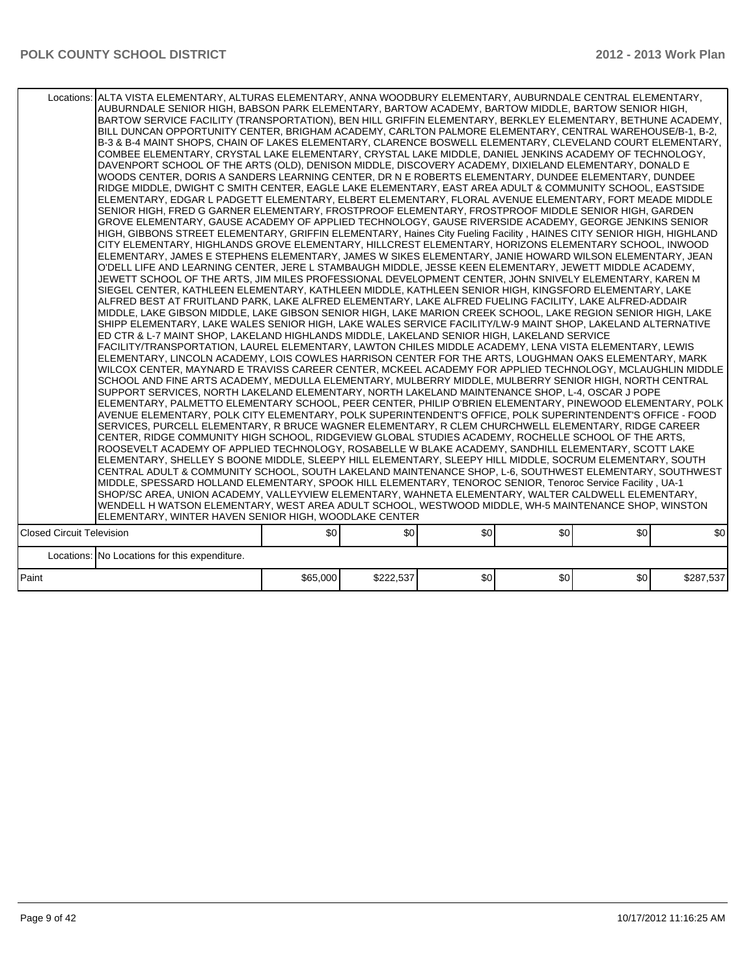|                                  | Locations: ALTA VISTA ELEMENTARY, ALTURAS ELEMENTARY, ANNA WOODBURY ELEMENTARY, AUBURNDALE CENTRAL ELEMENTARY,<br>AUBURNDALE SENIOR HIGH, BABSON PARK ELEMENTARY, BARTOW ACADEMY, BARTOW MIDDLE, BARTOW SENIOR HIGH,<br>BARTOW SERVICE FACILITY (TRANSPORTATION), BEN HILL GRIFFIN ELEMENTARY, BERKLEY ELEMENTARY, BETHUNE ACADEMY,<br>BILL DUNCAN OPPORTUNITY CENTER, BRIGHAM ACADEMY, CARLTON PALMORE ELEMENTARY, CENTRAL WAREHOUSE/B-1, B-2,<br>B-3 & B-4 MAINT SHOPS, CHAIN OF LAKES ELEMENTARY, CLARENCE BOSWELL ELEMENTARY, CLEVELAND COURT ELEMENTARY,<br>COMBEE ELEMENTARY, CRYSTAL LAKE ELEMENTARY, CRYSTAL LAKE MIDDLE, DANIEL JENKINS ACADEMY OF TECHNOLOGY,<br>DAVENPORT SCHOOL OF THE ARTS (OLD), DENISON MIDDLE, DISCOVERY ACADEMY, DIXIELAND ELEMENTARY, DONALD E<br>WOODS CENTER, DORIS A SANDERS LEARNING CENTER, DR N E ROBERTS ELEMENTARY, DUNDEE ELEMENTARY, DUNDEE<br>RIDGE MIDDLE, DWIGHT C SMITH CENTER, EAGLE LAKE ELEMENTARY, EAST AREA ADULT & COMMUNITY SCHOOL, EASTSIDE<br>ELEMENTARY, EDGAR L PADGETT ELEMENTARY, ELBERT ELEMENTARY, FLORAL AVENUE ELEMENTARY, FORT MEADE MIDDLE<br>SENIOR HIGH, FRED G GARNER ELEMENTARY, FROSTPROOF ELEMENTARY, FROSTPROOF MIDDLE SENIOR HIGH, GARDEN<br>GROVE ELEMENTARY, GAUSE ACADEMY OF APPLIED TECHNOLOGY, GAUSE RIVERSIDE ACADEMY, GEORGE JENKINS SENIOR<br>HIGH, GIBBONS STREET ELEMENTARY, GRIFFIN ELEMENTARY, Haines City Fueling Facility, HAINES CITY SENIOR HIGH, HIGHLAND<br>CITY ELEMENTARY, HIGHLANDS GROVE ELEMENTARY, HILLCREST ELEMENTARY, HORIZONS ELEMENTARY SCHOOL, INWOOD<br>ELEMENTARY, JAMES E STEPHENS ELEMENTARY, JAMES W SIKES ELEMENTARY, JANIE HOWARD WILSON ELEMENTARY, JEAN<br>O'DELL LIFE AND LEARNING CENTER, JERE L STAMBAUGH MIDDLE, JESSE KEEN ELEMENTARY, JEWETT MIDDLE ACADEMY,<br>JEWETT SCHOOL OF THE ARTS, JIM MILES PROFESSIONAL DEVELOPMENT CENTER, JOHN SNIVELY ELEMENTARY, KAREN M<br>SIEGEL CENTER, KATHLEEN ELEMENTARY, KATHLEEN MIDDLE, KATHLEEN SENIOR HIGH, KINGSFORD ELEMENTARY, LAKE<br>ALFRED BEST AT FRUITLAND PARK, LAKE ALFRED ELEMENTARY, LAKE ALFRED FUELING FACILITY, LAKE ALFRED-ADDAIR<br>MIDDLE, LAKE GIBSON MIDDLE, LAKE GIBSON SENIOR HIGH, LAKE MARION CREEK SCHOOL, LAKE REGION SENIOR HIGH, LAKE<br>SHIPP ELEMENTARY, LAKE WALES SENIOR HIGH, LAKE WALES SERVICE FACILITY/LW-9 MAINT SHOP, LAKELAND ALTERNATIVE<br>ED CTR & L-7 MAINT SHOP, LAKELAND HIGHLANDS MIDDLE, LAKELAND SENIOR HIGH, LAKELAND SERVICE<br>FACILITY/TRANSPORTATION, LAUREL ELEMENTARY, LAWTON CHILES MIDDLE ACADEMY, LENA VISTA ELEMENTARY, LEWIS<br>ELEMENTARY, LINCOLN ACADEMY, LOIS COWLES HARRISON CENTER FOR THE ARTS, LOUGHMAN OAKS ELEMENTARY, MARK<br>WILCOX CENTER, MAYNARD E TRAVISS CAREER CENTER, MCKEEL ACADEMY FOR APPLIED TECHNOLOGY, MCLAUGHLIN MIDDLE<br>SCHOOL AND FINE ARTS ACADEMY, MEDULLA ELEMENTARY, MULBERRY MIDDLE, MULBERRY SENIOR HIGH, NORTH CENTRAL<br>SUPPORT SERVICES, NORTH LAKELAND ELEMENTARY, NORTH LAKELAND MAINTENANCE SHOP, L-4, OSCAR J POPE<br>ELEMENTARY, PALMETTO ELEMENTARY SCHOOL, PEER CENTER, PHILIP O'BRIEN ELEMENTARY, PINEWOOD ELEMENTARY, POLK<br>AVENUE ELEMENTARY, POLK CITY ELEMENTARY, POLK SUPERINTENDENT'S OFFICE, POLK SUPERINTENDENT'S OFFICE - FOOD<br>SERVICES, PURCELL ELEMENTARY, R BRUCE WAGNER ELEMENTARY, R CLEM CHURCHWELL ELEMENTARY, RIDGE CAREER<br>CENTER, RIDGE COMMUNITY HIGH SCHOOL, RIDGEVIEW GLOBAL STUDIES ACADEMY, ROCHELLE SCHOOL OF THE ARTS,<br>ROOSEVELT ACADEMY OF APPLIED TECHNOLOGY, ROSABELLE W BLAKE ACADEMY, SANDHILL ELEMENTARY, SCOTT LAKE<br>ELEMENTARY, SHELLEY S BOONE MIDDLE, SLEEPY HILL ELEMENTARY, SLEEPY HILL MIDDLE, SOCRUM ELEMENTARY, SOUTH<br>CENTRAL ADULT & COMMUNITY SCHOOL, SOUTH LAKELAND MAINTENANCE SHOP, L-6, SOUTHWEST ELEMENTARY, SOUTHWEST<br>MIDDLE, SPESSARD HOLLAND ELEMENTARY, SPOOK HILL ELEMENTARY, TENOROC SENIOR, Tenoroc Service Facility, UA-1<br>SHOP/SC AREA, UNION ACADEMY, VALLEYVIEW ELEMENTARY, WAHNETA ELEMENTARY, WALTER CALDWELL ELEMENTARY,<br>WENDELL H WATSON ELEMENTARY, WEST AREA ADULT SCHOOL, WESTWOOD MIDDLE, WH-5 MAINTENANCE SHOP, WINSTON<br>ELEMENTARY, WINTER HAVEN SENIOR HIGH, WOODLAKE CENTER |          |           |     |      |     |           |
|----------------------------------|----------------------------------------------------------------------------------------------------------------------------------------------------------------------------------------------------------------------------------------------------------------------------------------------------------------------------------------------------------------------------------------------------------------------------------------------------------------------------------------------------------------------------------------------------------------------------------------------------------------------------------------------------------------------------------------------------------------------------------------------------------------------------------------------------------------------------------------------------------------------------------------------------------------------------------------------------------------------------------------------------------------------------------------------------------------------------------------------------------------------------------------------------------------------------------------------------------------------------------------------------------------------------------------------------------------------------------------------------------------------------------------------------------------------------------------------------------------------------------------------------------------------------------------------------------------------------------------------------------------------------------------------------------------------------------------------------------------------------------------------------------------------------------------------------------------------------------------------------------------------------------------------------------------------------------------------------------------------------------------------------------------------------------------------------------------------------------------------------------------------------------------------------------------------------------------------------------------------------------------------------------------------------------------------------------------------------------------------------------------------------------------------------------------------------------------------------------------------------------------------------------------------------------------------------------------------------------------------------------------------------------------------------------------------------------------------------------------------------------------------------------------------------------------------------------------------------------------------------------------------------------------------------------------------------------------------------------------------------------------------------------------------------------------------------------------------------------------------------------------------------------------------------------------------------------------------------------------------------------------------------------------------------------------------------------------------------------------------------------------------------------------------------------------------------------------------------------------------------------------------------------------------------------------------------------------------------------------------------------------------------------------------------------------------------------------------------------------------------------------------------------------------------------------------------------------------------------------------------------------------------------------------------------------------------------------------------------------------------------------------------------------------------------------------------------------------------------------------------------------------------------------------------------|----------|-----------|-----|------|-----|-----------|
| <b>Closed Circuit Television</b> |                                                                                                                                                                                                                                                                                                                                                                                                                                                                                                                                                                                                                                                                                                                                                                                                                                                                                                                                                                                                                                                                                                                                                                                                                                                                                                                                                                                                                                                                                                                                                                                                                                                                                                                                                                                                                                                                                                                                                                                                                                                                                                                                                                                                                                                                                                                                                                                                                                                                                                                                                                                                                                                                                                                                                                                                                                                                                                                                                                                                                                                                                                                                                                                                                                                                                                                                                                                                                                                                                                                                                                                                                                                                                                                                                                                                                                                                                                                                                                                                                                                                                                                                                          | \$0      | \$0       | \$0 | \$0] | \$0 | \$0       |
|                                  | Locations: No Locations for this expenditure.                                                                                                                                                                                                                                                                                                                                                                                                                                                                                                                                                                                                                                                                                                                                                                                                                                                                                                                                                                                                                                                                                                                                                                                                                                                                                                                                                                                                                                                                                                                                                                                                                                                                                                                                                                                                                                                                                                                                                                                                                                                                                                                                                                                                                                                                                                                                                                                                                                                                                                                                                                                                                                                                                                                                                                                                                                                                                                                                                                                                                                                                                                                                                                                                                                                                                                                                                                                                                                                                                                                                                                                                                                                                                                                                                                                                                                                                                                                                                                                                                                                                                                            |          |           |     |      |     |           |
| Paint                            |                                                                                                                                                                                                                                                                                                                                                                                                                                                                                                                                                                                                                                                                                                                                                                                                                                                                                                                                                                                                                                                                                                                                                                                                                                                                                                                                                                                                                                                                                                                                                                                                                                                                                                                                                                                                                                                                                                                                                                                                                                                                                                                                                                                                                                                                                                                                                                                                                                                                                                                                                                                                                                                                                                                                                                                                                                                                                                                                                                                                                                                                                                                                                                                                                                                                                                                                                                                                                                                                                                                                                                                                                                                                                                                                                                                                                                                                                                                                                                                                                                                                                                                                                          | \$65,000 | \$222,537 | \$0 | \$0  | \$0 | \$287,537 |
|                                  |                                                                                                                                                                                                                                                                                                                                                                                                                                                                                                                                                                                                                                                                                                                                                                                                                                                                                                                                                                                                                                                                                                                                                                                                                                                                                                                                                                                                                                                                                                                                                                                                                                                                                                                                                                                                                                                                                                                                                                                                                                                                                                                                                                                                                                                                                                                                                                                                                                                                                                                                                                                                                                                                                                                                                                                                                                                                                                                                                                                                                                                                                                                                                                                                                                                                                                                                                                                                                                                                                                                                                                                                                                                                                                                                                                                                                                                                                                                                                                                                                                                                                                                                                          |          |           |     |      |     |           |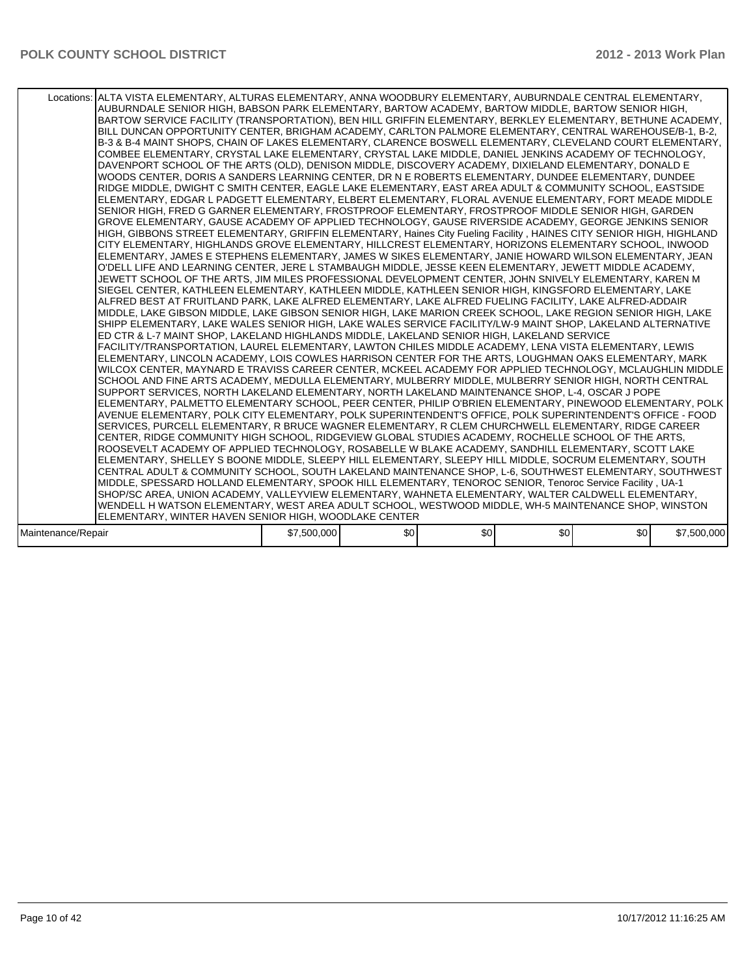|                    | Locations: ALTA VISTA ELEMENTARY, ALTURAS ELEMENTARY, ANNA WOODBURY ELEMENTARY, AUBURNDALE CENTRAL ELEMENTARY,<br>AUBURNDALE SENIOR HIGH, BABSON PARK ELEMENTARY, BARTOW ACADEMY, BARTOW MIDDLE, BARTOW SENIOR HIGH,<br>BARTOW SERVICE FACILITY (TRANSPORTATION), BEN HILL GRIFFIN ELEMENTARY, BERKLEY ELEMENTARY, BETHUNE ACADEMY,<br>BILL DUNCAN OPPORTUNITY CENTER, BRIGHAM ACADEMY, CARLTON PALMORE ELEMENTARY, CENTRAL WAREHOUSE/B-1, B-2,<br>B-3 & B-4 MAINT SHOPS, CHAIN OF LAKES ELEMENTARY, CLARENCE BOSWELL ELEMENTARY, CLEVELAND COURT ELEMENTARY,<br>COMBEE ELEMENTARY, CRYSTAL LAKE ELEMENTARY, CRYSTAL LAKE MIDDLE, DANIEL JENKINS ACADEMY OF TECHNOLOGY,<br>DAVENPORT SCHOOL OF THE ARTS (OLD), DENISON MIDDLE, DISCOVERY ACADEMY, DIXIELAND ELEMENTARY, DONALD E<br>WOODS CENTER. DORIS A SANDERS LEARNING CENTER. DR N E ROBERTS ELEMENTARY. DUNDEE ELEMENTARY. DUNDEE<br>RIDGE MIDDLE, DWIGHT C SMITH CENTER, EAGLE LAKE ELEMENTARY, EAST AREA ADULT & COMMUNITY SCHOOL, EASTSIDE<br>ELEMENTARY, EDGAR L PADGETT ELEMENTARY, ELBERT ELEMENTARY, FLORAL AVENUE ELEMENTARY, FORT MEADE MIDDLE<br>SENIOR HIGH, FRED G GARNER ELEMENTARY, FROSTPROOF ELEMENTARY, FROSTPROOF MIDDLE SENIOR HIGH, GARDEN<br>GROVE ELEMENTARY, GAUSE ACADEMY OF APPLIED TECHNOLOGY, GAUSE RIVERSIDE ACADEMY, GEORGE JENKINS SENIOR<br>HIGH, GIBBONS STREET ELEMENTARY, GRIFFIN ELEMENTARY, Haines City Fueling Facility , HAINES CITY SENIOR HIGH, HIGHLAND<br>CITY ELEMENTARY, HIGHLANDS GROVE ELEMENTARY, HILLCREST ELEMENTARY, HORIZONS ELEMENTARY SCHOOL, INWOOD<br>ELEMENTARY, JAMES E STEPHENS ELEMENTARY, JAMES W SIKES ELEMENTARY, JANIE HOWARD WILSON ELEMENTARY, JEAN<br>O'DELL LIFE AND LEARNING CENTER. JERE L STAMBAUGH MIDDLE. JESSE KEEN ELEMENTARY. JEWETT MIDDLE ACADEMY.<br>JEWETT SCHOOL OF THE ARTS, JIM MILES PROFESSIONAL DEVELOPMENT CENTER, JOHN SNIVELY ELEMENTARY, KAREN M<br>SIEGEL CENTER. KATHLEEN ELEMENTARY. KATHLEEN MIDDLE. KATHLEEN SENIOR HIGH. KINGSFORD ELEMENTARY. LAKE<br>ALFRED BEST AT FRUITLAND PARK. LAKE ALFRED ELEMENTARY. LAKE ALFRED FUELING FACILITY. LAKE ALFRED-ADDAIR<br>MIDDLE, LAKE GIBSON MIDDLE, LAKE GIBSON SENIOR HIGH, LAKE MARION CREEK SCHOOL, LAKE REGION SENIOR HIGH, LAKE<br>SHIPP ELEMENTARY, LAKE WALES SENIOR HIGH, LAKE WALES SERVICE FACILITY/LW-9 MAINT SHOP, LAKELAND ALTERNATIVE<br>ED CTR & L-7 MAINT SHOP, LAKELAND HIGHLANDS MIDDLE, LAKELAND SENIOR HIGH, LAKELAND SERVICE<br>FACILITY/TRANSPORTATION, LAUREL ELEMENTARY, LAWTON CHILES MIDDLE ACADEMY, LENA VISTA ELEMENTARY, LEWIS<br>ELEMENTARY, LINCOLN ACADEMY, LOIS COWLES HARRISON CENTER FOR THE ARTS, LOUGHMAN OAKS ELEMENTARY, MARK<br>WILCOX CENTER. MAYNARD E TRAVISS CAREER CENTER. MCKEEL ACADEMY FOR APPLIED TECHNOLOGY. MCLAUGHLIN MIDDLE<br>SCHOOL AND FINE ARTS ACADEMY, MEDULLA ELEMENTARY, MULBERRY MIDDLE, MULBERRY SENIOR HIGH, NORTH CENTRAL<br>SUPPORT SERVICES, NORTH LAKELAND ELEMENTARY, NORTH LAKELAND MAINTENANCE SHOP, L-4, OSCAR J POPE<br> ELEMENTARY, PALMETTO ELEMENTARY SCHOOL, PEER CENTER, PHILIP O'BRIEN ELEMENTARY, PINEWOOD ELEMENTARY, POLK<br>AVENUE ELEMENTARY, POLK CITY ELEMENTARY, POLK SUPERINTENDENT'S OFFICE, POLK SUPERINTENDENT'S OFFICE - FOOD<br>SERVICES, PURCELL ELEMENTARY, R BRUCE WAGNER ELEMENTARY, R CLEM CHURCHWELL ELEMENTARY, RIDGE CAREER<br>CENTER, RIDGE COMMUNITY HIGH SCHOOL, RIDGEVIEW GLOBAL STUDIES ACADEMY, ROCHELLE SCHOOL OF THE ARTS,<br>ROOSEVELT ACADEMY OF APPLIED TECHNOLOGY, ROSABELLE W BLAKE ACADEMY, SANDHILL ELEMENTARY, SCOTT LAKE<br>ELEMENTARY, SHELLEY S BOONE MIDDLE, SLEEPY HILL ELEMENTARY, SLEEPY HILL MIDDLE, SOCRUM ELEMENTARY, SOUTH<br>CENTRAL ADULT & COMMUNITY SCHOOL, SOUTH LAKELAND MAINTENANCE SHOP, L-6, SOUTHWEST ELEMENTARY, SOUTHWEST<br>MIDDLE, SPESSARD HOLLAND ELEMENTARY, SPOOK HILL ELEMENTARY, TENOROC SENIOR, Tenoroc Service Facility, UA-1<br>SHOP/SC AREA, UNION ACADEMY, VALLEYVIEW ELEMENTARY, WAHNETA ELEMENTARY, WALTER CALDWELL ELEMENTARY,<br>WENDELL H WATSON ELEMENTARY, WEST AREA ADULT SCHOOL, WESTWOOD MIDDLE, WH-5 MAINTENANCE SHOP, WINSTON |             |     |     |     |     |             |
|--------------------|---------------------------------------------------------------------------------------------------------------------------------------------------------------------------------------------------------------------------------------------------------------------------------------------------------------------------------------------------------------------------------------------------------------------------------------------------------------------------------------------------------------------------------------------------------------------------------------------------------------------------------------------------------------------------------------------------------------------------------------------------------------------------------------------------------------------------------------------------------------------------------------------------------------------------------------------------------------------------------------------------------------------------------------------------------------------------------------------------------------------------------------------------------------------------------------------------------------------------------------------------------------------------------------------------------------------------------------------------------------------------------------------------------------------------------------------------------------------------------------------------------------------------------------------------------------------------------------------------------------------------------------------------------------------------------------------------------------------------------------------------------------------------------------------------------------------------------------------------------------------------------------------------------------------------------------------------------------------------------------------------------------------------------------------------------------------------------------------------------------------------------------------------------------------------------------------------------------------------------------------------------------------------------------------------------------------------------------------------------------------------------------------------------------------------------------------------------------------------------------------------------------------------------------------------------------------------------------------------------------------------------------------------------------------------------------------------------------------------------------------------------------------------------------------------------------------------------------------------------------------------------------------------------------------------------------------------------------------------------------------------------------------------------------------------------------------------------------------------------------------------------------------------------------------------------------------------------------------------------------------------------------------------------------------------------------------------------------------------------------------------------------------------------------------------------------------------------------------------------------------------------------------------------------------------------------------------------------------------------------------------------------------------------------------------------------------------------------------------------------------------------------------------------------------------------------------------------------------------------------------------------------------------------------------------------------------------------------------------------------------------------------------------------------------------------------------------------------------------|-------------|-----|-----|-----|-----|-------------|
|                    |                                                                                                                                                                                                                                                                                                                                                                                                                                                                                                                                                                                                                                                                                                                                                                                                                                                                                                                                                                                                                                                                                                                                                                                                                                                                                                                                                                                                                                                                                                                                                                                                                                                                                                                                                                                                                                                                                                                                                                                                                                                                                                                                                                                                                                                                                                                                                                                                                                                                                                                                                                                                                                                                                                                                                                                                                                                                                                                                                                                                                                                                                                                                                                                                                                                                                                                                                                                                                                                                                                                                                                                                                                                                                                                                                                                                                                                                                                                                                                                                                                                                                                   |             |     |     |     |     |             |
|                    | ELEMENTARY, WINTER HAVEN SENIOR HIGH, WOODLAKE CENTER                                                                                                                                                                                                                                                                                                                                                                                                                                                                                                                                                                                                                                                                                                                                                                                                                                                                                                                                                                                                                                                                                                                                                                                                                                                                                                                                                                                                                                                                                                                                                                                                                                                                                                                                                                                                                                                                                                                                                                                                                                                                                                                                                                                                                                                                                                                                                                                                                                                                                                                                                                                                                                                                                                                                                                                                                                                                                                                                                                                                                                                                                                                                                                                                                                                                                                                                                                                                                                                                                                                                                                                                                                                                                                                                                                                                                                                                                                                                                                                                                                             |             |     |     |     |     |             |
| Maintenance/Repair |                                                                                                                                                                                                                                                                                                                                                                                                                                                                                                                                                                                                                                                                                                                                                                                                                                                                                                                                                                                                                                                                                                                                                                                                                                                                                                                                                                                                                                                                                                                                                                                                                                                                                                                                                                                                                                                                                                                                                                                                                                                                                                                                                                                                                                                                                                                                                                                                                                                                                                                                                                                                                                                                                                                                                                                                                                                                                                                                                                                                                                                                                                                                                                                                                                                                                                                                                                                                                                                                                                                                                                                                                                                                                                                                                                                                                                                                                                                                                                                                                                                                                                   | \$7,500,000 | \$0 | \$0 | \$0 | \$0 | \$7,500,000 |
|                    |                                                                                                                                                                                                                                                                                                                                                                                                                                                                                                                                                                                                                                                                                                                                                                                                                                                                                                                                                                                                                                                                                                                                                                                                                                                                                                                                                                                                                                                                                                                                                                                                                                                                                                                                                                                                                                                                                                                                                                                                                                                                                                                                                                                                                                                                                                                                                                                                                                                                                                                                                                                                                                                                                                                                                                                                                                                                                                                                                                                                                                                                                                                                                                                                                                                                                                                                                                                                                                                                                                                                                                                                                                                                                                                                                                                                                                                                                                                                                                                                                                                                                                   |             |     |     |     |     |             |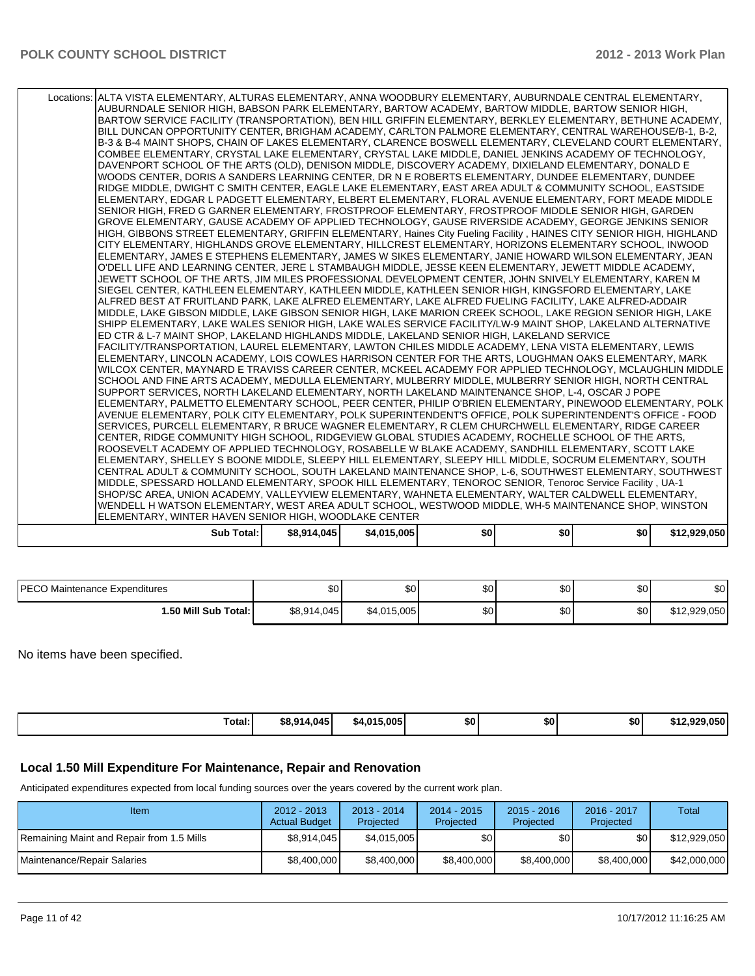| Sub Total:                                                                                                                                                                                                      | \$8,914,045 | \$4,015,005 | \$0 | \$0 | \$0 | \$12,929,050 |
|-----------------------------------------------------------------------------------------------------------------------------------------------------------------------------------------------------------------|-------------|-------------|-----|-----|-----|--------------|
| ELEMENTARY, WINTER HAVEN SENIOR HIGH, WOODLAKE CENTER                                                                                                                                                           |             |             |     |     |     |              |
| WENDELL H WATSON ELEMENTARY, WEST AREA ADULT SCHOOL, WESTWOOD MIDDLE, WH-5 MAINTENANCE SHOP, WINSTON                                                                                                            |             |             |     |     |     |              |
| SHOP/SC AREA, UNION ACADEMY, VALLEYVIEW ELEMENTARY, WAHNETA ELEMENTARY, WALTER CALDWELL ELEMENTARY,                                                                                                             |             |             |     |     |     |              |
| MIDDLE, SPESSARD HOLLAND ELEMENTARY, SPOOK HILL ELEMENTARY, TENOROC SENIOR, Tenoroc Service Facility, UA-1                                                                                                      |             |             |     |     |     |              |
| CENTRAL ADULT & COMMUNITY SCHOOL, SOUTH LAKELAND MAINTENANCE SHOP, L-6, SOUTHWEST ELEMENTARY, SOUTHWEST                                                                                                         |             |             |     |     |     |              |
| ELEMENTARY, SHELLEY S BOONE MIDDLE, SLEEPY HILL ELEMENTARY, SLEEPY HILL MIDDLE, SOCRUM ELEMENTARY, SOUTH                                                                                                        |             |             |     |     |     |              |
| ROOSEVELT ACADEMY OF APPLIED TECHNOLOGY, ROSABELLE W BLAKE ACADEMY, SANDHILL ELEMENTARY, SCOTT LAKE                                                                                                             |             |             |     |     |     |              |
| CENTER, RIDGE COMMUNITY HIGH SCHOOL, RIDGEVIEW GLOBAL STUDIES ACADEMY, ROCHELLE SCHOOL OF THE ARTS,                                                                                                             |             |             |     |     |     |              |
| SERVICES, PURCELL ELEMENTARY, R BRUCE WAGNER ELEMENTARY, R CLEM CHURCHWELL ELEMENTARY, RIDGE CAREER                                                                                                             |             |             |     |     |     |              |
| AVENUE ELEMENTARY. POLK CITY ELEMENTARY. POLK SUPERINTENDENT'S OFFICE. POLK SUPERINTENDENT'S OFFICE - FOOD                                                                                                      |             |             |     |     |     |              |
| ELEMENTARY, PALMETTO ELEMENTARY SCHOOL, PEER CENTER, PHILIP O'BRIEN ELEMENTARY, PINEWOOD ELEMENTARY, POLK                                                                                                       |             |             |     |     |     |              |
| SUPPORT SERVICES. NORTH LAKELAND ELEMENTARY. NORTH LAKELAND MAINTENANCE SHOP. L-4. OSCAR J POPE                                                                                                                 |             |             |     |     |     |              |
| SCHOOL AND FINE ARTS ACADEMY, MEDULLA ELEMENTARY, MULBERRY MIDDLE, MULBERRY SENIOR HIGH, NORTH CENTRAL                                                                                                          |             |             |     |     |     |              |
| WILCOX CENTER, MAYNARD E TRAVISS CAREER CENTER, MCKEEL ACADEMY FOR APPLIED TECHNOLOGY, MCLAUGHLIN MIDDLE                                                                                                        |             |             |     |     |     |              |
| FACILITY/TRANSPORTATION, LAUREL ELEMENTARY, LAWTON CHILES MIDDLE ACADEMY, LENA VISTA ELEMENTARY, LEWIS<br>ELEMENTARY, LINCOLN ACADEMY, LOIS COWLES HARRISON CENTER FOR THE ARTS, LOUGHMAN OAKS ELEMENTARY, MARK |             |             |     |     |     |              |
| ED CTR & L-7 MAINT SHOP, LAKELAND HIGHLANDS MIDDLE, LAKELAND SENIOR HIGH, LAKELAND SERVICE                                                                                                                      |             |             |     |     |     |              |
| SHIPP ELEMENTARY, LAKE WALES SENIOR HIGH, LAKE WALES SERVICE FACILITY/LW-9 MAINT SHOP, LAKELAND ALTERNATIVE                                                                                                     |             |             |     |     |     |              |
| MIDDLE, LAKE GIBSON MIDDLE, LAKE GIBSON SENIOR HIGH, LAKE MARION CREEK SCHOOL, LAKE REGION SENIOR HIGH, LAKE                                                                                                    |             |             |     |     |     |              |
| ALFRED BEST AT FRUITLAND PARK. LAKE ALFRED ELEMENTARY. LAKE ALFRED FUELING FACILITY. LAKE ALFRED-ADDAIR                                                                                                         |             |             |     |     |     |              |
| SIEGEL CENTER, KATHLEEN ELEMENTARY, KATHLEEN MIDDLE, KATHLEEN SENIOR HIGH, KINGSFORD ELEMENTARY, LAKE                                                                                                           |             |             |     |     |     |              |
| JEWETT SCHOOL OF THE ARTS, JIM MILES PROFESSIONAL DEVELOPMENT CENTER, JOHN SNIVELY ELEMENTARY, KAREN M                                                                                                          |             |             |     |     |     |              |
| O'DELL LIFE AND LEARNING CENTER, JERE L STAMBAUGH MIDDLE, JESSE KEEN ELEMENTARY, JEWETT MIDDLE ACADEMY,                                                                                                         |             |             |     |     |     |              |
| ELEMENTARY, JAMES E STEPHENS ELEMENTARY, JAMES W SIKES ELEMENTARY, JANIE HOWARD WILSON ELEMENTARY, JEAN                                                                                                         |             |             |     |     |     |              |
| CITY ELEMENTARY, HIGHLANDS GROVE ELEMENTARY, HILLCREST ELEMENTARY, HORIZONS ELEMENTARY SCHOOL, INWOOD                                                                                                           |             |             |     |     |     |              |
| HIGH, GIBBONS STREET ELEMENTARY, GRIFFIN ELEMENTARY, Haines City Fueling Facility, HAINES CITY SENIOR HIGH, HIGHLAND                                                                                            |             |             |     |     |     |              |
| GROVE ELEMENTARY, GAUSE ACADEMY OF APPLIED TECHNOLOGY, GAUSE RIVERSIDE ACADEMY, GEORGE JENKINS SENIOR                                                                                                           |             |             |     |     |     |              |
| SENIOR HIGH, FRED G GARNER ELEMENTARY, FROSTPROOF ELEMENTARY, FROSTPROOF MIDDLE SENIOR HIGH, GARDEN                                                                                                             |             |             |     |     |     |              |
| ELEMENTARY, EDGAR L PADGETT ELEMENTARY, ELBERT ELEMENTARY, FLORAL AVENUE ELEMENTARY, FORT MEADE MIDDLE                                                                                                          |             |             |     |     |     |              |
| RIDGE MIDDLE, DWIGHT C SMITH CENTER, EAGLE LAKE ELEMENTARY, EAST AREA ADULT & COMMUNITY SCHOOL, EASTSIDE                                                                                                        |             |             |     |     |     |              |
| WOODS CENTER, DORIS A SANDERS LEARNING CENTER, DR N E ROBERTS ELEMENTARY, DUNDEE ELEMENTARY, DUNDEE                                                                                                             |             |             |     |     |     |              |
| DAVENPORT SCHOOL OF THE ARTS (OLD), DENISON MIDDLE, DISCOVERY ACADEMY, DIXIELAND ELEMENTARY, DONALD E                                                                                                           |             |             |     |     |     |              |
| COMBEE ELEMENTARY, CRYSTAL LAKE ELEMENTARY, CRYSTAL LAKE MIDDLE, DANIEL JENKINS ACADEMY OF TECHNOLOGY,                                                                                                          |             |             |     |     |     |              |
| B-3 & B-4 MAINT SHOPS, CHAIN OF LAKES ELEMENTARY, CLARENCE BOSWELL ELEMENTARY, CLEVELAND COURT ELEMENTARY,                                                                                                      |             |             |     |     |     |              |
| BILL DUNCAN OPPORTUNITY CENTER, BRIGHAM ACADEMY, CARLTON PALMORE ELEMENTARY, CENTRAL WAREHOUSE/B-1, B-2,                                                                                                        |             |             |     |     |     |              |
| BARTOW SERVICE FACILITY (TRANSPORTATION), BEN HILL GRIFFIN ELEMENTARY, BERKLEY ELEMENTARY, BETHUNE ACADEMY,                                                                                                     |             |             |     |     |     |              |
| AUBURNDALE SENIOR HIGH, BABSON PARK ELEMENTARY, BARTOW ACADEMY, BARTOW MIDDLE, BARTOW SENIOR HIGH,                                                                                                              |             |             |     |     |     |              |
| Locations: ALTA VISTA ELEMENTARY, ALTURAS ELEMENTARY, ANNA WOODBURY ELEMENTARY, AUBURNDALE CENTRAL ELEMENTARY,                                                                                                  |             |             |     |     |     |              |
|                                                                                                                                                                                                                 |             |             |     |     |     |              |

| <b>IPECO Maintenance Expenditures</b> | $\sim$<br>υŒ | $\sim$<br>wυ | $\sim$<br>w. | <b>ጥ</b> .<br>æU. | ሖ<br>υ∪ | \$0          |
|---------------------------------------|--------------|--------------|--------------|-------------------|---------|--------------|
|                                       | \$8,914,045  | \$4,015,005  | $\sim$<br>Ψ  | \$0               | \$0     | \$12,929,050 |

No items have been specified.

| Total:<br>\$4.015.005<br>$+045$<br>\$0 <sub>1</sub><br>$\sim$<br>\$0<br>\$8.91<br>\$0<br>14. |  |  |  |  |  |  |
|----------------------------------------------------------------------------------------------|--|--|--|--|--|--|
|----------------------------------------------------------------------------------------------|--|--|--|--|--|--|

#### **Local 1.50 Mill Expenditure For Maintenance, Repair and Renovation**

Anticipated expenditures expected from local funding sources over the years covered by the current work plan.

| Item                                      | $2012 - 2013$<br><b>Actual Budget</b> | $2013 - 2014$<br>Projected | 2014 - 2015<br>Projected | $2015 - 2016$<br>Projected | 2016 - 2017<br>Projected | Total        |
|-------------------------------------------|---------------------------------------|----------------------------|--------------------------|----------------------------|--------------------------|--------------|
| Remaining Maint and Repair from 1.5 Mills | \$8.914.045                           | \$4,015,005                | \$0I                     | \$0                        | \$0                      | \$12,929,050 |
| Maintenance/Repair Salaries               | \$8,400,000                           | \$8,400,000                | \$8,400,000              | \$8,400,000                | \$8,400,000              | \$42,000,000 |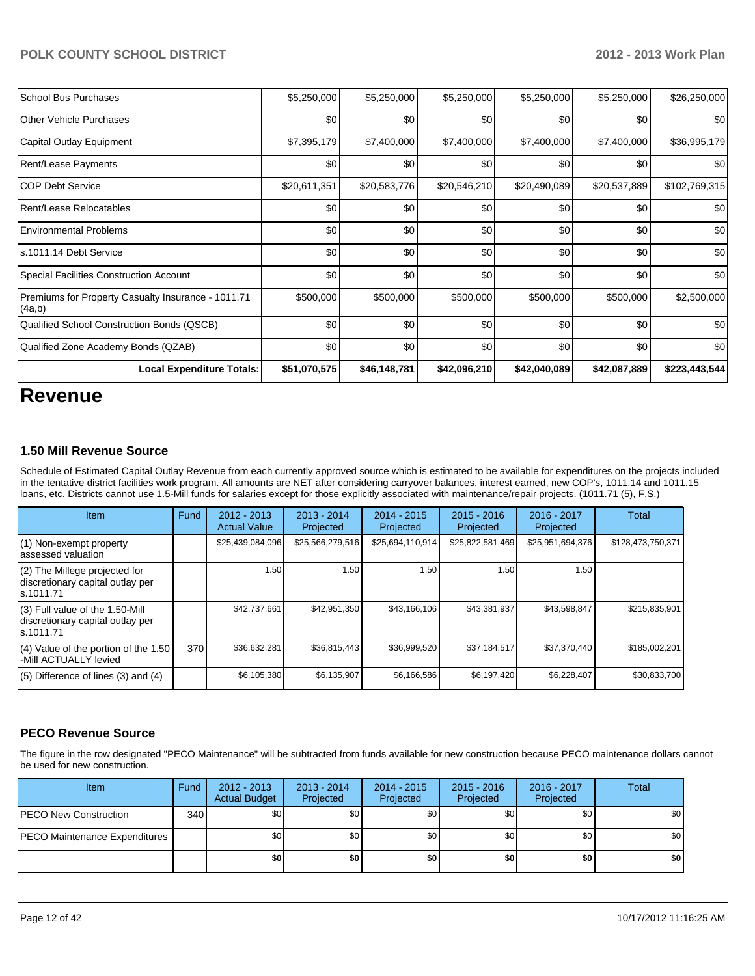| <b>School Bus Purchases</b>                                  | \$5,250,000  | \$5,250,000  | \$5,250,000  | \$5,250,000  | \$5,250,000  | \$26,250,000  |
|--------------------------------------------------------------|--------------|--------------|--------------|--------------|--------------|---------------|
| <b>IOther Vehicle Purchases</b>                              | \$0          | \$0          | \$0          | \$0          | \$0          | \$0           |
| Capital Outlay Equipment                                     | \$7,395,179  | \$7,400,000  | \$7,400,000  | \$7,400,000  | \$7,400,000  | \$36,995,179  |
| Rent/Lease Payments                                          | \$0          | \$0          | \$0          | \$0          | \$0          | \$0           |
| ICOP Debt Service                                            | \$20,611,351 | \$20,583,776 | \$20,546,210 | \$20,490,089 | \$20,537,889 | \$102,769,315 |
| Rent/Lease Relocatables                                      | \$0          | \$0          | \$0          | \$0          | \$0          | \$0           |
| <b>IEnvironmental Problems</b>                               | \$0          | \$0          | \$0          | \$0          | \$0          | \$0           |
| Is.1011.14 Debt Service                                      | \$0          | \$0          | \$0          | \$0          | \$0          | \$0           |
| Special Facilities Construction Account                      | \$0          | \$0          | \$0          | \$0          | \$0          | \$0           |
| Premiums for Property Casualty Insurance - 1011.71<br>(4a,b) | \$500,000    | \$500,000    | \$500,000    | \$500,000    | \$500,000    | \$2,500,000   |
| Qualified School Construction Bonds (QSCB)                   | \$0          | \$0          | \$0          | \$0          | \$0          | \$0           |
| Qualified Zone Academy Bonds (QZAB)                          | \$0          | \$0          | \$0          | \$0          | \$0          | \$0           |
| <b>Local Expenditure Totals:</b>                             | \$51,070,575 | \$46,148,781 | \$42,096,210 | \$42,040,089 | \$42,087,889 | \$223,443,544 |

# **Revenue**

#### **1.50 Mill Revenue Source**

Schedule of Estimated Capital Outlay Revenue from each currently approved source which is estimated to be available for expenditures on the projects included in the tentative district facilities work program. All amounts are NET after considering carryover balances, interest earned, new COP's, 1011.14 and 1011.15 loans, etc. Districts cannot use 1.5-Mill funds for salaries except for those explicitly associated with maintenance/repair projects. (1011.71 (5), F.S.)

| Item                                                                                | Fund | $2012 - 2013$<br><b>Actual Value</b> | $2013 - 2014$<br>Projected | $2014 - 2015$<br>Projected | $2015 - 2016$<br>Projected | 2016 - 2017<br>Projected | Total             |
|-------------------------------------------------------------------------------------|------|--------------------------------------|----------------------------|----------------------------|----------------------------|--------------------------|-------------------|
| $(1)$ Non-exempt property<br>assessed valuation                                     |      | \$25,439,084,096                     | \$25,566,279,516           | \$25,694,110,914           | \$25,822,581,469           | \$25,951,694,376         | \$128,473,750,371 |
| $(2)$ The Millege projected for<br>discretionary capital outlay per<br>ls.1011.71   |      | 1.50                                 | 1.50                       | 1.50                       | 1.50                       | 1.50                     |                   |
| $(3)$ Full value of the 1.50-Mill<br>discretionary capital outlay per<br>ls.1011.71 |      | \$42,737,661                         | \$42,951,350               | \$43,166,106               | \$43,381,937               | \$43,598,847             | \$215,835,901     |
| (4) Value of the portion of the 1.50<br>-Mill ACTUALLY levied                       | 370  | \$36,632,281                         | \$36,815,443               | \$36,999,520               | \$37,184,517               | \$37,370,440             | \$185,002,201     |
| $(5)$ Difference of lines $(3)$ and $(4)$                                           |      | \$6,105,380                          | \$6,135,907                | \$6,166,586                | \$6,197,420                | \$6,228,407              | \$30,833,700      |

#### **PECO Revenue Source**

The figure in the row designated "PECO Maintenance" will be subtracted from funds available for new construction because PECO maintenance dollars cannot be used for new construction.

| <b>Item</b>                   | Fund | $2012 - 2013$<br><b>Actual Budget</b> | $2013 - 2014$<br>Projected | $2014 - 2015$<br>Projected | $2015 - 2016$<br>Projected | $2016 - 2017$<br>Projected | <b>Total</b> |
|-------------------------------|------|---------------------------------------|----------------------------|----------------------------|----------------------------|----------------------------|--------------|
| IPECO New Construction        | 340  | \$0                                   | \$0 <sub>1</sub>           | \$0                        | \$0                        | \$0                        | \$0          |
| PECO Maintenance Expenditures |      | \$0                                   | \$0                        | \$0                        | \$0                        | \$0                        | \$0          |
|                               |      | \$0 I                                 | \$0                        | \$0                        | \$0                        | \$0                        | \$0          |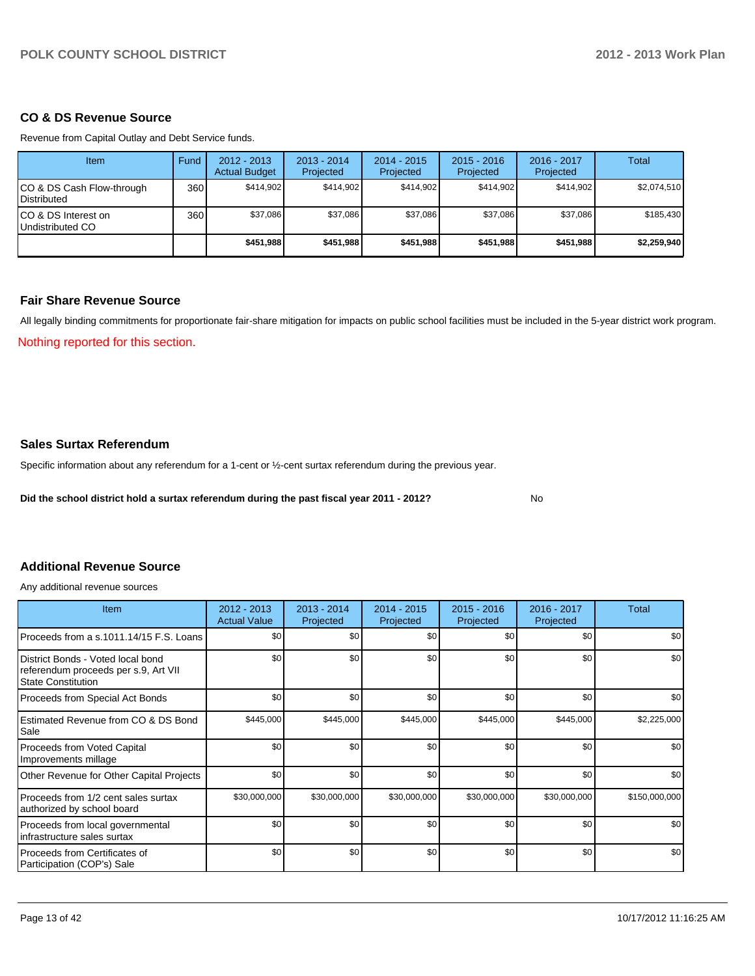#### **CO & DS Revenue Source**

Revenue from Capital Outlay and Debt Service funds.

| Item                                     | Fund | $2012 - 2013$<br><b>Actual Budget</b> | $2013 - 2014$<br>Projected | $2014 - 2015$<br>Projected | $2015 - 2016$<br>Projected | $2016 - 2017$<br>Projected | <b>Total</b> |
|------------------------------------------|------|---------------------------------------|----------------------------|----------------------------|----------------------------|----------------------------|--------------|
| CO & DS Cash Flow-through<br>Distributed | 360  | \$414.902                             | \$414,902                  | \$414.902                  | \$414.902                  | \$414.902                  | \$2,074,510  |
| CO & DS Interest on<br>Undistributed CO  | 360  | \$37.086                              | \$37.086                   | \$37.086                   | \$37.086                   | \$37.086                   | \$185.430    |
|                                          |      | \$451.988                             | \$451.988                  | \$451,988                  | \$451.988                  | \$451.988                  | \$2,259,940  |

#### **Fair Share Revenue Source**

Nothing reported for this section. All legally binding commitments for proportionate fair-share mitigation for impacts on public school facilities must be included in the 5-year district work program.

#### **Sales Surtax Referendum**

Specific information about any referendum for a 1-cent or ½-cent surtax referendum during the previous year.

**Did the school district hold a surtax referendum during the past fiscal year 2011 - 2012?**

No

#### **Additional Revenue Source**

Any additional revenue sources

| <b>Item</b>                                                                                            | 2012 - 2013<br><b>Actual Value</b> | 2013 - 2014<br>Projected | 2014 - 2015<br>Projected | $2015 - 2016$<br>Projected | 2016 - 2017<br>Projected | Total         |
|--------------------------------------------------------------------------------------------------------|------------------------------------|--------------------------|--------------------------|----------------------------|--------------------------|---------------|
| Proceeds from a s.1011.14/15 F.S. Loans                                                                | \$0                                | \$0                      | \$0                      | \$0                        | \$0                      | \$0           |
| District Bonds - Voted local bond<br>referendum proceeds per s.9, Art VII<br><b>State Constitution</b> | \$0                                | \$0                      | \$0                      | \$0                        | \$0                      | \$0           |
| Proceeds from Special Act Bonds                                                                        | \$0                                | \$0                      | \$0                      | \$0                        | \$0                      | \$0           |
| Estimated Revenue from CO & DS Bond<br>Sale                                                            | \$445,000                          | \$445,000                | \$445,000                | \$445,000                  | \$445,000                | \$2,225,000   |
| <b>Proceeds from Voted Capital</b><br>Improvements millage                                             | \$0                                | \$0                      | \$0                      | \$0                        | \$0                      | \$0           |
| Other Revenue for Other Capital Projects                                                               | \$0                                | \$0                      | \$0                      | \$0                        | \$0                      | \$0           |
| Proceeds from 1/2 cent sales surtax<br>authorized by school board                                      | \$30,000,000                       | \$30,000,000             | \$30,000,000             | \$30,000,000               | \$30,000,000             | \$150,000,000 |
| Proceeds from local governmental<br>Infrastructure sales surtax                                        | \$0                                | \$0                      | \$0                      | \$0                        | \$0                      | \$0           |
| l Proceeds from Certificates of<br>Participation (COP's) Sale                                          | \$0                                | \$0                      | \$0                      | \$0                        | \$0                      | \$0           |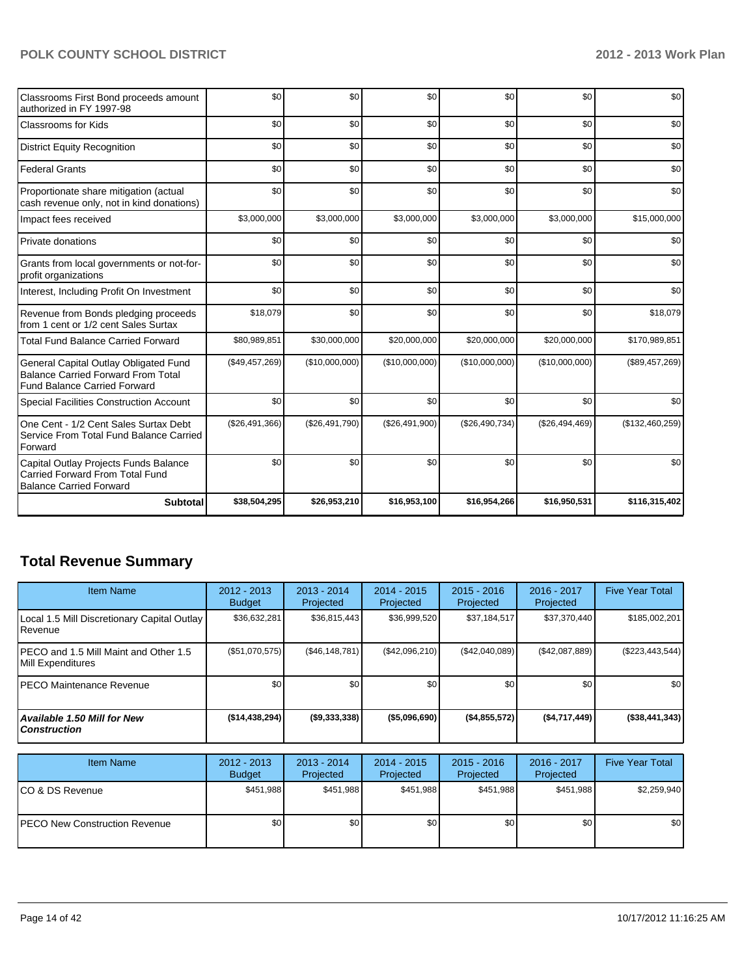| Classrooms First Bond proceeds amount<br>authorized in FY 1997-98                                                         | \$0            | \$0            | \$0            | \$0            | \$0            | \$0             |
|---------------------------------------------------------------------------------------------------------------------------|----------------|----------------|----------------|----------------|----------------|-----------------|
| <b>Classrooms for Kids</b>                                                                                                | \$0            | \$0            | \$0            | \$0            | \$0            | \$0             |
| <b>District Equity Recognition</b>                                                                                        | \$0            | \$0            | \$0            | \$0            | \$0            | \$0             |
| Federal Grants                                                                                                            | \$0            | \$0            | \$0            | \$0            | \$0            | \$0             |
| Proportionate share mitigation (actual<br>cash revenue only, not in kind donations)                                       | \$0            | \$0            | \$0            | \$0            | \$0            | \$0             |
| Impact fees received                                                                                                      | \$3,000,000    | \$3,000,000    | \$3,000,000    | \$3,000,000    | \$3,000,000    | \$15,000,000    |
| <b>Private donations</b>                                                                                                  | \$0            | \$0            | \$0            | \$0            | \$0            | \$0             |
| Grants from local governments or not-for-<br>profit organizations                                                         | \$0            | \$0            | \$0            | \$0            | \$0            | \$0             |
| Interest, Including Profit On Investment                                                                                  | \$0            | \$0            | \$0            | \$0            | \$0            | \$0             |
| Revenue from Bonds pledging proceeds<br>from 1 cent or 1/2 cent Sales Surtax                                              | \$18,079       | \$0            | \$0            | \$0            | \$0            | \$18,079        |
| <b>Total Fund Balance Carried Forward</b>                                                                                 | \$80,989,851   | \$30,000,000   | \$20,000,000   | \$20,000,000   | \$20,000,000   | \$170,989,851   |
| General Capital Outlay Obligated Fund<br><b>Balance Carried Forward From Total</b><br><b>Fund Balance Carried Forward</b> | (\$49,457,269) | (\$10,000,000) | (\$10,000,000) | (\$10,000,000) | (\$10,000,000) | (\$89,457,269)  |
| Special Facilities Construction Account                                                                                   | \$0            | \$0            | \$0            | \$0            | \$0            | \$0             |
| One Cent - 1/2 Cent Sales Surtax Debt<br>Service From Total Fund Balance Carried<br>Forward                               | (\$26,491,366) | (\$26,491,790) | (\$26,491,900) | (\$26,490,734) | (\$26,494,469) | (\$132,460,259) |
| Capital Outlay Projects Funds Balance<br>Carried Forward From Total Fund<br><b>Balance Carried Forward</b>                | \$0            | \$0            | \$0            | \$0            | \$0            | \$0             |
| <b>Subtotal</b>                                                                                                           | \$38,504,295   | \$26,953,210   | \$16,953,100   | \$16,954,266   | \$16,950,531   | \$116,315,402   |

# **Total Revenue Summary**

| <b>Item Name</b>                                                    | $2012 - 2013$<br><b>Budget</b> | $2013 - 2014$<br>Projected | $2014 - 2015$<br>Projected | $2015 - 2016$<br>Projected | $2016 - 2017$<br>Projected | <b>Five Year Total</b> |
|---------------------------------------------------------------------|--------------------------------|----------------------------|----------------------------|----------------------------|----------------------------|------------------------|
| Local 1.5 Mill Discretionary Capital Outlay  <br><b>I</b> Revenue   | \$36,632,281                   | \$36,815,443               | \$36,999,520               | \$37,184,517               | \$37,370,440               | \$185,002,201          |
| IPECO and 1.5 Mill Maint and Other 1.5<br><b>IMill Expenditures</b> | (\$51,070,575)                 | (S46.148.781)              | (\$42,096,210)             | (\$42,040,089)             | (\$42,087,889)             | $(\$223,443,544)$      |
| IPECO Maintenance Revenue                                           | \$0                            | \$0                        | \$0                        | \$0 <sub>1</sub>           | \$0 <sub>1</sub>           | \$0 <sub>1</sub>       |
| Available 1.50 Mill for New<br>l Construction                       | (\$14,438,294)                 | ( \$9,333,338)             | ( \$5,096,690)             | ( \$4,855,572]             | (\$4,717,449)              | (\$38,441,343)         |

| <b>Item Name</b>                      | $2012 - 2013$<br><b>Budget</b> | $2013 - 2014$<br>Projected | $2014 - 2015$<br>Projected | $2015 - 2016$<br>Projected | 2016 - 2017<br>Projected | <b>Five Year Total</b> |
|---------------------------------------|--------------------------------|----------------------------|----------------------------|----------------------------|--------------------------|------------------------|
| ICO & DS Revenue                      | \$451.988                      | \$451.988                  | \$451.988                  | \$451.988                  | \$451.988                | \$2,259,940            |
| <b>IPECO New Construction Revenue</b> | \$0                            | \$0                        | \$0                        | \$0                        | \$0                      | \$0                    |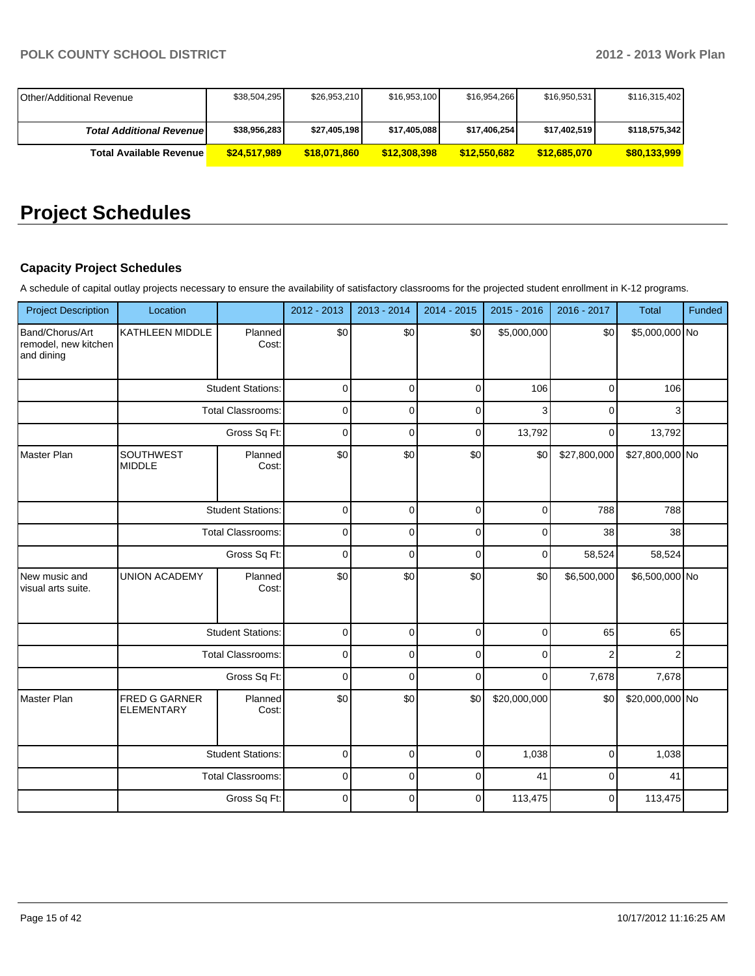| <b>IOther/Additional Revenue</b> | \$38,504,295 | \$26,953,210 | \$16,953,100 | \$16,954,266 | \$16,950,531 | \$116,315,402 |
|----------------------------------|--------------|--------------|--------------|--------------|--------------|---------------|
|                                  |              |              |              |              |              |               |
| <b>Total Additional Revenuel</b> | \$38,956,283 | \$27,405,198 | \$17,405,088 | \$17,406,254 | \$17,402,519 | \$118,575,342 |
| <b>Total Available Revenue</b>   | \$24,517,989 | \$18,071,860 | \$12,308,398 | \$12,550,682 | \$12,685,070 | \$80,133,999  |

# **Project Schedules**

#### **Capacity Project Schedules**

A schedule of capital outlay projects necessary to ensure the availability of satisfactory classrooms for the projected student enrollment in K-12 programs.

| <b>Project Description</b>                            | Location                                               |                          | 2012 - 2013  | 2013 - 2014    | 2014 - 2015    | 2015 - 2016  | 2016 - 2017    | <b>Total</b>    | Funded |
|-------------------------------------------------------|--------------------------------------------------------|--------------------------|--------------|----------------|----------------|--------------|----------------|-----------------|--------|
| Band/Chorus/Art<br>remodel, new kitchen<br>and dining | KATHLEEN MIDDLE                                        | Planned<br>Cost:         | \$0          | \$0            | \$0            | \$5,000,000  | \$0            | \$5,000,000 No  |        |
|                                                       | <b>Student Stations:</b>                               |                          | $\mathbf 0$  | $\mathbf{0}$   | $\mathbf 0$    | 106          | $\mathbf 0$    | 106             |        |
|                                                       |                                                        | <b>Total Classrooms:</b> | $\mathbf{0}$ | $\Omega$       | $\mathbf 0$    | 3            | $\Omega$       | 3               |        |
|                                                       |                                                        | Gross Sq Ft:             | $\mathbf 0$  | 0              | $\mathbf 0$    | 13,792       | $\mathbf 0$    | 13,792          |        |
| Master Plan                                           | <b>SOUTHWEST</b><br><b>MIDDLE</b>                      | Planned<br>Cost:         | \$0          | \$0            | \$0            | \$0          | \$27,800,000   | \$27,800,000 No |        |
|                                                       | <b>Student Stations:</b>                               |                          | $\mathbf 0$  | $\Omega$       | $\mathbf 0$    | $\Omega$     | 788            | 788             |        |
|                                                       | <b>Total Classrooms:</b>                               | $\mathbf 0$              | 0            | $\mathbf 0$    | 0              | 38           | 38             |                 |        |
|                                                       |                                                        | Gross Sq Ft:             | $\mathbf 0$  | 0              | $\mathbf 0$    | $\mathbf 0$  | 58,524         | 58,524          |        |
| New music and<br>visual arts suite.                   | <b>UNION ACADEMY</b><br>Planned<br>Cost:               |                          | \$0          | \$0            | \$0            | \$0          | \$6,500,000    | \$6,500,000 No  |        |
|                                                       |                                                        | <b>Student Stations:</b> | $\mathbf 0$  | $\overline{0}$ | $\overline{0}$ | $\Omega$     | 65             | 65              |        |
|                                                       |                                                        | <b>Total Classrooms:</b> | $\mathbf 0$  | $\overline{0}$ | $\pmb{0}$      | $\mathbf 0$  | $\overline{2}$ | $\overline{2}$  |        |
|                                                       |                                                        | Gross Sq Ft:             | $\mathbf 0$  | 0              | $\mathbf 0$    | $\mathbf 0$  | 7,678          | 7,678           |        |
| Master Plan                                           | FRED G GARNER<br>Planned<br><b>ELEMENTARY</b><br>Cost: |                          | \$0          | \$0            | \$0            | \$20,000,000 | \$0            | \$20,000,000 No |        |
|                                                       | <b>Student Stations:</b>                               |                          | $\mathbf 0$  | 0              | $\mathbf 0$    | 1,038        | $\mathbf 0$    | 1,038           |        |
|                                                       |                                                        | <b>Total Classrooms:</b> | $\mathbf 0$  | $\overline{0}$ | $\pmb{0}$      | 41           | 0              | 41              |        |
|                                                       |                                                        | Gross Sq Ft:             | $\mathbf 0$  | 0              | $\pmb{0}$      | 113,475      | $\mathbf 0$    | 113,475         |        |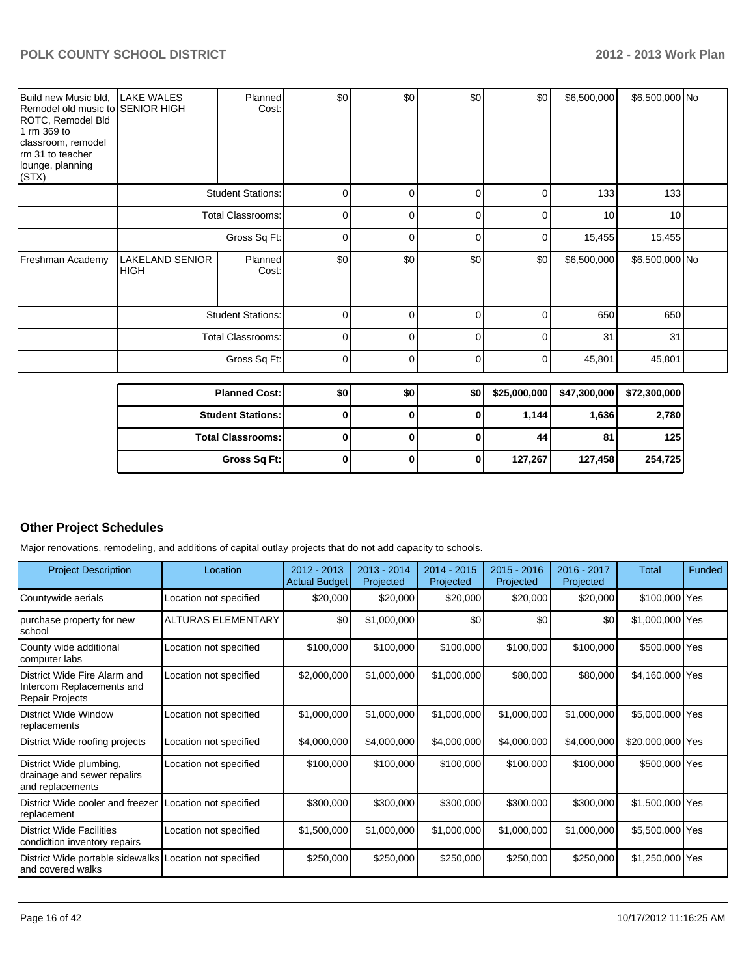| Build new Music bld,<br>Remodel old music to SENIOR HIGH<br>ROTC, Remodel Bld<br>1 rm 369 to<br>classroom, remodel<br>rm 31 to teacher<br>lounge, planning<br>(STX) | <b>LAKE WALES</b>                     | Planned<br>Cost:         | \$0         | \$0      | \$0         | \$0            | \$6,500,000  | \$6,500,000 No |  |
|---------------------------------------------------------------------------------------------------------------------------------------------------------------------|---------------------------------------|--------------------------|-------------|----------|-------------|----------------|--------------|----------------|--|
|                                                                                                                                                                     |                                       | <b>Student Stations:</b> | 0           | 0        | 0           | $\overline{0}$ | 133          | 133            |  |
|                                                                                                                                                                     | <b>Total Classrooms:</b>              |                          | 0           | 0        | 0           | 0              | 10           | 10             |  |
|                                                                                                                                                                     |                                       | Gross Sq Ft:             | $\mathbf 0$ | 0        | 0           | 0              | 15,455       | 15,455         |  |
| Freshman Academy                                                                                                                                                    | <b>LAKELAND SENIOR</b><br><b>HIGH</b> | Planned<br>Cost:         | \$0         | \$0      | \$0         | \$0            | \$6,500,000  | \$6,500,000 No |  |
|                                                                                                                                                                     |                                       | <b>Student Stations:</b> | 0           | 0        | 0           | 0              | 650          | 650            |  |
|                                                                                                                                                                     | <b>Total Classrooms:</b>              |                          | 0           | 0        | $\mathbf 0$ | $\Omega$       | 31           | 31             |  |
|                                                                                                                                                                     | Gross Sq Ft:                          |                          | 0           | 0        | 0           | 0              | 45,801       | 45,801         |  |
|                                                                                                                                                                     | <b>Planned Cost:</b>                  |                          | \$0         | \$0      | \$0         | \$25,000,000   | \$47,300,000 | \$72,300,000   |  |
|                                                                                                                                                                     |                                       | <b>Student Stations:</b> | 0           | $\bf{0}$ | 0           | 1,144          | 1,636        | 2,780          |  |
|                                                                                                                                                                     |                                       | <b>Total Classrooms:</b> |             | 0        | 0           | 44             | 81           | 125            |  |

**Gross Sq Ft: 0 0 0 127,267 127,458 254,725**

#### **Other Project Schedules**

Major renovations, remodeling, and additions of capital outlay projects that do not add capacity to schools.

| <b>Project Description</b>                                                          | Location                  | $2012 - 2013$<br>Actual Budget | $2013 - 2014$<br>Projected | $2014 - 2015$<br>Projected | $2015 - 2016$<br>Projected | $2016 - 2017$<br>Projected | Total            | <b>Funded</b> |
|-------------------------------------------------------------------------------------|---------------------------|--------------------------------|----------------------------|----------------------------|----------------------------|----------------------------|------------------|---------------|
| Countywide aerials                                                                  | Location not specified    | \$20,000                       | \$20,000                   | \$20,000                   | \$20,000                   | \$20,000                   | \$100,000 Yes    |               |
| purchase property for new<br>school                                                 | <b>ALTURAS ELEMENTARY</b> | \$0                            | \$1,000,000                | \$0                        | \$0                        | \$0                        | \$1,000,000 Yes  |               |
| County wide additional<br>computer labs                                             | Location not specified    | \$100,000                      | \$100,000                  | \$100,000                  | \$100,000                  | \$100,000                  | \$500,000 Yes    |               |
| District Wide Fire Alarm and<br>Intercom Replacements and<br><b>Repair Projects</b> | Location not specified    | \$2,000,000                    | \$1,000,000                | \$1,000,000                | \$80,000                   | \$80,000                   | \$4,160,000 Yes  |               |
| District Wide Window<br>replacements                                                | Location not specified    | \$1,000,000                    | \$1,000,000                | \$1,000,000                | \$1,000,000                | \$1,000,000                | \$5,000,000 Yes  |               |
| District Wide roofing projects                                                      | Location not specified    | \$4,000,000                    | \$4,000,000                | \$4,000,000                | \$4,000,000                | \$4,000,000                | \$20,000,000 Yes |               |
| District Wide plumbing,<br>drainage and sewer repalirs<br>and replacements          | Location not specified    | \$100,000                      | \$100,000                  | \$100,000                  | \$100,000                  | \$100,000                  | \$500,000 Yes    |               |
| District Wide cooler and freezer<br>replacement                                     | Location not specified    | \$300,000                      | \$300,000                  | \$300,000                  | \$300,000                  | \$300,000                  | \$1,500,000 Yes  |               |
| <b>District Wide Facilities</b><br>condidtion inventory repairs                     | Location not specified    | \$1,500,000                    | \$1,000,000                | \$1,000,000                | \$1,000,000                | \$1,000,000                | \$5,500,000 Yes  |               |
| District Wide portable sidewalks<br>and covered walks                               | Location not specified    | \$250,000                      | \$250,000                  | \$250,000                  | \$250,000                  | \$250,000                  | \$1,250,000 Yes  |               |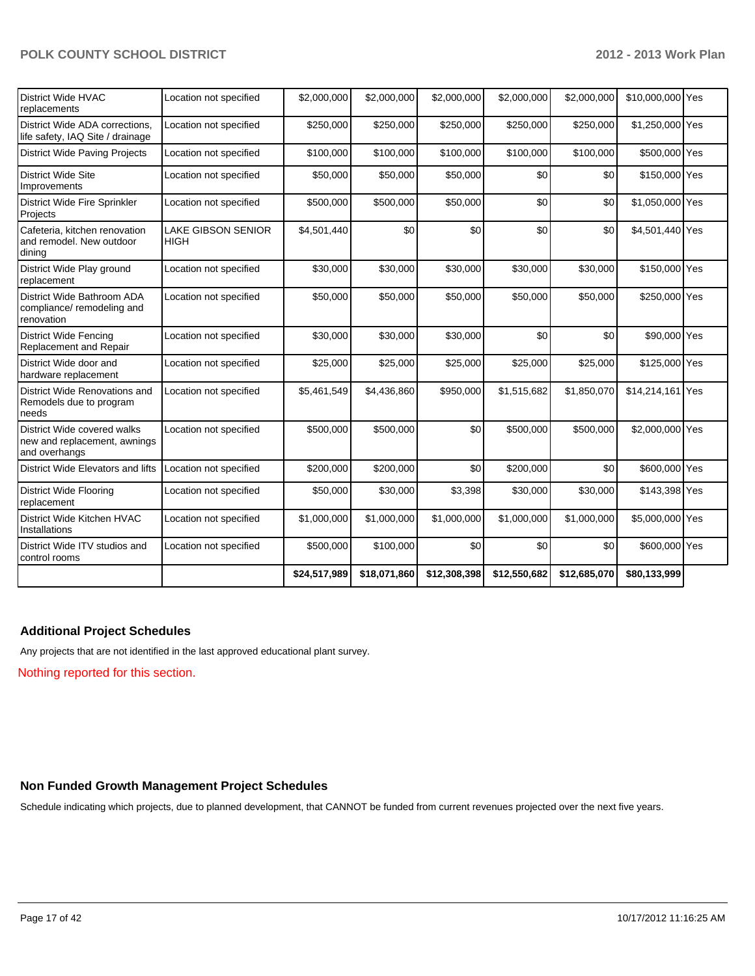| District Wide HVAC<br>replacements                                           | Location not specified                   | \$2,000,000  | \$2,000,000  | \$2,000,000  | \$2,000,000  | \$2,000,000  | \$10,000,000 Yes |  |
|------------------------------------------------------------------------------|------------------------------------------|--------------|--------------|--------------|--------------|--------------|------------------|--|
| District Wide ADA corrections.<br>life safety, IAQ Site / drainage           | Location not specified                   | \$250,000    | \$250,000    | \$250,000    | \$250,000    | \$250,000    | \$1,250,000 Yes  |  |
| <b>District Wide Paving Projects</b>                                         | Location not specified                   | \$100,000    | \$100,000    | \$100,000    | \$100,000    | \$100,000    | \$500,000 Yes    |  |
| <b>District Wide Site</b><br>Improvements                                    | Location not specified                   | \$50,000     | \$50,000     | \$50,000     | \$0          | \$0          | \$150,000 Yes    |  |
| District Wide Fire Sprinkler<br>Projects                                     | Location not specified                   | \$500,000    | \$500,000    | \$50,000     | \$0          | \$0          | \$1,050,000 Yes  |  |
| Cafeteria, kitchen renovation<br>and remodel. New outdoor<br>dining          | <b>LAKE GIBSON SENIOR</b><br><b>HIGH</b> | \$4,501,440  | \$0          | \$0          | \$0          | \$0          | \$4,501,440 Yes  |  |
| District Wide Play ground<br>replacement                                     | Location not specified                   | \$30,000     | \$30,000     | \$30,000     | \$30,000     | \$30,000     | \$150,000 Yes    |  |
| District Wide Bathroom ADA<br>compliance/ remodeling and<br>renovation       | Location not specified                   | \$50,000     | \$50,000     | \$50,000     | \$50,000     | \$50,000     | \$250,000 Yes    |  |
| <b>District Wide Fencing</b><br>Replacement and Repair                       | Location not specified                   | \$30,000     | \$30,000     | \$30,000     | \$0          | \$0          | \$90,000 Yes     |  |
| District Wide door and<br>hardware replacement                               | Location not specified                   | \$25,000     | \$25,000     | \$25,000     | \$25,000     | \$25,000     | \$125,000 Yes    |  |
| District Wide Renovations and<br>Remodels due to program<br>needs            | Location not specified                   | \$5,461,549  | \$4,436,860  | \$950,000    | \$1,515,682  | \$1,850,070  | \$14,214,161 Yes |  |
| District Wide covered walks<br>new and replacement, awnings<br>and overhangs | Location not specified                   | \$500,000    | \$500,000    | \$0          | \$500,000    | \$500,000    | \$2,000,000 Yes  |  |
| District Wide Elevators and lifts                                            | Location not specified                   | \$200,000    | \$200,000    | \$0          | \$200,000    | \$0          | \$600,000 Yes    |  |
| <b>District Wide Flooring</b><br>replacement                                 | Location not specified                   | \$50,000     | \$30,000     | \$3,398      | \$30,000     | \$30,000     | \$143,398 Yes    |  |
| District Wide Kitchen HVAC<br>Installations                                  | Location not specified                   | \$1,000,000  | \$1,000,000  | \$1,000,000  | \$1,000,000  | \$1,000,000  | \$5,000,000 Yes  |  |
| District Wide ITV studios and<br>control rooms                               | Location not specified                   | \$500,000    | \$100,000    | \$0          | \$0          | \$0          | \$600,000 Yes    |  |
|                                                                              |                                          | \$24,517,989 | \$18,071,860 | \$12,308,398 | \$12,550,682 | \$12,685,070 | \$80,133,999     |  |

#### **Additional Project Schedules**

Any projects that are not identified in the last approved educational plant survey.

Nothing reported for this section.

#### **Non Funded Growth Management Project Schedules**

Schedule indicating which projects, due to planned development, that CANNOT be funded from current revenues projected over the next five years.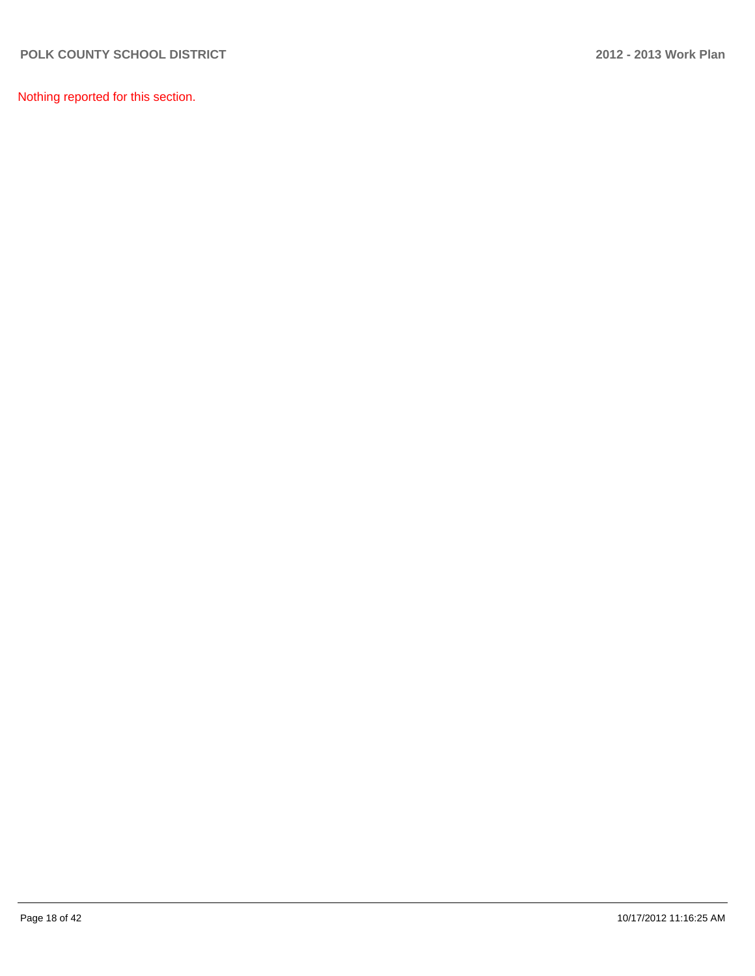Nothing reported for this section.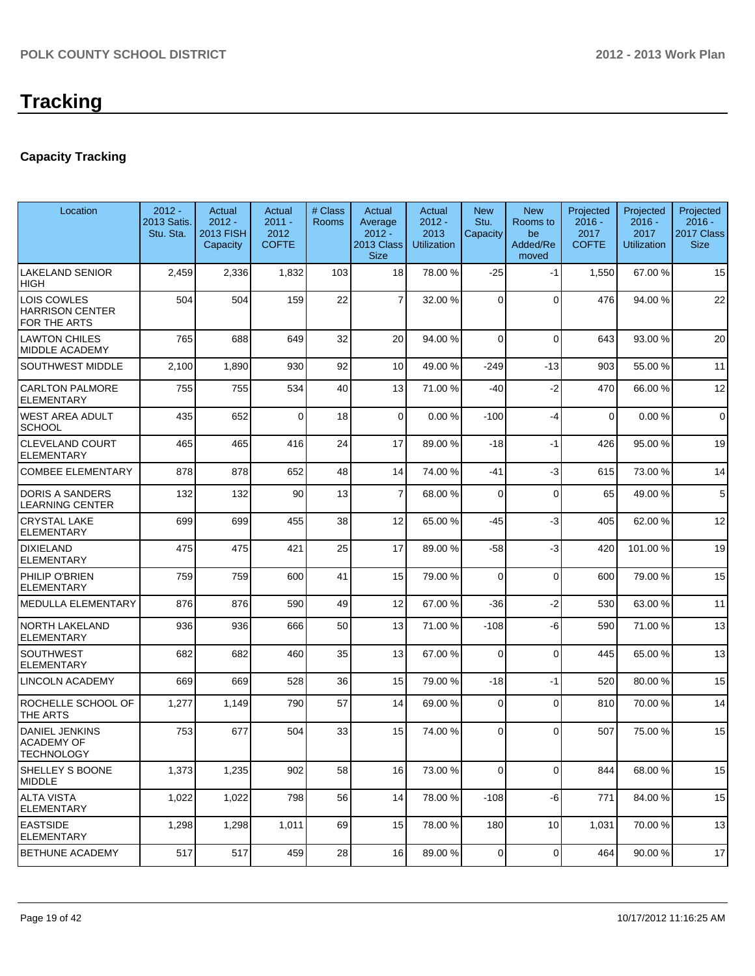## **Capacity Tracking**

| Location                                                        | $2012 -$<br>2013 Satis.<br>Stu. Sta. | Actual<br>$2012 -$<br><b>2013 FISH</b><br>Capacity | Actual<br>$2011 -$<br>2012<br><b>COFTE</b> | # Class<br><b>Rooms</b> | Actual<br>Average<br>$2012 -$<br><b>2013 Class</b><br><b>Size</b> | Actual<br>$2012 -$<br>2013<br><b>Utilization</b> | <b>New</b><br>Stu.<br>Capacity | <b>New</b><br>Rooms to<br>be<br>Added/Re<br>moved | Projected<br>$2016 -$<br>2017<br><b>COFTE</b> | Projected<br>$2016 -$<br>2017<br><b>Utilization</b> | Projected<br>$2016 -$<br>2017 Class<br><b>Size</b> |
|-----------------------------------------------------------------|--------------------------------------|----------------------------------------------------|--------------------------------------------|-------------------------|-------------------------------------------------------------------|--------------------------------------------------|--------------------------------|---------------------------------------------------|-----------------------------------------------|-----------------------------------------------------|----------------------------------------------------|
| <b>LAKELAND SENIOR</b><br>HIGH                                  | 2,459                                | 2,336                                              | 1,832                                      | 103                     | 18                                                                | 78.00 %                                          | $-25$                          | $-1$                                              | 1,550                                         | 67.00%                                              | 15                                                 |
| LOIS COWLES<br><b>HARRISON CENTER</b><br>FOR THE ARTS           | 504                                  | 504                                                | 159                                        | 22                      | $\overline{7}$                                                    | 32.00 %                                          | $\Omega$                       | $\Omega$                                          | 476                                           | 94.00%                                              | 22                                                 |
| <b>LAWTON CHILES</b><br><b>MIDDLE ACADEMY</b>                   | 765                                  | 688                                                | 649                                        | 32                      | 20                                                                | 94.00 %                                          | $\Omega$                       | $\Omega$                                          | 643                                           | 93.00 %                                             | 20                                                 |
| SOUTHWEST MIDDLE                                                | 2,100                                | 1,890                                              | 930                                        | 92                      | 10                                                                | 49.00 %                                          | $-249$                         | $-13$                                             | 903                                           | 55.00 %                                             | 11                                                 |
| <b>CARLTON PALMORE</b><br><b>ELEMENTARY</b>                     | 755                                  | 755                                                | 534                                        | 40                      | 13                                                                | 71.00 %                                          | $-40$                          | $-2$                                              | 470                                           | 66.00%                                              | 12                                                 |
| <b>WEST AREA ADULT</b><br><b>SCHOOL</b>                         | 435                                  | 652                                                | $\Omega$                                   | 18                      | $\mathbf 0$                                                       | 0.00 %                                           | $-100$                         | $-4$                                              | $\mathbf 0$                                   | 0.00%                                               | $\mathbf 0$                                        |
| <b>CLEVELAND COURT</b><br><b>ELEMENTARY</b>                     | 465                                  | 465                                                | 416                                        | 24                      | 17                                                                | 89.00 %                                          | $-18$                          | $-1$                                              | 426                                           | 95.00 %                                             | 19                                                 |
| <b>COMBEE ELEMENTARY</b>                                        | 878                                  | 878                                                | 652                                        | 48                      | 14                                                                | 74.00 %                                          | $-41$                          | $-3$                                              | 615                                           | 73.00 %                                             | 14                                                 |
| <b>DORIS A SANDERS</b><br><b>LEARNING CENTER</b>                | 132                                  | 132                                                | 90                                         | 13                      | $\overline{7}$                                                    | 68.00 %                                          | $\Omega$                       | $\Omega$                                          | 65                                            | 49.00%                                              | 5                                                  |
| <b>CRYSTAL LAKE</b><br><b>ELEMENTARY</b>                        | 699                                  | 699                                                | 455                                        | 38                      | 12                                                                | 65.00 %                                          | -45                            | $-3$                                              | 405                                           | 62.00%                                              | 12                                                 |
| <b>DIXIELAND</b><br><b>ELEMENTARY</b>                           | 475                                  | 475                                                | 421                                        | 25                      | 17                                                                | 89.00 %                                          | $-58$                          | $-3$                                              | 420                                           | 101.00%                                             | 19                                                 |
| PHILIP O'BRIEN<br><b>ELEMENTARY</b>                             | 759                                  | 759                                                | 600                                        | 41                      | 15                                                                | 79.00 %                                          | $\mathbf 0$                    | $\Omega$                                          | 600                                           | 79.00 %                                             | 15                                                 |
| <b>MEDULLA ELEMENTARY</b>                                       | 876                                  | 876                                                | 590                                        | 49                      | 12                                                                | 67.00 %                                          | $-36$                          | $-2$                                              | 530                                           | 63.00%                                              | 11                                                 |
| <b>NORTH LAKELAND</b><br><b>ELEMENTARY</b>                      | 936                                  | 936                                                | 666                                        | 50                      | 13                                                                | 71.00 %                                          | $-108$                         | -6                                                | 590                                           | 71.00%                                              | 13                                                 |
| <b>SOUTHWEST</b><br><b>ELEMENTARY</b>                           | 682                                  | 682                                                | 460                                        | 35                      | 13                                                                | 67.00 %                                          | $\Omega$                       | $\Omega$                                          | 445                                           | 65.00 %                                             | 13                                                 |
| <b>LINCOLN ACADEMY</b>                                          | 669                                  | 669                                                | 528                                        | 36                      | 15                                                                | 79.00 %                                          | $-18$                          | $-1$                                              | 520                                           | 80.00%                                              | 15                                                 |
| ROCHELLE SCHOOL OF<br><b>THE ARTS</b>                           | 1,277                                | 1,149                                              | 790                                        | 57                      | 14                                                                | 69.00 %                                          | $\mathbf 0$                    | $\Omega$                                          | 810                                           | 70.00%                                              | 14                                                 |
| <b>DANIEL JENKINS</b><br><b>ACADEMY OF</b><br><b>TECHNOLOGY</b> | 753                                  | 677                                                | 504                                        | 33                      | 15                                                                | 74.00 %                                          | $\Omega$                       | $\Omega$                                          | 507                                           | 75.00 %                                             | 15                                                 |
| <b>SHELLEY S BOONE</b><br>MIDDLE                                | 1,373                                | 1,235                                              | 902                                        | 58                      | 16                                                                | 73.00 %                                          | $\mathbf 0$                    | $\overline{0}$                                    | 844                                           | 68.00%                                              | 15                                                 |
| <b>ALTA VISTA</b><br><b>ELEMENTARY</b>                          | 1,022                                | 1,022                                              | 798                                        | 56                      | 14                                                                | 78.00 %                                          | $-108$                         | $-6$                                              | 771                                           | 84.00%                                              | 15                                                 |
| <b>EASTSIDE</b><br><b>ELEMENTARY</b>                            | 1,298                                | 1,298                                              | 1,011                                      | 69                      | 15                                                                | 78.00 %                                          | 180                            | 10                                                | 1,031                                         | 70.00 %                                             | 13                                                 |
| <b>BETHUNE ACADEMY</b>                                          | 517                                  | 517                                                | 459                                        | 28                      | 16                                                                | 89.00 %                                          | 0                              | $\overline{0}$                                    | 464                                           | 90.00%                                              | 17                                                 |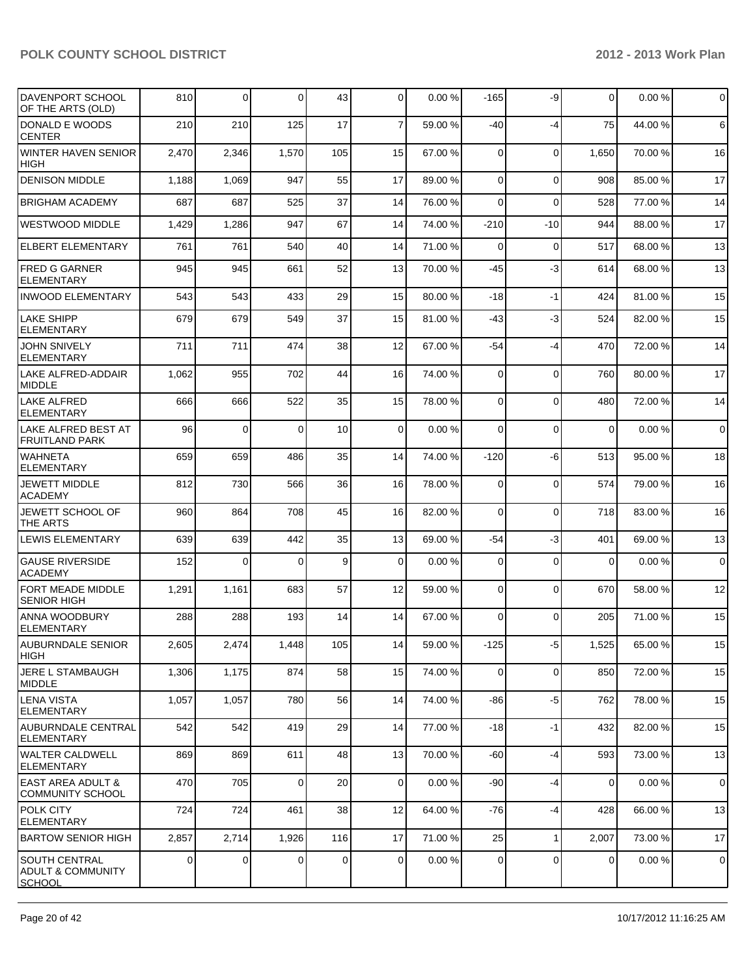| DAVENPORT SCHOOL<br>OF THE ARTS (OLD)                   | 810   | $\mathbf 0$ | $\Omega$ | 43  | $\overline{0}$  | 0.00%   | $-165$         | -9           | $\mathbf 0$    | 0.00%   | $\mathsf{O}\xspace$ |
|---------------------------------------------------------|-------|-------------|----------|-----|-----------------|---------|----------------|--------------|----------------|---------|---------------------|
| DONALD E WOODS<br><b>CENTER</b>                         | 210   | 210         | 125      | 17  | $\overline{7}$  | 59.00 % | -40            | $-4$         | 75             | 44.00%  | 6                   |
| <b>WINTER HAVEN SENIOR</b><br><b>HIGH</b>               | 2,470 | 2,346       | 1,570    | 105 | 15              | 67.00 % | $\Omega$       | $\mathbf 0$  | 1,650          | 70.00%  | 16                  |
| <b>DENISON MIDDLE</b>                                   | 1,188 | 1,069       | 947      | 55  | 17              | 89.00 % | $\Omega$       | $\Omega$     | 908            | 85.00 % | 17                  |
| <b>BRIGHAM ACADEMY</b>                                  | 687   | 687         | 525      | 37  | 14              | 76.00 % | $\Omega$       | $\Omega$     | 528            | 77.00 % | 14                  |
| WESTWOOD MIDDLE                                         | 1,429 | 1,286       | 947      | 67  | 14              | 74.00 % | $-210$         | $-10$        | 944            | 88.00 % | 17                  |
| <b>ELBERT ELEMENTARY</b>                                | 761   | 761         | 540      | 40  | 14              | 71.00 % | $\Omega$       | $\mathbf 0$  | 517            | 68.00%  | 13                  |
| <b>FRED G GARNER</b><br><b>ELEMENTARY</b>               | 945   | 945         | 661      | 52  | 13              | 70.00 % | $-45$          | -3           | 614            | 68.00%  | 13                  |
| INWOOD ELEMENTARY                                       | 543   | 543         | 433      | 29  | 15              | 80.00 % | $-18$          | $-1$         | 424            | 81.00%  | 15                  |
| <b>LAKE SHIPP</b><br><b>ELEMENTARY</b>                  | 679   | 679         | 549      | 37  | 15              | 81.00 % | $-43$          | $-3$         | 524            | 82.00%  | 15                  |
| JOHN SNIVELY<br><b>ELEMENTARY</b>                       | 711   | 711         | 474      | 38  | 12              | 67.00 % | $-54$          | $-4$         | 470            | 72.00 % | 14                  |
| LAKE ALFRED-ADDAIR<br><b>MIDDLE</b>                     | 1,062 | 955         | 702      | 44  | 16 <sup>1</sup> | 74.00 % | $\Omega$       | 0            | 760            | 80.00%  | 17                  |
| <b>LAKE ALFRED</b><br><b>ELEMENTARY</b>                 | 666   | 666         | 522      | 35  | 15              | 78.00 % | $\Omega$       | $\mathbf{0}$ | 480            | 72.00 % | 14                  |
| LAKE ALFRED BEST AT<br><b>FRUITLAND PARK</b>            | 96    | $\Omega$    | $\Omega$ | 10  | $\Omega$        | 0.00%   | $\Omega$       | $\Omega$     | $\mathbf 0$    | 0.00%   | $\overline{0}$      |
| <b>WAHNETA</b><br><b>ELEMENTARY</b>                     | 659   | 659         | 486      | 35  | 14              | 74.00 % | $-120$         | -6           | 513            | 95.00 % | 18                  |
| <b>JEWETT MIDDLE</b><br><b>ACADEMY</b>                  | 812   | 730         | 566      | 36  | 16              | 78.00 % | $\overline{0}$ | $\mathbf{0}$ | 574            | 79.00 % | 16                  |
| JEWETT SCHOOL OF<br>THE ARTS                            | 960   | 864         | 708      | 45  | 16              | 82.00 % | $\Omega$       | $\mathbf{0}$ | 718            | 83.00 % | 16                  |
| <b>LEWIS ELEMENTARY</b>                                 | 639   | 639         | 442      | 35  | 13              | 69.00 % | $-54$          | $-3$         | 401            | 69.00 % | 13                  |
| <b>GAUSE RIVERSIDE</b><br><b>ACADEMY</b>                | 152   | $\Omega$    | $\Omega$ | 9   | $\Omega$        | 0.00%   | $\Omega$       | $\Omega$     | 0              | 0.00%   | $\overline{0}$      |
| FORT MEADE MIDDLE<br><b>SENIOR HIGH</b>                 | 1,291 | 1,161       | 683      | 57  | 12              | 59.00 % | $\Omega$       | 0            | 670            | 58.00 % | 12                  |
| <b>ANNA WOODBURY</b><br><b>ELEMENTARY</b>               | 288   | 288         | 193      | 14  | 14              | 67.00 % | $\Omega$       | $\Omega$     | 205            | 71.00 % | 15                  |
| <b>AUBURNDALE SENIOR</b><br>HIGH                        | 2,605 | 2,474       | 1,448    | 105 | 14              | 59.00 % | $-125$         | -5           | 1,525          | 65.00 % | 15                  |
| JERE L STAMBAUGH<br><b>MIDDLE</b>                       | 1,306 | 1,175       | 874      | 58  | 15              | 74.00 % | $\overline{0}$ | 0            | 850            | 72.00 % | 15                  |
| LENA VISTA<br><b>ELEMENTARY</b>                         | 1,057 | 1,057       | 780      | 56  | 14              | 74.00 % | $-86$          | $-5$         | 762            | 78.00 % | 15                  |
| AUBURNDALE CENTRAL<br><b>ELEMENTARY</b>                 | 542   | 542         | 419      | 29  | 14              | 77.00 % | $-18$          | $-1$         | 432            | 82.00 % | 15                  |
| WALTER CALDWELL<br><b>ELEMENTARY</b>                    | 869   | 869         | 611      | 48  | 13              | 70.00 % | $-60$          | $-4$         | 593            | 73.00 % | 13                  |
| EAST AREA ADULT &<br><b>COMMUNITY SCHOOL</b>            | 470   | 705         | $\Omega$ | 20  | $\overline{0}$  | 0.00%   | $-90$          | $-4$         | $\mathbf 0$    | 0.00%   | $\mathbf 0$         |
| <b>POLK CITY</b><br>ELEMENTARY                          | 724   | 724         | 461      | 38  | 12              | 64.00 % | $-76$          | $-4$         | 428            | 66.00 % | 13                  |
| <b>BARTOW SENIOR HIGH</b>                               | 2,857 | 2,714       | 1,926    | 116 | 17              | 71.00 % | 25             | $\mathbf{1}$ | 2,007          | 73.00 % | 17                  |
| SOUTH CENTRAL<br><b>ADULT &amp; COMMUNITY</b><br>SCHOOL | 0     | 0           | $\Omega$ | 0   | $\overline{0}$  | 0.00%   | $\overline{0}$ | 0            | $\overline{0}$ | 0.00%   | $\pmb{0}$           |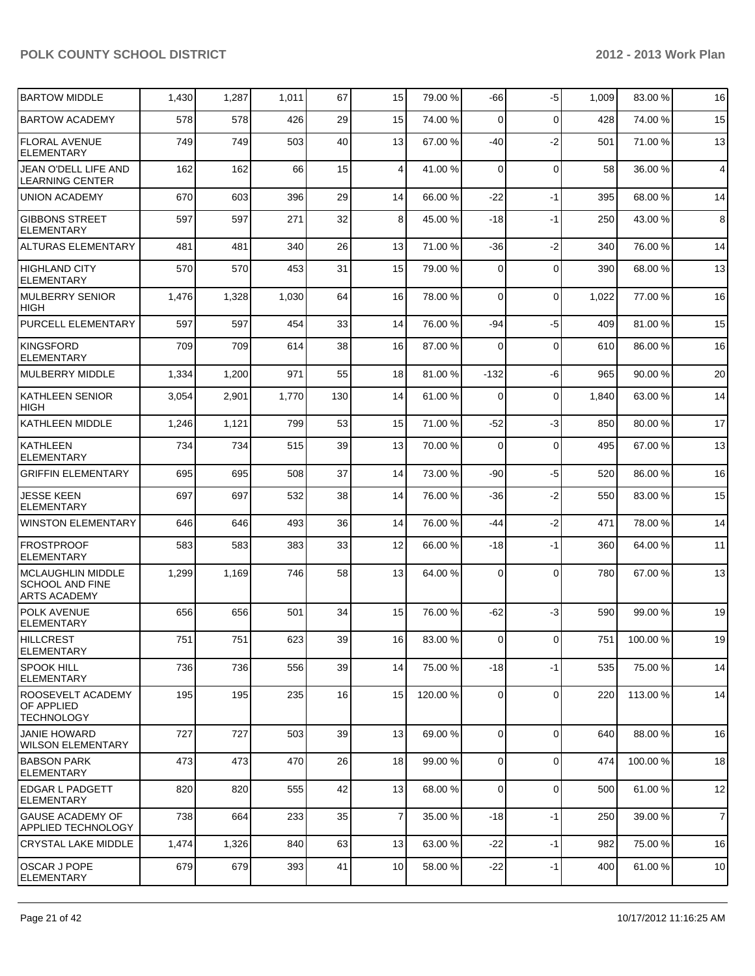| <b>BARTOW MIDDLE</b>                                                      | 1,430 | 1,287 | 1,011 | 67  | 15             | 79.00 % | $-66$       | $-5$        | 1,009 | 83.00%  | 16             |
|---------------------------------------------------------------------------|-------|-------|-------|-----|----------------|---------|-------------|-------------|-------|---------|----------------|
| <b>BARTOW ACADEMY</b>                                                     | 578   | 578   | 426   | 29  | 15             | 74.00 % | $\Omega$    | $\Omega$    | 428   | 74.00%  | 15             |
| <b>FLORAL AVENUE</b><br><b>ELEMENTARY</b>                                 | 749   | 749   | 503   | 40  | 13             | 67.00 % | -40         | $-2$        | 501   | 71.00%  | 13             |
| JEAN O'DELL LIFE AND<br>LEARNING CENTER                                   | 162   | 162   | 66    | 15  | $\overline{4}$ | 41.00 % | $\Omega$    | $\mathbf 0$ | 58    | 36.00%  | 4              |
| <b>UNION ACADEMY</b>                                                      | 670   | 603   | 396   | 29  | 14             | 66.00 % | -22         | $-1$        | 395   | 68.00%  | 14             |
| <b>GIBBONS STREET</b><br><b>ELEMENTARY</b>                                | 597   | 597   | 271   | 32  | 8              | 45.00 % | $-18$       | $-1$        | 250   | 43.00 % | 8              |
| ALTURAS ELEMENTARY                                                        | 481   | 481   | 340   | 26  | 13             | 71.00 % | $-36$       | $-2$        | 340   | 76.00%  | 14             |
| <b>HIGHLAND CITY</b><br><b>ELEMENTARY</b>                                 | 570   | 570   | 453   | 31  | 15             | 79.00 % | 0           | $\Omega$    | 390   | 68.00%  | 13             |
| <b>MULBERRY SENIOR</b><br><b>HIGH</b>                                     | 1,476 | 1,328 | 1,030 | 64  | 16             | 78.00 % | $\Omega$    | $\Omega$    | 1,022 | 77.00 % | 16             |
| PURCELL ELEMENTARY                                                        | 597   | 597   | 454   | 33  | 14             | 76.00 % | $-94$       | $-5$        | 409   | 81.00%  | 15             |
| <b>KINGSFORD</b><br><b>ELEMENTARY</b>                                     | 709   | 709   | 614   | 38  | 16             | 87.00 % | $\Omega$    | $\Omega$    | 610   | 86.00%  | 16             |
| MULBERRY MIDDLE                                                           | 1,334 | 1,200 | 971   | 55  | 18             | 81.00 % | $-132$      | -6          | 965   | 90.00 % | 20             |
| KATHLEEN SENIOR<br><b>HIGH</b>                                            | 3,054 | 2,901 | 1,770 | 130 | 14             | 61.00 % | 0           | $\mathbf 0$ | 1,840 | 63.00 % | 14             |
| KATHLEEN MIDDLE                                                           | 1,246 | 1,121 | 799   | 53  | 15             | 71.00 % | $-52$       | $-3$        | 850   | 80.00%  | 17             |
| <b>KATHLEEN</b><br><b>ELEMENTARY</b>                                      | 734   | 734   | 515   | 39  | 13             | 70.00 % | 0           | $\mathbf 0$ | 495   | 67.00 % | 13             |
| <b>GRIFFIN ELEMENTARY</b>                                                 | 695   | 695   | 508   | 37  | 14             | 73.00 % | -90         | $-5$        | 520   | 86.00 % | 16             |
| <b>JESSE KEEN</b><br><b>ELEMENTARY</b>                                    | 697   | 697   | 532   | 38  | 14             | 76.00 % | -36         | $-2$        | 550   | 83.00 % | 15             |
| <b>WINSTON ELEMENTARY</b>                                                 | 646   | 646   | 493   | 36  | 14             | 76.00 % | -44         | $-2$        | 471   | 78.00%  | 14             |
| <b>FROSTPROOF</b><br><b>ELEMENTARY</b>                                    | 583   | 583   | 383   | 33  | 12             | 66.00 % | $-18$       | $-1$        | 360   | 64.00 % | 11             |
| <b>MCLAUGHLIN MIDDLE</b><br><b>SCHOOL AND FINE</b><br><b>ARTS ACADEMY</b> | 1,299 | 1,169 | 746   | 58  | 13             | 64.00 % | 0           | $\Omega$    | 780   | 67.00 % | 13             |
| <b>POLK AVENUE</b><br><b>ELEMENTARY</b>                                   | 656   | 656   | 501   | 34  | 15             | 76.00 % | $-62$       | $-3$        | 590   | 99.00 % | 19             |
| <b>HILLCREST</b><br>ELEMENTARY                                            | 751   | 751   | 623   | 39  | 16             | 83.00 % | 0           | $\pmb{0}$   | 751   | 100.00% | 19             |
| Ispook hill<br><b>ELEMENTARY</b>                                          | 736   | 736   | 556   | 39  | 14             | 75.00 % | $-18$       | $-1$        | 535   | 75.00 % | 14             |
| <b>ROOSEVELT ACADEMY</b><br><b>OF APPLIED</b><br><b>TECHNOLOGY</b>        | 195   | 195   | 235   | 16  | 15             | 120.00% | $\mathbf 0$ | $\mathbf 0$ | 220   | 113.00% | 14             |
| <b>JANIE HOWARD</b><br><b>WILSON ELEMENTARY</b>                           | 727   | 727   | 503   | 39  | 13             | 69.00 % | $\mathbf 0$ | $\mathbf 0$ | 640   | 88.00 % | 16             |
| <b>BABSON PARK</b><br>ELEMENTARY                                          | 473   | 473   | 470   | 26  | 18             | 99.00 % | $\mathbf 0$ | $\mathbf 0$ | 474   | 100.00% | 18             |
| <b>EDGAR L PADGETT</b><br><b>ELEMENTARY</b>                               | 820   | 820   | 555   | 42  | 13             | 68.00 % | $\mathbf 0$ | $\mathbf 0$ | 500   | 61.00%  | 12             |
| <b>GAUSE ACADEMY OF</b><br>APPLIED TECHNOLOGY                             | 738   | 664   | 233   | 35  | $\overline{7}$ | 35.00 % | $-18$       | $-1$        | 250   | 39.00 % | $\overline{7}$ |
| <b>CRYSTAL LAKE MIDDLE</b>                                                | 1,474 | 1,326 | 840   | 63  | 13             | 63.00 % | $-22$       | $-1$        | 982   | 75.00 % | 16             |
| <b>OSCAR J POPE</b><br><b>ELEMENTARY</b>                                  | 679   | 679   | 393   | 41  | 10             | 58.00 % | $-22$       | $-1$        | 400   | 61.00%  | 10             |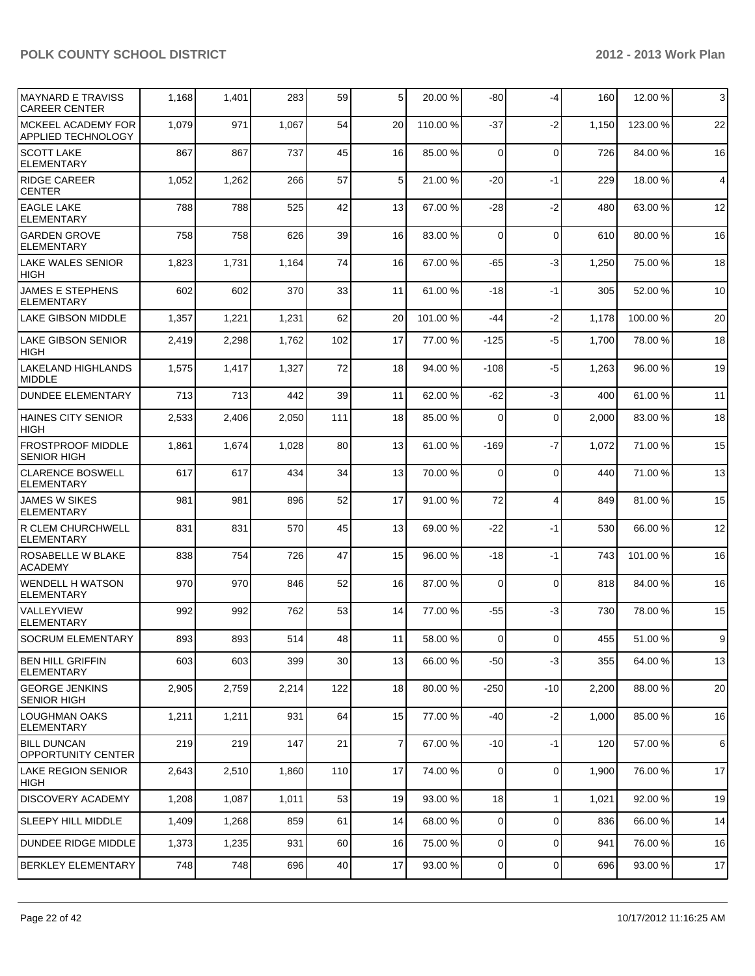| MAYNARD E TRAVISS<br><b>CAREER CENTER</b>      | 1,168 | 1,401 | 283   | 59              | 5 <sup>1</sup> | 20.00 %  | $-80$          | $-4$           | 160   | 12.00 % | $\mathbf{3}$     |
|------------------------------------------------|-------|-------|-------|-----------------|----------------|----------|----------------|----------------|-------|---------|------------------|
| MCKEEL ACADEMY FOR<br>APPLIED TECHNOLOGY       | 1,079 | 971   | 1,067 | 54              | 20             | 110.00 % | $-37$          | $-2$           | 1,150 | 123.00% | 22               |
| <b>SCOTT LAKE</b><br>ELEMENTARY                | 867   | 867   | 737   | 45              | 16             | 85.00 %  | $\Omega$       | $\mathbf 0$    | 726   | 84.00%  | 16               |
| <b>RIDGE CAREER</b><br><b>CENTER</b>           | 1,052 | 1,262 | 266   | 57              | 5 <sup>1</sup> | 21.00 %  | $-20$          | $-1$           | 229   | 18.00 % | 4                |
| <b>EAGLE LAKE</b><br><b>ELEMENTARY</b>         | 788   | 788   | 525   | 42              | 13             | 67.00 %  | -28            | $-2$           | 480   | 63.00 % | 12               |
| <b>GARDEN GROVE</b><br><b>ELEMENTARY</b>       | 758   | 758   | 626   | 39              | 16             | 83.00 %  | $\Omega$       | $\Omega$       | 610   | 80.00%  | 16               |
| LAKE WALES SENIOR<br><b>HIGH</b>               | 1,823 | 1,731 | 1,164 | 74              | 16             | 67.00 %  | $-65$          | $-3$           | 1,250 | 75.00 % | 18               |
| <b>JAMES E STEPHENS</b><br><b>ELEMENTARY</b>   | 602   | 602   | 370   | 33              | 11             | 61.00 %  | $-18$          | $-1$           | 305   | 52.00 % | 10               |
| LAKE GIBSON MIDDLE                             | 1,357 | 1,221 | 1,231 | 62              | 20             | 101.00 % | -44            | $-2$           | 1,178 | 100.00% | 20               |
| <b>LAKE GIBSON SENIOR</b><br>HIGH              | 2,419 | 2,298 | 1,762 | 102             | 17             | 77.00 %  | $-125$         | $-5$           | 1,700 | 78.00 % | 18               |
| <b>LAKELAND HIGHLANDS</b><br><b>MIDDLE</b>     | 1,575 | 1,417 | 1,327 | 72              | 18             | 94.00 %  | $-108$         | $-5$           | 1,263 | 96.00 % | 19               |
| <b>DUNDEE ELEMENTARY</b>                       | 713   | 713   | 442   | 39              | 11             | 62.00 %  | $-62$          | $-3$           | 400   | 61.00%  | 11               |
| <b>HAINES CITY SENIOR</b><br><b>HIGH</b>       | 2,533 | 2,406 | 2,050 | 111             | 18             | 85.00 %  | $\Omega$       | $\mathbf 0$    | 2,000 | 83.00 % | 18               |
| <b>FROSTPROOF MIDDLE</b><br><b>SENIOR HIGH</b> | 1,861 | 1,674 | 1,028 | 80              | 13             | 61.00%   | $-169$         | $-7$           | 1,072 | 71.00 % | 15               |
| <b>CLARENCE BOSWELL</b><br><b>ELEMENTARY</b>   | 617   | 617   | 434   | 34              | 13             | 70.00 %  | $\Omega$       | $\mathbf 0$    | 440   | 71.00%  | 13               |
| <b>JAMES W SIKES</b><br><b>ELEMENTARY</b>      | 981   | 981   | 896   | 52              | 17             | 91.00 %  | 72             | $\overline{4}$ | 849   | 81.00%  | 15               |
| R CLEM CHURCHWELL<br><b>ELEMENTARY</b>         | 831   | 831   | 570   | 45              | 13             | 69.00 %  | $-22$          | $-1$           | 530   | 66.00%  | 12               |
| <b>ROSABELLE W BLAKE</b><br><b>ACADEMY</b>     | 838   | 754   | 726   | 47              | 15             | 96.00 %  | $-18$          | $-1$           | 743   | 101.00% | 16               |
| <b>WENDELL H WATSON</b><br><b>ELEMENTARY</b>   | 970   | 970   | 846   | 52              | 16             | 87.00 %  | $\Omega$       | $\mathbf 0$    | 818   | 84.00%  | 16               |
| VALLEYVIEW<br><b>ELEMENTARY</b>                | 992   | 992   | 762   | 53              | 14             | 77.00 %  | $-55$          | $-3$           | 730   | 78.00 % | 15               |
| SOCRUM ELEMENTARY                              | 893   | 893   | 514   | 48              | 11             | 58.00 %  | $\overline{0}$ | 0              | 455   | 51.00%  | $\boldsymbol{9}$ |
| IBEN HILL GRIFFIN<br> ELEMENTARY               | 603   | 603   | 399   | 30 <sup>2</sup> | 13             | 66.00 %  | $-50$          | $-3$           | 355   | 64.00 % | 13               |
| <b>GEORGE JENKINS</b><br><b>SENIOR HIGH</b>    | 2.905 | 2,759 | 2,214 | 122             | 18             | 80.00 %  | $-250$         | -10            | 2,200 | 88.00%  | 20               |
| <b>LOUGHMAN OAKS</b><br><b>ELEMENTARY</b>      | 1,211 | 1,211 | 931   | 64              | 15             | 77.00 %  | $-40$          | $-2$           | 1,000 | 85.00 % | 16               |
| <b>BILL DUNCAN</b><br>IOPPORTUNITY CENTER      | 219   | 219   | 147   | 21              | $\overline{7}$ | 67.00 %  | $-10$          | $-1$           | 120   | 57.00 % | 6                |
| LAKE REGION SENIOR<br>HIGH                     | 2,643 | 2,510 | 1,860 | 110             | 17             | 74.00 %  | $\overline{0}$ | $\mathbf 0$    | 1,900 | 76.00 % | 17               |
| <b>DISCOVERY ACADEMY</b>                       | 1,208 | 1,087 | 1,011 | 53              | 19             | 93.00 %  | 18             | $\mathbf{1}$   | 1,021 | 92.00%  | 19               |
| <b>SLEEPY HILL MIDDLE</b>                      | 1,409 | 1,268 | 859   | 61              | 14             | 68.00 %  | $\overline{0}$ | $\mathbf 0$    | 836   | 66.00 % | 14               |
| DUNDEE RIDGE MIDDLE                            | 1,373 | 1,235 | 931   | 60              | 16             | 75.00 %  | $\overline{0}$ | $\mathbf 0$    | 941   | 76.00 % | 16               |
| <b>BERKLEY ELEMENTARY</b>                      | 748   | 748   | 696   | 40              | 17             | 93.00 %  | $\overline{0}$ | $\mathbf 0$    | 696   | 93.00 % | 17               |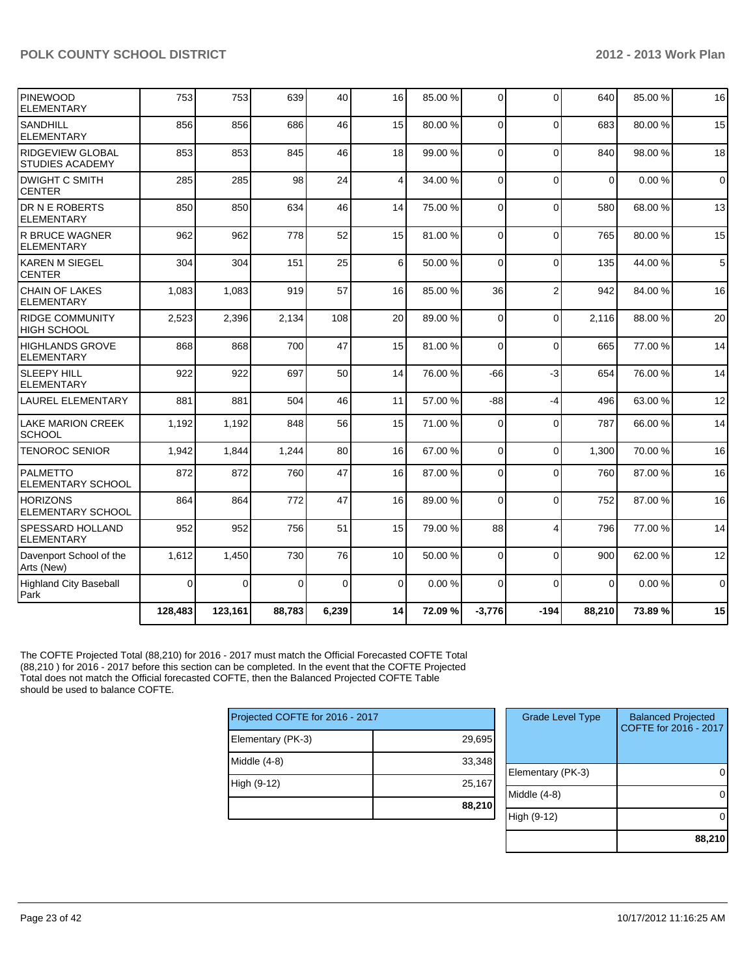| <b>PINEWOOD</b><br><b>ELEMENTARY</b>              | 753      | 753      | 639    | 40       | 16              | 85.00 % | $\Omega$     | $\Omega$       | 640      | 85.00 % | 16             |
|---------------------------------------------------|----------|----------|--------|----------|-----------------|---------|--------------|----------------|----------|---------|----------------|
| <b>SANDHILL</b><br><b>IELEMENTARY</b>             | 856      | 856      | 686    | 46       | 15              | 80.00 % | $\Omega$     | $\Omega$       | 683      | 80.00%  | 15             |
| <b>RIDGEVIEW GLOBAL</b><br><b>STUDIES ACADEMY</b> | 853      | 853      | 845    | 46       | 18              | 99.00 % | $\Omega$     | $\Omega$       | 840      | 98.00 % | 18             |
| IDWIGHT C SMITH<br><b>CENTER</b>                  | 285      | 285      | 98     | 24       | $\vert$         | 34.00 % | $\Omega$     | $\Omega$       | $\Omega$ | 0.00%   | $\mathbf 0$    |
| <b>IDR N E ROBERTS</b><br><b>ELEMENTARY</b>       | 850      | 850      | 634    | 46       | 14              | 75.00 % | $\Omega$     | $\Omega$       | 580      | 68.00 % | 13             |
| <b>R BRUCE WAGNER</b><br><b>ELEMENTARY</b>        | 962      | 962      | 778    | 52       | 15              | 81.00%  | $\Omega$     | $\Omega$       | 765      | 80.00%  | 15             |
| KAREN M SIEGEL<br><b>CENTER</b>                   | 304      | 304      | 151    | 25       | 6 <sup>1</sup>  | 50.00 % | $\mathbf{0}$ | $\Omega$       | 135      | 44.00%  | $\overline{5}$ |
| <b>CHAIN OF LAKES</b><br><b>ELEMENTARY</b>        | 1,083    | 1,083    | 919    | 57       | 16              | 85.00 % | 36           | $\overline{2}$ | 942      | 84.00%  | 16             |
| <b>RIDGE COMMUNITY</b><br> HIGH SCHOOL            | 2,523    | 2,396    | 2,134  | 108      | 20              | 89.00 % | $\Omega$     | $\Omega$       | 2,116    | 88.00 % | 20             |
| <b>HIGHLANDS GROVE</b><br>IELEMENTARY             | 868      | 868      | 700    | 47       | 15              | 81.00 % | $\Omega$     | $\Omega$       | 665      | 77.00 % | 14             |
| <b>SLEEPY HILL</b><br>ELEMENTARY                  | 922      | 922      | 697    | 50       | 14              | 76.00 % | $-66$        | $-3$           | 654      | 76.00 % | 14             |
| <b>LAUREL ELEMENTARY</b>                          | 881      | 881      | 504    | 46       | 11              | 57.00 % | $-88$        | $-4$           | 496      | 63.00%  | 12             |
| <b>LAKE MARION CREEK</b><br><b>SCHOOL</b>         | 1,192    | 1,192    | 848    | 56       | 15              | 71.00 % | $\Omega$     | $\Omega$       | 787      | 66.00 % | 14             |
| TENOROC SENIOR                                    | 1,942    | 1,844    | 1,244  | 80       | 16              | 67.00 % | $\Omega$     | $\mathbf 0$    | 1,300    | 70.00%  | 16             |
| <b>PALMETTO</b><br><b>ELEMENTARY SCHOOL</b>       | 872      | 872      | 760    | 47       | 16              | 87.00 % | $\Omega$     | $\Omega$       | 760      | 87.00 % | 16             |
| <b>HORIZONS</b><br><b>ELEMENTARY SCHOOL</b>       | 864      | 864      | 772    | 47       | 16              | 89.00 % | $\Omega$     | $\Omega$       | 752      | 87.00 % | 16             |
| <b>SPESSARD HOLLAND</b><br><b>ELEMENTARY</b>      | 952      | 952      | 756    | 51       | 15              | 79.00 % | 88           | $\overline{4}$ | 796      | 77.00 % | 14             |
| Davenport School of the<br>Arts (New)             | 1,612    | 1,450    | 730    | 76       | 10 <sup>1</sup> | 50.00 % | $\Omega$     | $\mathbf 0$    | 900      | 62.00%  | 12             |
| <b>Highland City Baseball</b><br>Park             | $\Omega$ | $\Omega$ | 0      | $\Omega$ | $\Omega$        | 0.00%   | $\Omega$     | $\Omega$       | $\Omega$ | 0.00%   | $\mathbf 0$    |
|                                                   | 128,483  | 123,161  | 88,783 | 6,239    | 14              | 72.09%  | $-3,776$     | $-194$         | 88,210   | 73.89%  | 15             |

The COFTE Projected Total (88,210) for 2016 - 2017 must match the Official Forecasted COFTE Total (88,210 ) for 2016 - 2017 before this section can be completed. In the event that the COFTE Projected Total does not match the Official forecasted COFTE, then the Balanced Projected COFTE Table should be used to balance COFTE.

| Projected COFTE for 2016 - 2017 |        |  |  |  |  |  |  |  |
|---------------------------------|--------|--|--|--|--|--|--|--|
| Elementary (PK-3)               | 29,695 |  |  |  |  |  |  |  |
| Middle (4-8)                    | 33,348 |  |  |  |  |  |  |  |
| High (9-12)                     | 25,167 |  |  |  |  |  |  |  |
|                                 | 88,210 |  |  |  |  |  |  |  |

| <b>Grade Level Type</b> | <b>Balanced Projected</b><br>COFTE for 2016 - 2017 |
|-------------------------|----------------------------------------------------|
| Elementary (PK-3)       |                                                    |
| Middle (4-8)            |                                                    |
| High (9-12)             |                                                    |
|                         | 88,210                                             |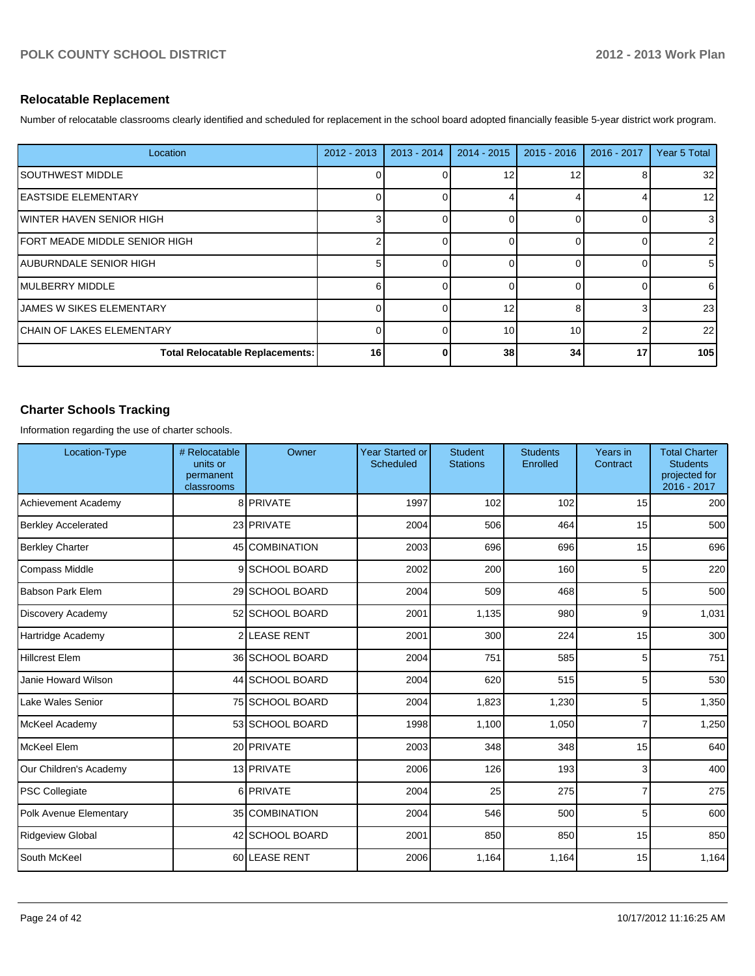#### **Relocatable Replacement**

Number of relocatable classrooms clearly identified and scheduled for replacement in the school board adopted financially feasible 5-year district work program.

| Location                              | $2012 - 2013$ | $2013 - 2014$ | $2014 - 2015$ | $2015 - 2016$ | $2016 - 2017$ | Year 5 Total    |
|---------------------------------------|---------------|---------------|---------------|---------------|---------------|-----------------|
| <b>ISOUTHWEST MIDDLE</b>              |               |               | 12            | 12            |               | 32 <sub>l</sub> |
| <b>IEASTSIDE ELEMENTARY</b>           |               |               |               |               |               | 12 <sub>l</sub> |
| IWINTER HAVEN SENIOR HIGH             |               |               |               |               |               | 3I              |
| <b>IFORT MEADE MIDDLE SENIOR HIGH</b> |               |               |               |               |               |                 |
| IAUBURNDALE SENIOR HIGH               | 5             |               |               |               |               | 5 <sub>l</sub>  |
| IMULBERRY MIDDLE                      | 6             |               |               |               |               | 6 I             |
| <b>IJAMES W SIKES ELEMENTARY</b>      |               |               | 12            |               |               | 23              |
| <b>ICHAIN OF LAKES ELEMENTARY</b>     |               |               | 10            | 10            |               | 22              |
| Total Relocatable Replacements:       | 16            |               | 38            | 34            | 17            | 105             |

#### **Charter Schools Tracking**

Information regarding the use of charter schools.

| Location-Type              | # Relocatable<br>units or<br>permanent<br>classrooms | Owner           | <b>Year Started or</b><br>Scheduled | <b>Student</b><br><b>Stations</b> | <b>Students</b><br>Enrolled | Years in<br>Contract | <b>Total Charter</b><br><b>Students</b><br>projected for<br>2016 - 2017 |
|----------------------------|------------------------------------------------------|-----------------|-------------------------------------|-----------------------------------|-----------------------------|----------------------|-------------------------------------------------------------------------|
| Achievement Academy        |                                                      | 8 PRIVATE       | 1997                                | 102                               | 102                         | 15                   | 200                                                                     |
| <b>Berkley Accelerated</b> |                                                      | 23 PRIVATE      | 2004                                | 506                               | 464                         | 15                   | 500                                                                     |
| <b>Berkley Charter</b>     |                                                      | 45 COMBINATION  | 2003                                | 696                               | 696                         | 15                   | 696                                                                     |
| <b>Compass Middle</b>      |                                                      | 9 SCHOOL BOARD  | 2002                                | 200                               | 160                         | 5                    | 220                                                                     |
| <b>Babson Park Elem</b>    |                                                      | 29 SCHOOL BOARD | 2004                                | 509                               | 468                         | 5                    | 500                                                                     |
| Discovery Academy          |                                                      | 52 SCHOOL BOARD | 2001                                | 1,135                             | 980                         | 9                    | 1,031                                                                   |
| Hartridge Academy          |                                                      | 2 LEASE RENT    | 2001                                | 300                               | 224                         | 15                   | 300                                                                     |
| <b>Hillcrest Elem</b>      |                                                      | 36 SCHOOL BOARD | 2004                                | 751                               | 585                         | 5                    | 751                                                                     |
| Janie Howard Wilson        |                                                      | 44 SCHOOL BOARD | 2004                                | 620                               | 515                         | 5                    | 530                                                                     |
| Lake Wales Senior          |                                                      | 75 SCHOOL BOARD | 2004                                | 1,823                             | 1,230                       | 5                    | 1,350                                                                   |
| McKeel Academy             |                                                      | 53 SCHOOL BOARD | 1998                                | 1,100                             | 1,050                       |                      | 1,250                                                                   |
| <b>McKeel Elem</b>         |                                                      | 20 PRIVATE      | 2003                                | 348                               | 348                         | 15                   | 640                                                                     |
| Our Children's Academy     |                                                      | 13 PRIVATE      | 2006                                | 126                               | 193                         | 3                    | 400                                                                     |
| <b>PSC Collegiate</b>      |                                                      | 6 PRIVATE       | 2004                                | 25                                | 275                         | 7                    | 275                                                                     |
| Polk Avenue Elementary     |                                                      | 35 COMBINATION  | 2004                                | 546                               | 500                         | 5                    | 600                                                                     |
| <b>Ridgeview Global</b>    |                                                      | 42 SCHOOL BOARD | 2001                                | 850                               | 850                         | 15                   | 850                                                                     |
| South McKeel               |                                                      | 60 LEASE RENT   | 2006                                | 1,164                             | 1,164                       | 15                   | 1,164                                                                   |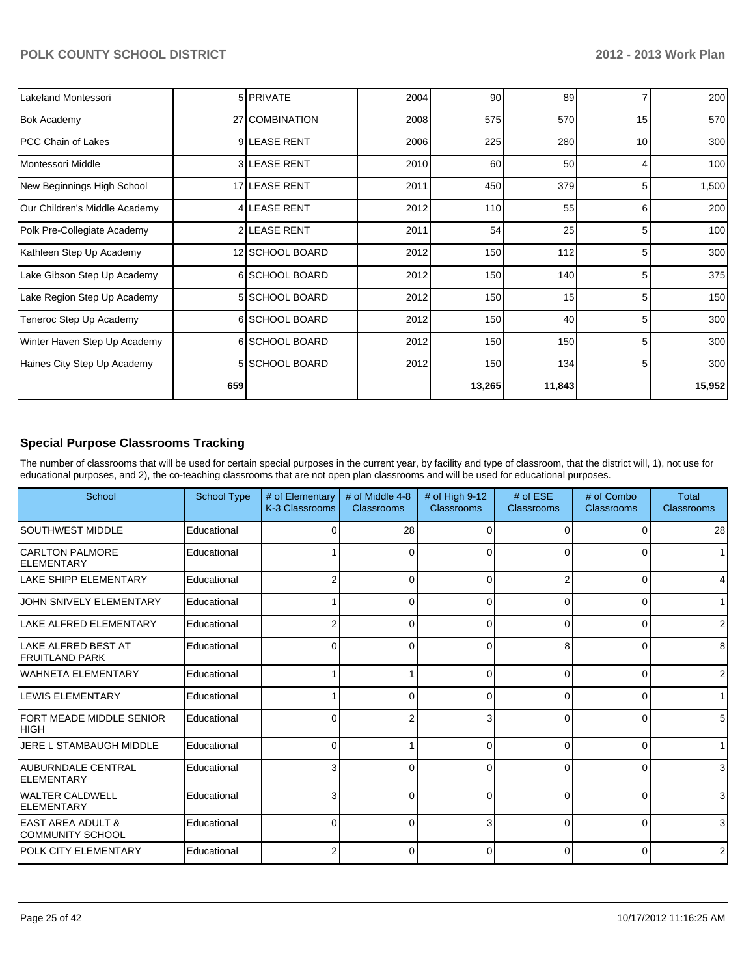| <b>Lakeland Montessori</b>    |     | 5 PRIVATE       | 2004 | 90     | 89     |                | 200    |
|-------------------------------|-----|-----------------|------|--------|--------|----------------|--------|
| <b>Bok Academy</b>            |     | 27 COMBINATION  | 2008 | 575    | 570    | 15             | 570    |
| PCC Chain of Lakes            |     | 9LEASE RENT     | 2006 | 225    | 280    | 10             | 300    |
| Montessori Middle             |     | 3 LEASE RENT    | 2010 | 60     | 50     | 4              | 100    |
| New Beginnings High School    |     | 17 LEASE RENT   | 2011 | 450    | 379    | 5              | 1,500  |
| Our Children's Middle Academy |     | 4 LEASE RENT    | 2012 | 110    | 55     | 6              | 200    |
| Polk Pre-Collegiate Academy   |     | 2 LEASE RENT    | 2011 | 54     | 25     | 5 <sup>1</sup> | 100    |
| Kathleen Step Up Academy      |     | 12 SCHOOL BOARD | 2012 | 150    | 112    | 5              | 300    |
| Lake Gibson Step Up Academy   |     | 6 SCHOOL BOARD  | 2012 | 150    | 140    | 5              | 375    |
| Lake Region Step Up Academy   |     | 5 SCHOOL BOARD  | 2012 | 150    | 15     | 5 <sup>1</sup> | 150    |
| Teneroc Step Up Academy       |     | 6 SCHOOL BOARD  | 2012 | 150    | 40     | 5 <sup>1</sup> | 300    |
| Winter Haven Step Up Academy  |     | 6 SCHOOL BOARD  | 2012 | 150    | 150    | 5              | 300    |
| Haines City Step Up Academy   |     | 5 SCHOOL BOARD  | 2012 | 150    | 134    | 5              | 300    |
|                               | 659 |                 |      | 13,265 | 11,843 |                | 15,952 |

#### **Special Purpose Classrooms Tracking**

The number of classrooms that will be used for certain special purposes in the current year, by facility and type of classroom, that the district will, 1), not use for educational purposes, and 2), the co-teaching classrooms that are not open plan classrooms and will be used for educational purposes.

| School                                             | School Type | # of Elementary<br>K-3 Classrooms | # of Middle 4-8<br><b>Classrooms</b> | # of High 9-12<br>Classrooms | # of ESE<br>Classrooms | # of Combo<br><b>Classrooms</b> | <b>Total</b><br><b>Classrooms</b> |
|----------------------------------------------------|-------------|-----------------------------------|--------------------------------------|------------------------------|------------------------|---------------------------------|-----------------------------------|
| <b>SOUTHWEST MIDDLE</b>                            | Educational | <sup>0</sup>                      | 28                                   |                              | <sup>0</sup>           | $\overline{0}$                  | 28                                |
| <b>ICARLTON PALMORE</b><br><b>ELEMENTARY</b>       | Educational |                                   | 0                                    | r                            | $\Omega$               | 0                               | $\mathbf{1}$                      |
| LAKE SHIPP ELEMENTARY                              | Educational |                                   | $\Omega$                             | ∩                            |                        | $\Omega$                        | $\overline{4}$                    |
| JOHN SNIVELY ELEMENTARY                            | Educational |                                   | 0                                    | ∩                            | $\Omega$               | $\Omega$                        | 1                                 |
| llake alfred elementary                            | Educational |                                   | 0                                    |                              | <sup>0</sup>           | $\overline{0}$                  | $\overline{2}$                    |
| llake alfred best at<br><b>IFRUITLAND PARK</b>     | Educational | 0                                 | 0                                    | ∩                            | 8                      | 0                               | 8                                 |
| WAHNETA ELEMENTARY                                 | Educational |                                   |                                      |                              | <sup>0</sup>           | 0                               | $\overline{2}$                    |
| <b>ILEWIS ELEMENTARY</b>                           | Educational |                                   |                                      |                              | 0                      | 0                               | $\mathbf{1}$                      |
| FORT MEADE MIDDLE SENIOR<br>IHIGH                  | Educational | $\Omega$                          | 2                                    | 3                            | $\Omega$               | $\overline{0}$                  | $5\phantom{.0}$                   |
| JERE L STAMBAUGH MIDDLE                            | Educational | U                                 |                                      |                              | U                      | $\Omega$                        | 1                                 |
| <b>AUBURNDALE CENTRAL</b><br><b>ELEMENTARY</b>     | Educational | 3                                 | 0                                    | $\Omega$                     | $\Omega$               | $\overline{0}$                  | 3                                 |
| <b>WALTER CALDWELL</b><br>IELEMENTARY              | Educational | 3                                 | 0                                    | ∩                            | $\Omega$               | $\Omega$                        | 3                                 |
| <b>IEAST AREA ADULT &amp;</b><br>ICOMMUNITY SCHOOL | Educational | $\Omega$                          | 0                                    | 3                            | $\Omega$               | $\Omega$                        | 3                                 |
| IPOLK CITY ELEMENTARY                              | Educational | 2                                 | 0                                    | ∩                            | $\Omega$               | $\overline{0}$                  | $\overline{2}$                    |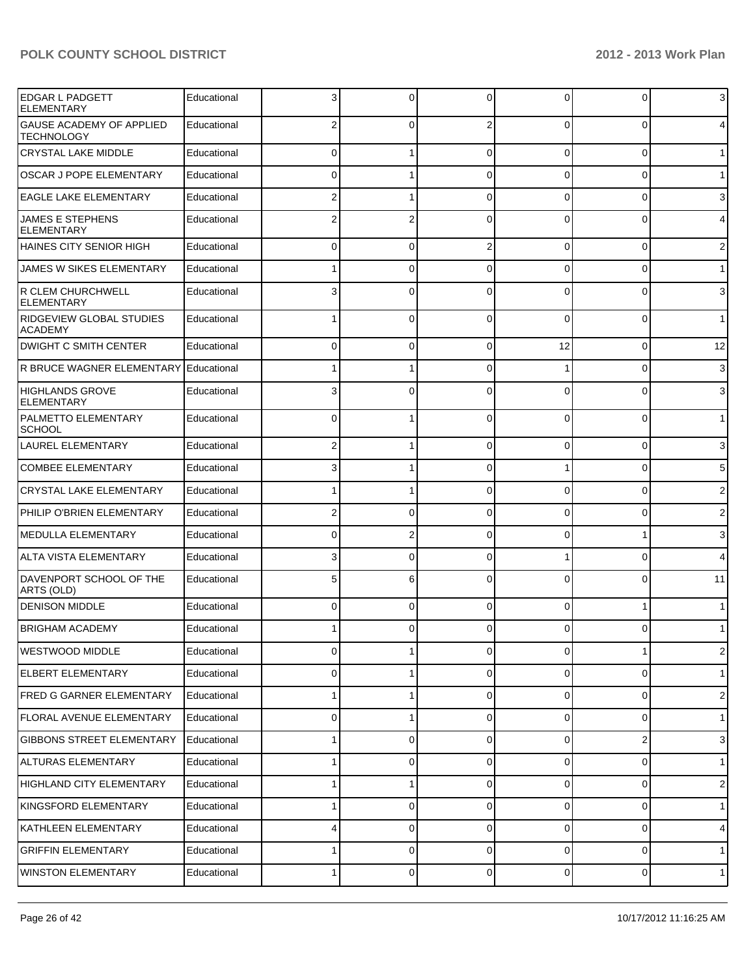| EDGAR L PADGETT<br><b>ELEMENTARY</b>                 | Educational | 3 | 0        | $\Omega$       | $\Omega$       | $\overline{0}$ | $\mathbf{3}$   |
|------------------------------------------------------|-------------|---|----------|----------------|----------------|----------------|----------------|
| <b>GAUSE ACADEMY OF APPLIED</b><br><b>TECHNOLOGY</b> | Educational | 2 | $\Omega$ | 2              | 0              | $\overline{0}$ | 4              |
| <b>CRYSTAL LAKE MIDDLE</b>                           | Educational | 0 | 1        | $\Omega$       | $\Omega$       | $\overline{0}$ | 1              |
| <b>OSCAR J POPE ELEMENTARY</b>                       | Educational | 0 | 1        | $\Omega$       | 0              | $\overline{0}$ | 1              |
| <b>EAGLE LAKE ELEMENTARY</b>                         | Educational | 2 | 1        | $\Omega$       | 0              | $\overline{0}$ | 3              |
| <b>JAMES E STEPHENS</b><br>ELEMENTARY                | Educational | 2 | 2        | $\Omega$       | 0              | 0              | 4              |
| HAINES CITY SENIOR HIGH                              | Educational | 0 | 0        | $\overline{2}$ | $\Omega$       | $\overline{0}$ | $\mathbf{2}$   |
| <b>JAMES W SIKES ELEMENTARY</b>                      | Educational |   | 0        | $\Omega$       | 0              | 0              | 1              |
| R CLEM CHURCHWELL<br><b>ELEMENTARY</b>               | Educational | 3 | 0        | $\Omega$       | $\Omega$       | $\Omega$       | $\mathbf{3}$   |
| <b>RIDGEVIEW GLOBAL STUDIES</b><br><b>ACADEMY</b>    | Educational |   | $\Omega$ | $\Omega$       | 0              | 0              | $\mathbf{1}$   |
| <b>DWIGHT C SMITH CENTER</b>                         | Educational | 0 | $\Omega$ | $\Omega$       | 12             | $\Omega$       | 12             |
| R BRUCE WAGNER ELEMENTARY                            | Educational |   | 1        | $\Omega$       |                | $\overline{0}$ | 3              |
| HIGHLANDS GROVE<br><b>ELEMENTARY</b>                 | Educational |   | 0        | $\Omega$       | 0              | 0              | 3              |
| <b>PALMETTO ELEMENTARY</b><br>SCHOOL                 | Educational | 0 | 1        | $\Omega$       | $\Omega$       | $\overline{0}$ | 1              |
| llaurel elementary                                   | Educational | 2 | 1        | $\Omega$       | $\Omega$       | $\overline{0}$ | 3              |
| <b>COMBEE ELEMENTARY</b>                             | Educational |   |          | $\Omega$       |                | 0              | 5              |
| <b>CRYSTAL LAKE ELEMENTARY</b>                       | Educational |   | 1        | $\Omega$       | $\Omega$       | 0              | $\overline{2}$ |
| PHILIP O'BRIEN ELEMENTARY                            | Educational | 2 | 0        | $\Omega$       | $\Omega$       | 0              | $\sqrt{2}$     |
| MEDULLA ELEMENTARY                                   | Educational | 0 | 2        | $\Omega$       | $\Omega$       | 1              | 3              |
| ALTA VISTA ELEMENTARY                                | Educational | 3 | 0        | $\Omega$       |                | 0              | 4              |
| DAVENPORT SCHOOL OF THE<br>ARTS (OLD)                | Educational | 5 | 6        | $\Omega$       | 0              | 0              | 11             |
| <b>DENISON MIDDLE</b>                                | Educational | 0 | 0        | $\Omega$       | 0              | 1              | $\mathbf{1}$   |
| <b>BRIGHAM ACADEMY</b>                               | Educational |   | 0        | ∩              | 0              | 0              | $\mathbf 1$    |
| <b>WESTWOOD MIDDLE</b>                               | Educational | 0 | 1        | 0              | 0              | 1              | $\overline{2}$ |
| <b>ELBERT ELEMENTARY</b>                             | Educational | 0 | 1        | $\Omega$       | 0              | 0              | 1              |
| <b>FRED G GARNER ELEMENTARY</b>                      | Educational |   | 1        | $\Omega$       | 0              | 0              | $\mathbf{2}$   |
| <b>FLORAL AVENUE ELEMENTARY</b>                      | Educational | 0 | 1        | $\Omega$       | 0              | 0              | 1              |
| <b>GIBBONS STREET ELEMENTARY</b>                     | Educational |   | 0        | $\Omega$       | 0              | 2              | 3              |
| <b>ALTURAS ELEMENTARY</b>                            | Educational |   | 0        | $\mathbf 0$    | 0              | 0              | 1              |
| <b>HIGHLAND CITY ELEMENTARY</b>                      | Educational |   | 1        | $\Omega$       | 0              | 0              | $\mathbf{2}$   |
| KINGSFORD ELEMENTARY                                 | Educational |   | 0        | $\Omega$       | 0              | 0              | 1              |
| <b>KATHLEEN ELEMENTARY</b>                           | Educational |   | 0        | $\Omega$       | 0              | 0              | $\overline{4}$ |
| <b>GRIFFIN ELEMENTARY</b>                            | Educational |   | 0        | $\mathbf 0$    | 0              | 0              | 1              |
| <b>WINSTON ELEMENTARY</b>                            | Educational |   | 0        | 0              | $\overline{0}$ | 0              | 1              |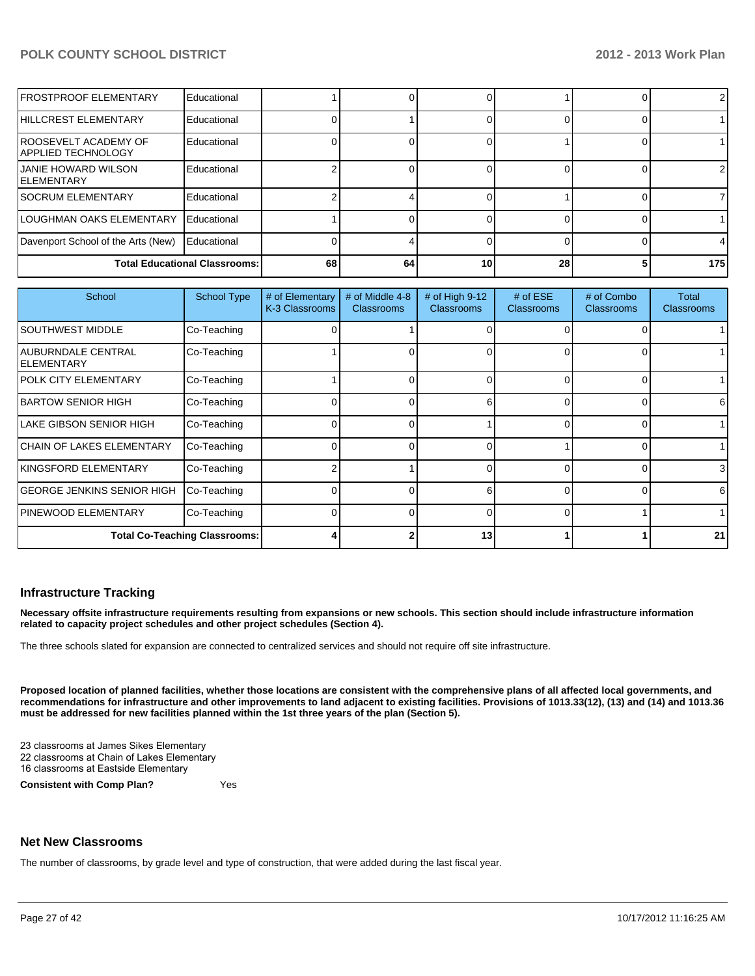| <b>IFROSTPROOF ELEMENTARY</b>                              | Educational                          |    |    |    |    |     |
|------------------------------------------------------------|--------------------------------------|----|----|----|----|-----|
| <b>IHILLCREST ELEMENTARY</b>                               | Educational                          |    |    |    |    |     |
| <b>IROOSEVELT ACADEMY OF</b><br><b>IAPPLIED TECHNOLOGY</b> | Educational                          |    |    |    |    |     |
| <b>IJANIE HOWARD WILSON</b><br><b>IELEMENTARY</b>          | Educational                          |    |    |    |    |     |
| <b>ISOCRUM ELEMENTARY</b>                                  | Educational                          |    |    |    |    |     |
| ILOUGHMAN OAKS ELEMENTARY                                  | Educational                          |    |    |    |    |     |
| Davenport School of the Arts (New)                         | Educational                          |    |    |    |    |     |
|                                                            | <b>Total Educational Classrooms:</b> | 68 | 64 | 10 | 28 | 175 |

| School                                   | <b>School Type</b> | # of Elementary<br>K-3 Classrooms | # of Middle 4-8<br><b>Classrooms</b> | # of High 9-12<br><b>Classrooms</b> | # of $ESE$<br><b>Classrooms</b> | # of Combo<br><b>Classrooms</b> | Total<br><b>Classrooms</b> |
|------------------------------------------|--------------------|-----------------------------------|--------------------------------------|-------------------------------------|---------------------------------|---------------------------------|----------------------------|
| <b>SOUTHWEST MIDDLE</b>                  | Co-Teaching        |                                   |                                      |                                     |                                 |                                 |                            |
| AUBURNDALE CENTRAL<br><b>IELEMENTARY</b> | Co-Teaching        |                                   |                                      |                                     |                                 |                                 |                            |
| IPOLK CITY ELEMENTARY                    | Co-Teaching        |                                   |                                      |                                     | $\Omega$                        | U                               |                            |
| <b>IBARTOW SENIOR HIGH</b>               | Co-Teaching        |                                   |                                      |                                     |                                 |                                 | 6                          |
| LAKE GIBSON SENIOR HIGH                  | Co-Teaching        |                                   |                                      |                                     |                                 |                                 |                            |
| <b>CHAIN OF LAKES ELEMENTARY</b>         | Co-Teaching        |                                   |                                      |                                     |                                 | 0                               |                            |
| İKINGSFORD ELEMENTARY                    | Co-Teaching        |                                   |                                      |                                     | $\Omega$                        | 0                               | 3 <sup>l</sup>             |
| <b>GEORGE JENKINS SENIOR HIGH</b>        | Co-Teaching        |                                   |                                      | 6                                   | $\Omega$                        | ი                               | 6                          |
| <b>PINEWOOD ELEMENTARY</b>               | Co-Teaching        |                                   |                                      |                                     | $\Omega$                        |                                 |                            |
| <b>Total Co-Teaching Classrooms:</b>     |                    |                                   |                                      | 13                                  |                                 |                                 | 21                         |

#### **Infrastructure Tracking**

**Necessary offsite infrastructure requirements resulting from expansions or new schools. This section should include infrastructure information related to capacity project schedules and other project schedules (Section 4).**

The three schools slated for expansion are connected to centralized services and should not require off site infrastructure.

**Proposed location of planned facilities, whether those locations are consistent with the comprehensive plans of all affected local governments, and recommendations for infrastructure and other improvements to land adjacent to existing facilities. Provisions of 1013.33(12), (13) and (14) and 1013.36 must be addressed for new facilities planned within the 1st three years of the plan (Section 5).**

23 classrooms at James Sikes Elementary

22 classrooms at Chain of Lakes Elementary

16 classrooms at Eastside Elementary

**Consistent with Comp Plan?** Yes

#### **Net New Classrooms**

The number of classrooms, by grade level and type of construction, that were added during the last fiscal year.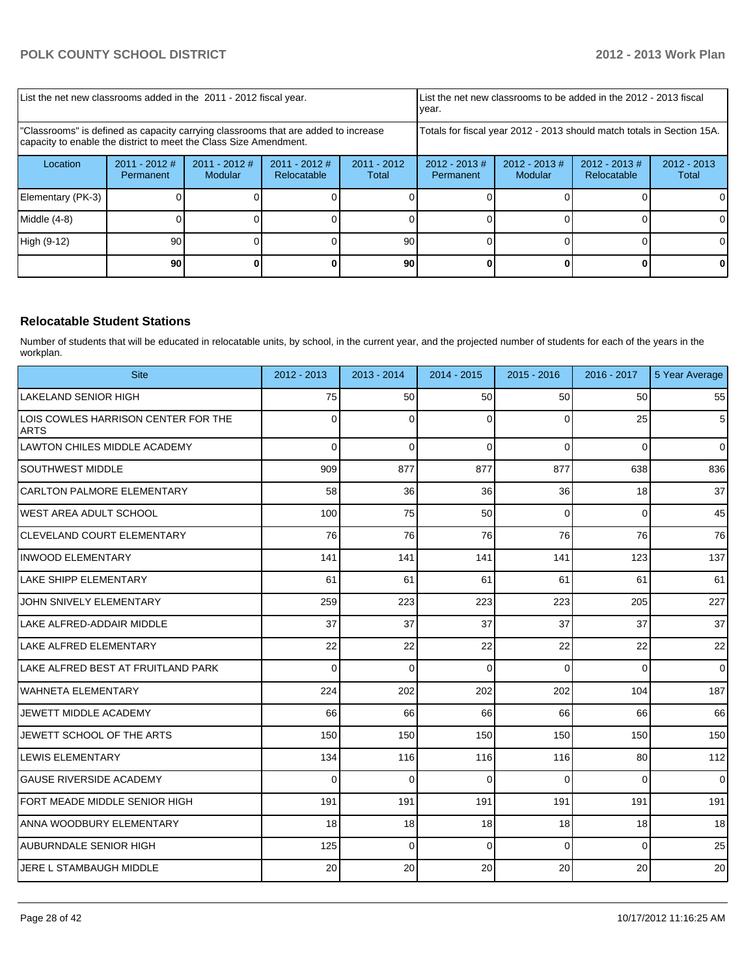| List the net new classrooms added in the 2011 - 2012 fiscal year.                                                                                       | Llist the net new classrooms to be added in the 2012 - 2013 fiscal<br>Ivear. |                            |                                |                                                                        |                               |                             |                                 |                        |
|---------------------------------------------------------------------------------------------------------------------------------------------------------|------------------------------------------------------------------------------|----------------------------|--------------------------------|------------------------------------------------------------------------|-------------------------------|-----------------------------|---------------------------------|------------------------|
| "Classrooms" is defined as capacity carrying classrooms that are added to increase<br>capacity to enable the district to meet the Class Size Amendment. |                                                                              |                            |                                | Totals for fiscal year 2012 - 2013 should match totals in Section 15A. |                               |                             |                                 |                        |
| Location                                                                                                                                                | $2011 - 2012$ #<br>Permanent                                                 | $2011 - 2012$ #<br>Modular | $2011 - 2012$ #<br>Relocatable | $2011 - 2012$<br>Total                                                 | $2012 - 2013 \#$<br>Permanent | $2012 - 2013 \#$<br>Modular | $2012 - 2013 \#$<br>Relocatable | $2012 - 2013$<br>Total |
| Elementary (PK-3)                                                                                                                                       |                                                                              |                            |                                |                                                                        |                               |                             |                                 |                        |
| Middle (4-8)                                                                                                                                            |                                                                              |                            |                                |                                                                        |                               |                             |                                 |                        |
| High (9-12)                                                                                                                                             | 90                                                                           |                            |                                | 90 <sup>1</sup>                                                        |                               |                             |                                 |                        |
|                                                                                                                                                         | 90                                                                           |                            |                                | 90 <sub>1</sub>                                                        |                               |                             |                                 |                        |

#### **Relocatable Student Stations**

Number of students that will be educated in relocatable units, by school, in the current year, and the projected number of students for each of the years in the workplan.

| <b>Site</b>                                        | $2012 - 2013$ | $2013 - 2014$ | $2014 - 2015$ | $2015 - 2016$ | $2016 - 2017$ | 5 Year Average |
|----------------------------------------------------|---------------|---------------|---------------|---------------|---------------|----------------|
| <b>LAKELAND SENIOR HIGH</b>                        | 75            | 50            | 50            | 50            | 50            | 55             |
| LOIS COWLES HARRISON CENTER FOR THE<br><b>ARTS</b> | $\Omega$      | $\Omega$      | $\Omega$      | $\Omega$      | 25            | 5              |
| <b>LAWTON CHILES MIDDLE ACADEMY</b>                | $\Omega$      | $\Omega$      | $\mathbf 0$   | $\Omega$      | $\mathbf 0$   | $\mathbf 0$    |
| <b>SOUTHWEST MIDDLE</b>                            | 909           | 877           | 877           | 877           | 638           | 836            |
| <b>CARLTON PALMORE ELEMENTARY</b>                  | 58            | 36            | 36            | 36            | 18            | 37             |
| <b>WEST AREA ADULT SCHOOL</b>                      | 100           | 75            | 50            | $\Omega$      | 0             | 45             |
| <b>CLEVELAND COURT ELEMENTARY</b>                  | 76            | 76            | 76            | 76            | 76            | 76             |
| <b>INWOOD ELEMENTARY</b>                           | 141           | 141           | 141           | 141           | 123           | 137            |
| LAKE SHIPP ELEMENTARY                              | 61            | 61            | 61            | 61            | 61            | 61             |
| JOHN SNIVELY ELEMENTARY                            | 259           | 223           | 223           | 223           | 205           | 227            |
| LAKE ALFRED-ADDAIR MIDDLE                          | 37            | 37            | 37            | 37            | 37            | 37             |
| LAKE ALFRED ELEMENTARY                             | 22            | 22            | 22            | 22            | 22            | 22             |
| LAKE ALFRED BEST AT FRUITLAND PARK                 | $\Omega$      | $\Omega$      | $\Omega$      | $\Omega$      | $\Omega$      | $\Omega$       |
| <b>WAHNETA ELEMENTARY</b>                          | 224           | 202           | 202           | 202           | 104           | 187            |
| JEWETT MIDDLE ACADEMY                              | 66            | 66            | 66            | 66            | 66            | 66             |
| JEWETT SCHOOL OF THE ARTS                          | 150           | 150           | 150           | 150           | 150           | 150            |
| <b>LEWIS ELEMENTARY</b>                            | 134           | 116           | 116           | 116           | 80            | 112            |
| <b>GAUSE RIVERSIDE ACADEMY</b>                     | $\Omega$      | $\Omega$      | $\Omega$      | $\Omega$      | $\Omega$      | $\Omega$       |
| <b>FORT MEADE MIDDLE SENIOR HIGH</b>               | 191           | 191           | 191           | 191           | 191           | 191            |
| <b>ANNA WOODBURY ELEMENTARY</b>                    | 18            | 18            | 18            | 18            | 18            | 18             |
| <b>AUBURNDALE SENIOR HIGH</b>                      | 125           | $\Omega$      | $\Omega$      | $\Omega$      | $\Omega$      | 25             |
| JERE L STAMBAUGH MIDDLE                            | 20            | 20            | 20            | 20            | 20            | 20             |
|                                                    |               |               |               |               |               |                |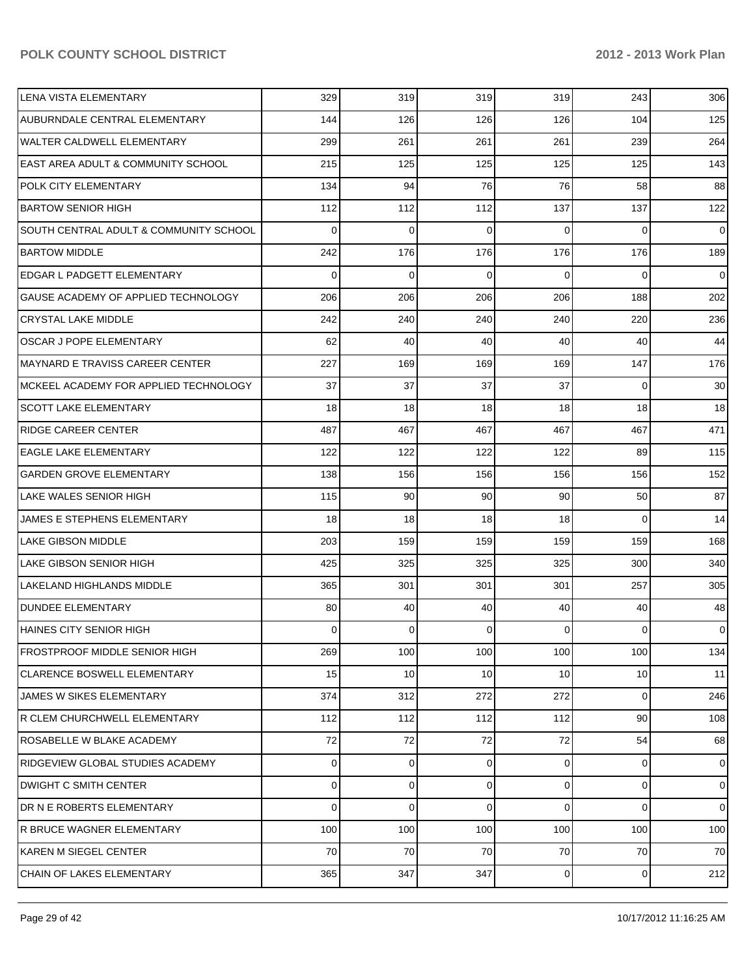| LENA VISTA ELEMENTARY                         | 329 | 319             | 319             | 319             | 243            | 306             |
|-----------------------------------------------|-----|-----------------|-----------------|-----------------|----------------|-----------------|
| AUBURNDALE CENTRAL ELEMENTARY                 | 144 | 126             | 126             | 126             | 104            | 125             |
| WALTER CALDWELL ELEMENTARY                    | 299 | 261             | 261             | 261             | 239            | 264             |
| <b>EAST AREA ADULT &amp; COMMUNITY SCHOOL</b> | 215 | 125             | 125             | 125             | 125            | 143             |
| POLK CITY ELEMENTARY                          | 134 | 94              | 76              | 76              | 58             | 88              |
| <b>BARTOW SENIOR HIGH</b>                     | 112 | 112             | 112             | 137             | 137            | 122             |
| SOUTH CENTRAL ADULT & COMMUNITY SCHOOL        | 0   | 0               | 0               | $\Omega$        | $\Omega$       | $\overline{0}$  |
| <b>BARTOW MIDDLE</b>                          | 242 | 176             | 176             | 176             | 176            | 189             |
| <b>EDGAR L PADGETT ELEMENTARY</b>             | 0   | 0               | 0               | $\Omega$        | $\Omega$       | $\overline{0}$  |
| GAUSE ACADEMY OF APPLIED TECHNOLOGY           | 206 | 206             | 206             | 206             | 188            | 202             |
| <b>CRYSTAL LAKE MIDDLE</b>                    | 242 | 240             | 240             | 240             | 220            | 236             |
| OSCAR J POPE ELEMENTARY                       | 62  | 40              | 40              | 40              | 40             | 44              |
| MAYNARD E TRAVISS CAREER CENTER               | 227 | 169             | 169             | 169             | 147            | 176             |
| MCKEEL ACADEMY FOR APPLIED TECHNOLOGY         | 37  | 37              | 37              | 37              | $\Omega$       | 30 <sup>°</sup> |
| <b>SCOTT LAKE ELEMENTARY</b>                  | 18  | 18              | 18              | 18              | 18             | 18              |
| <b>RIDGE CAREER CENTER</b>                    | 487 | 467             | 467             | 467             | 467            | 471             |
| <b>EAGLE LAKE ELEMENTARY</b>                  | 122 | 122             | 122             | 122             | 89             | 115             |
| <b>GARDEN GROVE ELEMENTARY</b>                | 138 | 156             | 156             | 156             | 156            | 152             |
| LAKE WALES SENIOR HIGH                        | 115 | 90              | 90              | 90              | 50             | 87              |
| JAMES E STEPHENS ELEMENTARY                   | 18  | 18              | 18              | 18              | $\Omega$       | 14              |
| LAKE GIBSON MIDDLE                            | 203 | 159             | 159             | 159             | 159            | 168             |
| LAKE GIBSON SENIOR HIGH                       | 425 | 325             | 325             | 325             | 300            | 340             |
| LAKELAND HIGHLANDS MIDDLE                     | 365 | 301             | 301             | 301             | 257            | 305             |
| <b>DUNDEE ELEMENTARY</b>                      | 80  | 40              | 40              | 40              | 40             | 48              |
| <b>HAINES CITY SENIOR HIGH</b>                | 0   | 0               | 0               | 0               | $\Omega$       | $\overline{0}$  |
| <b>FROSTPROOF MIDDLE SENIOR HIGH</b>          | 269 | 100             | 100             | 100             | 100            | 134             |
| <b>CLARENCE BOSWELL ELEMENTARY</b>            | 15  | 10 <sup>1</sup> | 10 <sup>1</sup> | 10 <sup>1</sup> | 10             | 11              |
| JAMES W SIKES ELEMENTARY                      | 374 | 312             | 272             | 272             | $\mathbf 0$    | 246             |
| R CLEM CHURCHWELL ELEMENTARY                  | 112 | 112             | 112             | 112             | 90             | 108             |
| ROSABELLE W BLAKE ACADEMY                     | 72  | 72              | 72              | 72              | 54             | 68              |
| RIDGEVIEW GLOBAL STUDIES ACADEMY              | 0   | 0               | 0               | $\overline{0}$  | $\mathbf{0}$   | $\overline{0}$  |
| DWIGHT C SMITH CENTER                         | 0   | 0               | 0               | $\Omega$        | $\overline{0}$ | $\overline{0}$  |
| DR N E ROBERTS ELEMENTARY                     | 0   | 0               | 0               | $\Omega$        | $\overline{0}$ | $\overline{0}$  |
| R BRUCE WAGNER ELEMENTARY                     | 100 | 100             | 100             | 100             | 100            | 100             |
| KAREN M SIEGEL CENTER                         | 70  | 70              | 70              | 70              | 70             | 70              |
| CHAIN OF LAKES ELEMENTARY                     | 365 | 347             | 347             | $\overline{0}$  | $\mathbf 0$    | 212             |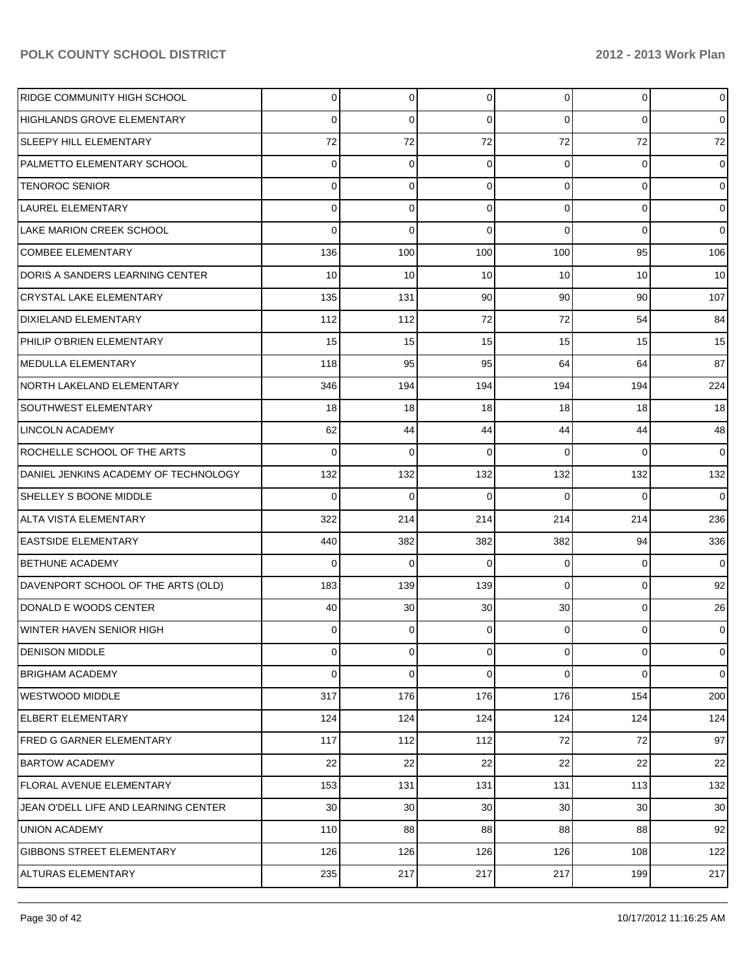| RIDGE COMMUNITY HIGH SCHOOL          | $\overline{0}$ | 0   | 0               | $\overline{0}$  | $\mathbf{0}$ | $\overline{0}$  |
|--------------------------------------|----------------|-----|-----------------|-----------------|--------------|-----------------|
| <b>HIGHLANDS GROVE ELEMENTARY</b>    | 0              | 0   | 0               | $\Omega$        | $\Omega$     | $\overline{0}$  |
| <b>SLEEPY HILL ELEMENTARY</b>        | 72             | 72  | 72              | 72              | 72           | 72              |
| PALMETTO ELEMENTARY SCHOOL           | 0              | 0   | 0               | $\Omega$        | 0            | $\overline{0}$  |
| <b>TENOROC SENIOR</b>                | 0              | 0   | 0               | $\Omega$        | 0            | $\overline{0}$  |
| LAUREL ELEMENTARY                    | 0              | 0   | 0               | $\Omega$        | 0            | $\overline{0}$  |
| LAKE MARION CREEK SCHOOL             | 0              | 0   | $\Omega$        | $\Omega$        | $\Omega$     | $\overline{0}$  |
| <b>COMBEE ELEMENTARY</b>             | 136            | 100 | 100             | 100             | 95           | 106             |
| DORIS A SANDERS LEARNING CENTER      | 10             | 10  | 10              | 10              | 10           | 10 <sup>1</sup> |
| CRYSTAL LAKE ELEMENTARY              | 135            | 131 | 90              | 90              | 90           | 107             |
| <b>DIXIELAND ELEMENTARY</b>          | 112            | 112 | 72              | 72              | 54           | 84              |
| PHILIP O'BRIEN ELEMENTARY            | 15             | 15  | 15              | 15              | 15           | 15              |
| <b>MEDULLA ELEMENTARY</b>            | 118            | 95  | 95              | 64              | 64           | 87              |
| NORTH LAKELAND ELEMENTARY            | 346            | 194 | 194             | 194             | 194          | 224             |
| SOUTHWEST ELEMENTARY                 | 18             | 18  | 18              | 18              | 18           | 18              |
| <b>LINCOLN ACADEMY</b>               | 62             | 44  | 44              | 44              | 44           | 48              |
| ROCHELLE SCHOOL OF THE ARTS          | 0              | 0   | 0               | 0               | $\Omega$     | $\overline{0}$  |
| DANIEL JENKINS ACADEMY OF TECHNOLOGY | 132            | 132 | 132             | 132             | 132          | 132             |
| SHELLEY S BOONE MIDDLE               | 0              | 0   | 0               | $\Omega$        | $\Omega$     | $\overline{0}$  |
| ALTA VISTA ELEMENTARY                | 322            | 214 | 214             | 214             | 214          | 236             |
| <b>EASTSIDE ELEMENTARY</b>           | 440            | 382 | 382             | 382             | 94           | 336             |
| <b>BETHUNE ACADEMY</b>               | 0              | 0   | 0               | 0               | 0            | $\overline{0}$  |
| DAVENPORT SCHOOL OF THE ARTS (OLD)   | 183            | 139 | 139             | $\Omega$        | $\mathbf{0}$ | 92              |
| DONALD E WOODS CENTER                | 40             | 30  | 30              | 30 <sup>°</sup> | $\mathbf{0}$ | 26              |
| WINTER HAVEN SENIOR HIGH             | 0              | 0   | 0               | 0               | 0            | $\overline{0}$  |
| <b>DENISON MIDDLE</b>                | 0              | 0   | 0               | $\overline{0}$  | $\mathbf{0}$ | $\overline{0}$  |
| <b>BRIGHAM ACADEMY</b>               | 0              | 0   | 0               | $\overline{0}$  | $\mathbf{0}$ | $\overline{0}$  |
| <b>WESTWOOD MIDDLE</b>               | 317            | 176 | 176             | 176             | 154          | 200             |
| <b>ELBERT ELEMENTARY</b>             | 124            | 124 | 124             | 124             | 124          | 124             |
| FRED G GARNER ELEMENTARY             | 117            | 112 | 112             | 72              | 72           | 97              |
| <b>BARTOW ACADEMY</b>                | 22             | 22  | 22              | 22              | 22           | 22              |
| <b>FLORAL AVENUE ELEMENTARY</b>      | 153            | 131 | 131             | 131             | 113          | 132             |
| JEAN O'DELL LIFE AND LEARNING CENTER | $30$           | 30  | 30 <sup>2</sup> | 30 <sup>°</sup> | 30           | 30              |
| UNION ACADEMY                        | 110            | 88  | 88              | 88              | 88           | 92              |
| <b>GIBBONS STREET ELEMENTARY</b>     | 126            | 126 | 126             | 126             | 108          | 122             |
| <b>ALTURAS ELEMENTARY</b>            | 235            | 217 | 217             | 217             | 199          | 217             |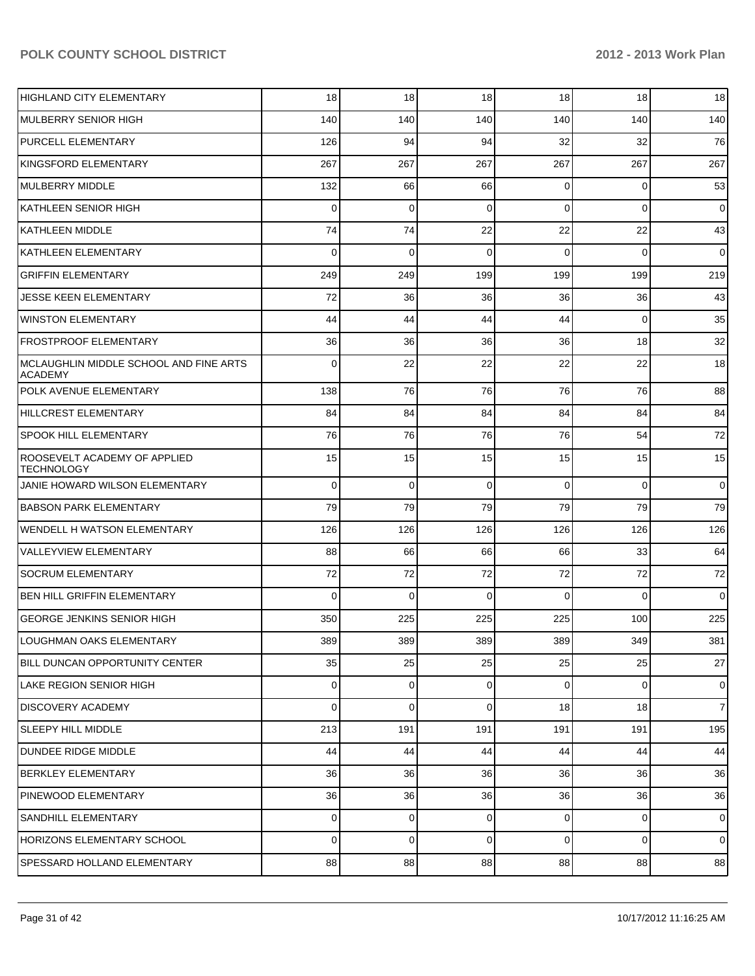| <b>HIGHLAND CITY ELEMENTARY</b>                          | 18             | 18             | 18             | 18             | 18             | 18             |
|----------------------------------------------------------|----------------|----------------|----------------|----------------|----------------|----------------|
| MULBERRY SENIOR HIGH                                     | 140            | 140            | 140            | 140            | 140            | 140            |
| <b>PURCELL ELEMENTARY</b>                                | 126            | 94             | 94             | 32             | 32             | 76             |
| KINGSFORD ELEMENTARY                                     | 267            | 267            | 267            | 267            | 267            | 267            |
| MULBERRY MIDDLE                                          | 132            | 66             | 66             | 0              | $\Omega$       | 53             |
| KATHLEEN SENIOR HIGH                                     | $\mathbf 0$    | 0              | 0              | $\Omega$       | $\Omega$       | $\overline{0}$ |
| <b>KATHLEEN MIDDLE</b>                                   | 74             | 74             | 22             | 22             | 22             | 43             |
| KATHLEEN ELEMENTARY                                      | $\Omega$       | 0              | 0              | $\Omega$       | $\Omega$       | $\overline{0}$ |
| <b>GRIFFIN ELEMENTARY</b>                                | 249            | 249            | 199            | 199            | 199            | 219            |
| JESSE KEEN ELEMENTARY                                    | 72             | 36             | 36             | 36             | 36             | 43             |
| <b>WINSTON ELEMENTARY</b>                                | 44             | 44             | 44             | 44             | $\Omega$       | 35             |
| <b>FROSTPROOF ELEMENTARY</b>                             | 36             | 36             | 36             | 36             | 18             | 32             |
| MCLAUGHLIN MIDDLE SCHOOL AND FINE ARTS<br><b>ACADEMY</b> | 0              | 22             | 22             | 22             | 22             | 18             |
| POLK AVENUE ELEMENTARY                                   | 138            | 76             | 76             | 76             | 76             | 88             |
| HILLCREST ELEMENTARY                                     | 84             | 84             | 84             | 84             | 84             | 84             |
| <b>SPOOK HILL ELEMENTARY</b>                             | 76             | 76             | 76             | 76             | 54             | 72             |
| ROOSEVELT ACADEMY OF APPLIED<br><b>TECHNOLOGY</b>        | 15             | 15             | 15             | 15             | 15             | 15             |
| JANIE HOWARD WILSON ELEMENTARY                           | 0              | $\mathbf 0$    | 0              | $\Omega$       | $\Omega$       | $\overline{0}$ |
| <b>BABSON PARK ELEMENTARY</b>                            | 79             | 79             | 79             | 79             | 79             | 79             |
| WENDELL H WATSON ELEMENTARY                              | 126            | 126            | 126            | 126            | 126            | 126            |
| <b>VALLEYVIEW ELEMENTARY</b>                             | 88             | 66             | 66             | 66             | 33             | 64             |
| SOCRUM ELEMENTARY                                        | 72             | 72             | 72             | 72             | 72             | 72             |
| BEN HILL GRIFFIN ELEMENTARY                              | $\Omega$       | 0              | $\Omega$       | $\Omega$       | $\Omega$       | $\overline{0}$ |
| <b>GEORGE JENKINS SENIOR HIGH</b>                        | 350            | 225            | 225            | 225            | 100            | 225            |
| LOUGHMAN OAKS ELEMENTARY                                 | 389            | 389            | 389            | 389            | 349            | 381            |
| BILL DUNCAN OPPORTUNITY CENTER                           | 35             | 25             | 25             | 25             | 25             | 27             |
| LAKE REGION SENIOR HIGH                                  | 0              | 0              | 0              | $\overline{0}$ | $\mathbf{0}$   | $\overline{0}$ |
| DISCOVERY ACADEMY                                        | $\overline{0}$ | 0              | 0              | 18             | 18             | 7 <sup>1</sup> |
| <b>SLEEPY HILL MIDDLE</b>                                | 213            | 191            | 191            | 191            | 191            | 195            |
| DUNDEE RIDGE MIDDLE                                      | 44             | 44             | 44             | 44             | 44             | 44             |
| BERKLEY ELEMENTARY                                       | 36             | 36             | 36             | 36             | 36             | 36             |
| PINEWOOD ELEMENTARY                                      | 36             | 36             | 36             | 36             | 36             | 36             |
| SANDHILL ELEMENTARY                                      | $\overline{0}$ | 0              | 0              | $\overline{0}$ | $\overline{0}$ | $\overline{0}$ |
| HORIZONS ELEMENTARY SCHOOL                               | $\overline{0}$ | $\overline{0}$ | $\overline{0}$ | $\overline{0}$ | $\overline{0}$ | $\overline{0}$ |
| SPESSARD HOLLAND ELEMENTARY                              | 88             | 88             | 88             | 88             | 88             | 88             |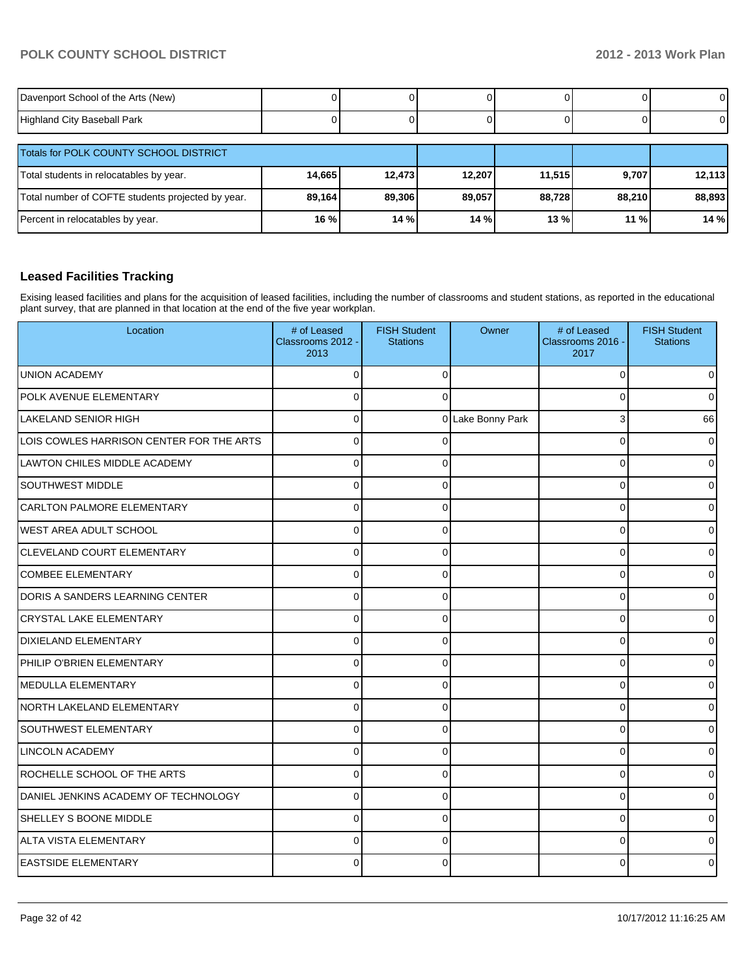| Davenport School of the Arts (New) |  |  |  |
|------------------------------------|--|--|--|
| Highland City Baseball Park        |  |  |  |

| Totals for POLK COUNTY SCHOOL DISTRICT            |        |        |        |        |        |        |
|---------------------------------------------------|--------|--------|--------|--------|--------|--------|
| Total students in relocatables by year.           | 14,665 | 12.473 | 12.207 | 11.515 | 9.707  | 12,113 |
| Total number of COFTE students projected by year. | 89,164 | 89,306 | 89.057 | 88.728 | 88.210 | 88,893 |
| Percent in relocatables by year.                  | $16\%$ | 14%    | 14%    | 13%    | $11\%$ | 14%    |

### **Leased Facilities Tracking**

Exising leased facilities and plans for the acquisition of leased facilities, including the number of classrooms and student stations, as reported in the educational plant survey, that are planned in that location at the end of the five year workplan.

| Location                                 | # of Leased<br>Classrooms 2012 -<br>2013 | <b>FISH Student</b><br><b>Stations</b> | Owner             | # of Leased<br>Classrooms 2016 -<br>2017 | <b>FISH Student</b><br><b>Stations</b> |
|------------------------------------------|------------------------------------------|----------------------------------------|-------------------|------------------------------------------|----------------------------------------|
| <b>UNION ACADEMY</b>                     | 0                                        | $\Omega$                               |                   | $\Omega$                                 | $\Omega$                               |
| POLK AVENUE ELEMENTARY                   | $\Omega$                                 | $\Omega$                               |                   | 0                                        | $\overline{0}$                         |
| <b>LAKELAND SENIOR HIGH</b>              | 0                                        |                                        | 0 Lake Bonny Park | 3                                        | 66                                     |
| LOIS COWLES HARRISON CENTER FOR THE ARTS | $\Omega$                                 | ∩                                      |                   | $\Omega$                                 | $\mathbf 0$                            |
| LAWTON CHILES MIDDLE ACADEMY             | 0                                        | ∩                                      |                   | $\Omega$                                 | $\Omega$                               |
| <b>SOUTHWEST MIDDLE</b>                  | 0                                        | $\Omega$                               |                   | $\Omega$                                 | $\Omega$                               |
| CARLTON PALMORE ELEMENTARY               | 0                                        | $\Omega$                               |                   | 0                                        | 0                                      |
| <b>WEST AREA ADULT SCHOOL</b>            | 0                                        | 0                                      |                   | 0                                        | 0                                      |
| <b>CLEVELAND COURT ELEMENTARY</b>        | 0                                        | 0                                      |                   | 0                                        | 0                                      |
| <b>COMBEE ELEMENTARY</b>                 | 0                                        | $\Omega$                               |                   | $\Omega$                                 | 0                                      |
| DORIS A SANDERS LEARNING CENTER          | 0                                        | $\Omega$                               |                   | $\Omega$                                 | 0                                      |
| <b>CRYSTAL LAKE ELEMENTARY</b>           | $\Omega$                                 | $\Omega$                               |                   | $\Omega$                                 | 0                                      |
| <b>DIXIELAND ELEMENTARY</b>              | 0                                        | $\Omega$                               |                   | $\Omega$                                 | 0                                      |
| PHILIP O'BRIEN ELEMENTARY                | $\Omega$                                 | $\Omega$                               |                   | $\Omega$                                 | 0                                      |
| <b>MEDULLA ELEMENTARY</b>                | 0                                        | $\Omega$                               |                   | $\Omega$                                 | $\Omega$                               |
| NORTH LAKELAND ELEMENTARY                | 0                                        | $\Omega$                               |                   | 0                                        | 0                                      |
| <b>SOUTHWEST ELEMENTARY</b>              | $\Omega$                                 | $\Omega$                               |                   | $\Omega$                                 | 0                                      |
| <b>LINCOLN ACADEMY</b>                   | $\Omega$                                 | $\Omega$                               |                   | $\Omega$                                 | 0                                      |
| ROCHELLE SCHOOL OF THE ARTS              | 0                                        | $\Omega$                               |                   | $\Omega$                                 | $\Omega$                               |
| DANIEL JENKINS ACADEMY OF TECHNOLOGY     | $\Omega$                                 | $\Omega$                               |                   | $\Omega$                                 | $\Omega$                               |
| SHELLEY S BOONE MIDDLE                   | 0                                        | $\Omega$                               |                   | $\Omega$                                 | 0                                      |
| <b>ALTA VISTA ELEMENTARY</b>             | 0                                        | $\Omega$                               |                   | $\Omega$                                 | 0                                      |
| <b>EASTSIDE ELEMENTARY</b>               | 0                                        | ∩                                      |                   | $\Omega$                                 | $\Omega$                               |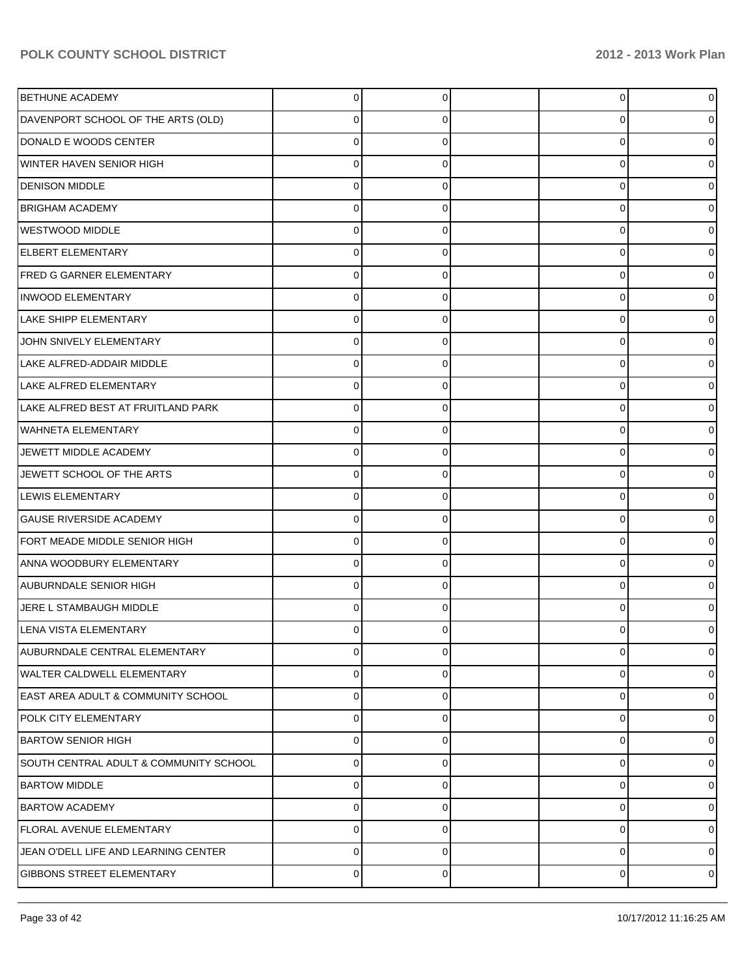| BETHUNE ACADEMY                        | $\overline{0}$ | $\Omega$ | 0 | 0              |
|----------------------------------------|----------------|----------|---|----------------|
| DAVENPORT SCHOOL OF THE ARTS (OLD)     | 0              | O        | 0 |                |
| DONALD E WOODS CENTER                  | 0              | ∩        | 0 |                |
| WINTER HAVEN SENIOR HIGH               | 0              | $\Omega$ | 0 |                |
| <b>DENISON MIDDLE</b>                  | 0              | ∩        | 0 |                |
| <b>BRIGHAM ACADEMY</b>                 | 0              | $\Omega$ | 0 |                |
| WESTWOOD MIDDLE                        | 0              | n        | 0 |                |
| ELBERT ELEMENTARY                      | $\Omega$       | $\Omega$ | 0 |                |
| FRED G GARNER ELEMENTARY               | 0              | ∩        | 0 |                |
| <b>INWOOD ELEMENTARY</b>               | 0              | $\Omega$ | 0 |                |
| LAKE SHIPP ELEMENTARY                  | 0              | n        | 0 |                |
| JOHN SNIVELY ELEMENTARY                | $\Omega$       | $\Omega$ | 0 |                |
| LAKE ALFRED-ADDAIR MIDDLE              | 0              | n        | 0 |                |
| LAKE ALFRED ELEMENTARY                 | $\Omega$       | $\Omega$ | 0 |                |
| LAKE ALFRED BEST AT FRUITLAND PARK     | 0              | ∩        | 0 |                |
| WAHNETA ELEMENTARY                     | 0              | $\Omega$ | 0 |                |
| JEWETT MIDDLE ACADEMY                  | 0              | n        | 0 |                |
| JEWETT SCHOOL OF THE ARTS              | 0              | $\Omega$ | 0 |                |
| <b>LEWIS ELEMENTARY</b>                | 0              | n        | 0 |                |
| <b>GAUSE RIVERSIDE ACADEMY</b>         | $\Omega$       | $\Omega$ | 0 |                |
| FORT MEADE MIDDLE SENIOR HIGH          | 0              | n        | 0 |                |
| ANNA WOODBURY ELEMENTARY               | 0              | $\Omega$ | 0 |                |
| AUBURNDALE SENIOR HIGH                 | 0              | n        | 0 |                |
| JERE L STAMBAUGH MIDDLE                | 0              | ∩        | 0 |                |
| LENA VISTA ELEMENTARY                  |                |          |   |                |
| AUBURNDALE CENTRAL ELEMENTARY          | 0              | $\Omega$ | 0 | 0              |
| <b>WALTER CALDWELL ELEMENTARY</b>      | 0              | $\Omega$ | 0 | 0              |
| EAST AREA ADULT & COMMUNITY SCHOOL     | $\Omega$       | $\Omega$ | 0 | 0              |
| POLK CITY ELEMENTARY                   | 0              | $\Omega$ | 0 | 0              |
| <b>BARTOW SENIOR HIGH</b>              | 0              | n        | 0 | 0              |
| SOUTH CENTRAL ADULT & COMMUNITY SCHOOL | 0              | $\Omega$ | 0 | 0              |
| <b>BARTOW MIDDLE</b>                   | 0              | $\Omega$ | 0 | 0              |
| <b>BARTOW ACADEMY</b>                  | 0              | $\Omega$ | 0 | 0              |
| FLORAL AVENUE ELEMENTARY               | 0              | O        | 0 | 0              |
| JEAN O'DELL LIFE AND LEARNING CENTER   | 0              | $\Omega$ | 0 | 0              |
| GIBBONS STREET ELEMENTARY              | $\overline{0}$ | $\Omega$ | 0 | $\overline{0}$ |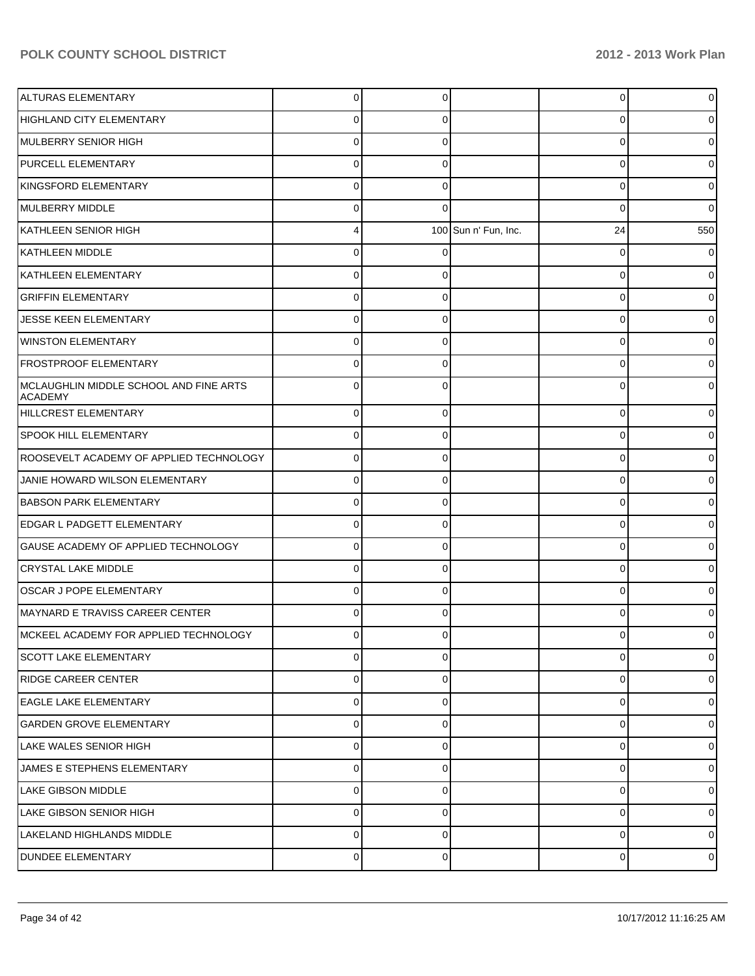| ALTURAS ELEMENTARY                                       | 0        | $\Omega$ |                      | $\Omega$    | $\overline{0}$ |
|----------------------------------------------------------|----------|----------|----------------------|-------------|----------------|
| HIGHLAND CITY ELEMENTARY                                 | 0        |          |                      | U           | 0              |
| MULBERRY SENIOR HIGH                                     | 0        |          |                      | $\Omega$    | 0              |
| PURCELL ELEMENTARY                                       | 0        |          |                      | 0           | 0              |
| KINGSFORD ELEMENTARY                                     | o        |          |                      | $\Omega$    | 0              |
| MULBERRY MIDDLE                                          | 0        |          |                      | $\Omega$    | 0              |
| KATHLEEN SENIOR HIGH                                     |          |          | 100 Sun n' Fun, Inc. | 24          | 550            |
| KATHLEEN MIDDLE                                          | 0        |          |                      | 0           | 01             |
| KATHLEEN ELEMENTARY                                      |          |          |                      | $\Omega$    | 0              |
| <b>GRIFFIN ELEMENTARY</b>                                |          |          |                      | U           | 0              |
| JESSE KEEN ELEMENTARY                                    | o        |          |                      | $\Omega$    | 0              |
| <b>WINSTON ELEMENTARY</b>                                | 0        |          |                      | 0           | 0              |
| <b>FROSTPROOF ELEMENTARY</b>                             |          |          |                      | U           | 0              |
| MCLAUGHLIN MIDDLE SCHOOL AND FINE ARTS<br><b>ACADEMY</b> |          |          |                      | U           |                |
| HILLCREST ELEMENTARY                                     | $\Omega$ | $\Omega$ |                      | 0           | 0              |
| <b>SPOOK HILL ELEMENTARY</b>                             | 0        | 0        |                      | $\Omega$    |                |
| ROOSEVELT ACADEMY OF APPLIED TECHNOLOGY                  | $\Omega$ | $\Omega$ |                      | 0           | 0              |
| JANIE HOWARD WILSON ELEMENTARY                           | 0        | 0        |                      | $\Omega$    | 0              |
| <b>BABSON PARK ELEMENTARY</b>                            | $\Omega$ | $\Omega$ |                      | $\Omega$    |                |
| EDGAR L PADGETT ELEMENTARY                               | 0        |          |                      | $\Omega$    |                |
| GAUSE ACADEMY OF APPLIED TECHNOLOGY                      | $\Omega$ | $\Omega$ |                      | $\Omega$    | 0              |
| <b>CRYSTAL LAKE MIDDLE</b>                               | 0        | $\Omega$ |                      | $\Omega$    | 0              |
| OSCAR J POPE ELEMENTARY                                  | $\Omega$ | $\Omega$ |                      | $\Omega$    |                |
| MAYNARD E TRAVISS CAREER CENTER                          |          |          |                      | ∩           |                |
| MCKEEL ACADEMY FOR APPLIED TECHNOLOGY                    | U        |          |                      |             |                |
| <b>SCOTT LAKE ELEMENTARY</b>                             | 0        | $\Omega$ |                      | $\Omega$    | 0              |
| <b>RIDGE CAREER CENTER</b>                               | $\Omega$ | $\Omega$ |                      | $\Omega$    | 0              |
| <b>EAGLE LAKE ELEMENTARY</b>                             | $\Omega$ | $\Omega$ |                      | $\Omega$    | 0              |
| <b>GARDEN GROVE ELEMENTARY</b>                           | $\Omega$ | $\Omega$ |                      | $\Omega$    | $\Omega$       |
| LAKE WALES SENIOR HIGH                                   | $\Omega$ | $\Omega$ |                      | $\mathbf 0$ | $\overline{0}$ |
| JAMES E STEPHENS ELEMENTARY                              | $\Omega$ | $\Omega$ |                      | $\Omega$    | $\overline{0}$ |
| <b>LAKE GIBSON MIDDLE</b>                                | $\Omega$ | $\Omega$ |                      | $\Omega$    | 0              |
| <b>LAKE GIBSON SENIOR HIGH</b>                           | $\Omega$ | $\Omega$ |                      | $\Omega$    | $\Omega$       |
| LAKELAND HIGHLANDS MIDDLE                                | $\Omega$ | $\Omega$ |                      | $\Omega$    | $\overline{0}$ |
| DUNDEE ELEMENTARY                                        | 0        | $\Omega$ |                      | 0           | $\overline{0}$ |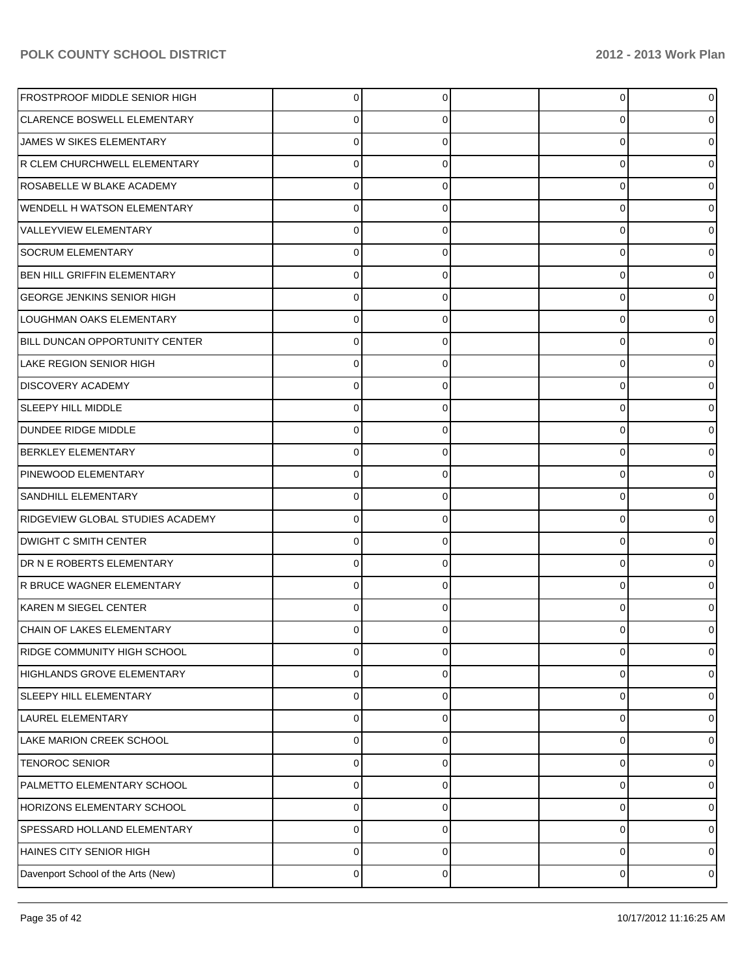| FROSTPROOF MIDDLE SENIOR HIGH      | 0           | $\Omega$ | 0           |   |
|------------------------------------|-------------|----------|-------------|---|
| CLARENCE BOSWELL ELEMENTARY        | 0           | 0        | $\mathbf 0$ |   |
| JAMES W SIKES ELEMENTARY           | 0           | 0        | 0           |   |
| R CLEM CHURCHWELL ELEMENTARY       | 0           | 0        | 0           |   |
| ROSABELLE W BLAKE ACADEMY          | U           | 0        | 0           |   |
| WENDELL H WATSON ELEMENTARY        | 0           | 0        | 0           |   |
| <b>VALLEYVIEW ELEMENTARY</b>       | 0           | 0        | 0           |   |
| <b>SOCRUM ELEMENTARY</b>           | 0           | 0        | 0           |   |
| BEN HILL GRIFFIN ELEMENTARY        |             | U        | 0           |   |
| <b>GEORGE JENKINS SENIOR HIGH</b>  | 0           | 0        | 0           |   |
| LOUGHMAN OAKS ELEMENTARY           | 0           | 0        | 0           |   |
| BILL DUNCAN OPPORTUNITY CENTER     | 0           | 0        | $\mathbf 0$ |   |
| LAKE REGION SENIOR HIGH            |             | U        | 0           |   |
| <b>DISCOVERY ACADEMY</b>           | 0           | 0        | 0           |   |
| SLEEPY HILL MIDDLE                 | ი           | 0        | 0           |   |
| DUNDEE RIDGE MIDDLE                | 0           | 0        | $\mathbf 0$ |   |
| <b>BERKLEY ELEMENTARY</b>          |             | 0        | 0           |   |
| PINEWOOD ELEMENTARY                | 0           | 0        | 0           |   |
| SANDHILL ELEMENTARY                |             | 0        | 0           |   |
| RIDGEVIEW GLOBAL STUDIES ACADEMY   | 0           | 0        | $\mathbf 0$ |   |
| <b>DWIGHT C SMITH CENTER</b>       |             | 0        | 0           |   |
| <b>DR N E ROBERTS ELEMENTARY</b>   | 0           | 0        | 0           |   |
| R BRUCE WAGNER ELEMENTARY          |             | U        | 0           |   |
| KAREN M SIEGEL CENTER              | 0           | 0        | $\Omega$    |   |
| CHAIN OF LAKES ELEMENTARY          |             | U        | 0           |   |
| RIDGE COMMUNITY HIGH SCHOOL        | 0           | $\Omega$ | 0           |   |
| HIGHLANDS GROVE ELEMENTARY         | 0           | $\Omega$ | $\mathbf 0$ |   |
| SLEEPY HILL ELEMENTARY             | $\mathbf 0$ | $\Omega$ | 0           |   |
| LAUREL ELEMENTARY                  | 0           | $\Omega$ | 0           |   |
| LAKE MARION CREEK SCHOOL           | 0           | 0        | 0           |   |
| TENOROC SENIOR                     | 0           | 0        | 0           |   |
| PALMETTO ELEMENTARY SCHOOL         | 0           | 0        | 0           |   |
| HORIZONS ELEMENTARY SCHOOL         | 0           | $\Omega$ | 0           |   |
| SPESSARD HOLLAND ELEMENTARY        | 0           | 0        | $\mathbf 0$ |   |
| HAINES CITY SENIOR HIGH            | 0           | 0        | $\mathbf 0$ |   |
| Davenport School of the Arts (New) | 0           | 0        | 0           | 0 |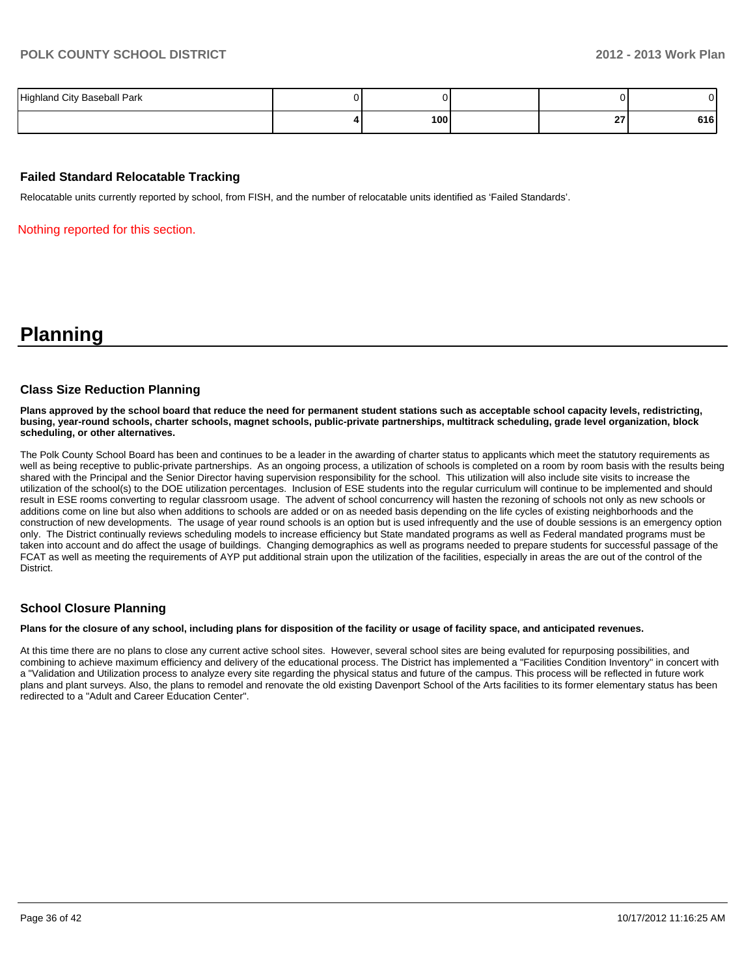| Highland City Baseball Park |     |           |                           |
|-----------------------------|-----|-----------|---------------------------|
|                             | 100 | ^7<br>- - | C <sub>1</sub> C<br>ס ו ס |

#### **Failed Standard Relocatable Tracking**

Relocatable units currently reported by school, from FISH, and the number of relocatable units identified as 'Failed Standards'.

Nothing reported for this section.

# **Planning**

#### **Class Size Reduction Planning**

**Plans approved by the school board that reduce the need for permanent student stations such as acceptable school capacity levels, redistricting, busing, year-round schools, charter schools, magnet schools, public-private partnerships, multitrack scheduling, grade level organization, block scheduling, or other alternatives.**

The Polk County School Board has been and continues to be a leader in the awarding of charter status to applicants which meet the statutory requirements as well as being receptive to public-private partnerships. As an ongoing process, a utilization of schools is completed on a room by room basis with the results being shared with the Principal and the Senior Director having supervision responsibility for the school. This utilization will also include site visits to increase the utilization of the school(s) to the DOE utilization percentages. Inclusion of ESE students into the regular curriculum will continue to be implemented and should result in ESE rooms converting to regular classroom usage. The advent of school concurrency will hasten the rezoning of schools not only as new schools or additions come on line but also when additions to schools are added or on as needed basis depending on the life cycles of existing neighborhoods and the construction of new developments. The usage of year round schools is an option but is used infrequently and the use of double sessions is an emergency option only. The District continually reviews scheduling models to increase efficiency but State mandated programs as well as Federal mandated programs must be taken into account and do affect the usage of buildings. Changing demographics as well as programs needed to prepare students for successful passage of the FCAT as well as meeting the requirements of AYP put additional strain upon the utilization of the facilities, especially in areas the are out of the control of the **District.** 

#### **School Closure Planning**

#### **Plans for the closure of any school, including plans for disposition of the facility or usage of facility space, and anticipated revenues.**

At this time there are no plans to close any current active school sites. However, several school sites are being evaluted for repurposing possibilities, and combining to achieve maximum efficiency and delivery of the educational process. The District has implemented a "Facilities Condition Inventory" in concert with a "Validation and Utilization process to analyze every site regarding the physical status and future of the campus. This process will be reflected in future work plans and plant surveys. Also, the plans to remodel and renovate the old existing Davenport School of the Arts facilities to its former elementary status has been redirected to a "Adult and Career Education Center".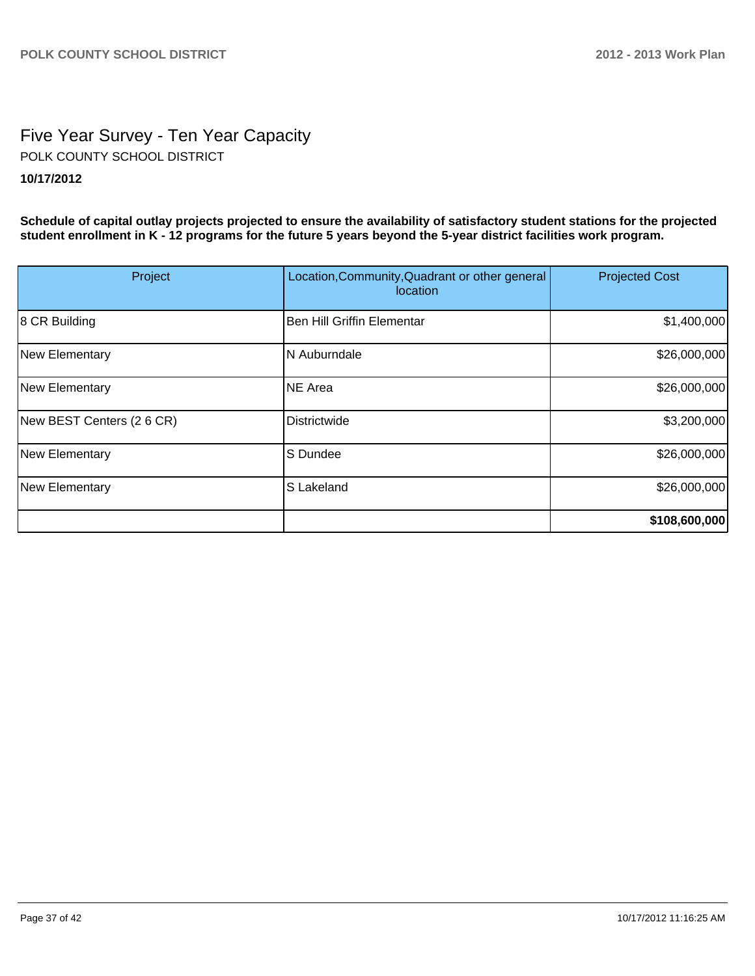# Five Year Survey - Ten Year Capacity **10/17/2012** POLK COUNTY SCHOOL DISTRICT

**Schedule of capital outlay projects projected to ensure the availability of satisfactory student stations for the projected student enrollment in K - 12 programs for the future 5 years beyond the 5-year district facilities work program.**

| Project                   | Location, Community, Quadrant or other general<br>location | <b>Projected Cost</b> |
|---------------------------|------------------------------------------------------------|-----------------------|
| 8 CR Building             | <b>Ben Hill Griffin Elementar</b>                          | \$1,400,000           |
| New Elementary            | N Auburndale                                               | \$26,000,000          |
| New Elementary            | NE Area                                                    | \$26,000,000          |
| New BEST Centers (2 6 CR) | Districtwide                                               | \$3,200,000           |
| New Elementary            | S Dundee                                                   | \$26,000,000          |
| New Elementary            | S Lakeland                                                 | \$26,000,000          |
|                           |                                                            | \$108,600,000         |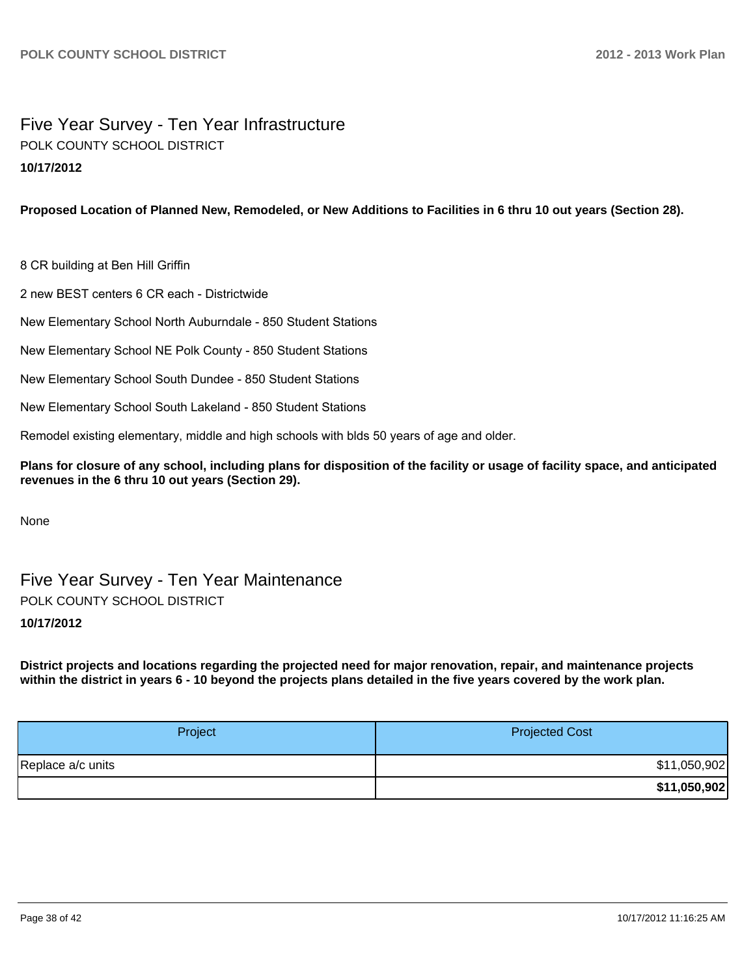## Five Year Survey - Ten Year Infrastructure **10/17/2012** POLK COUNTY SCHOOL DISTRICT

**Proposed Location of Planned New, Remodeled, or New Additions to Facilities in 6 thru 10 out years (Section 28).**

8 CR building at Ben Hill Griffin

2 new BEST centers 6 CR each - Districtwide

New Elementary School North Auburndale - 850 Student Stations

New Elementary School NE Polk County - 850 Student Stations

New Elementary School South Dundee - 850 Student Stations

New Elementary School South Lakeland - 850 Student Stations

Remodel existing elementary, middle and high schools with blds 50 years of age and older.

**Plans for closure of any school, including plans for disposition of the facility or usage of facility space, and anticipated revenues in the 6 thru 10 out years (Section 29).**

None

Five Year Survey - Ten Year Maintenance POLK COUNTY SCHOOL DISTRICT

#### **10/17/2012**

**District projects and locations regarding the projected need for major renovation, repair, and maintenance projects within the district in years 6 - 10 beyond the projects plans detailed in the five years covered by the work plan.**

| Project           | <b>Projected Cost</b> |
|-------------------|-----------------------|
| Replace a/c units | \$11,050,902          |
|                   | \$11,050,902          |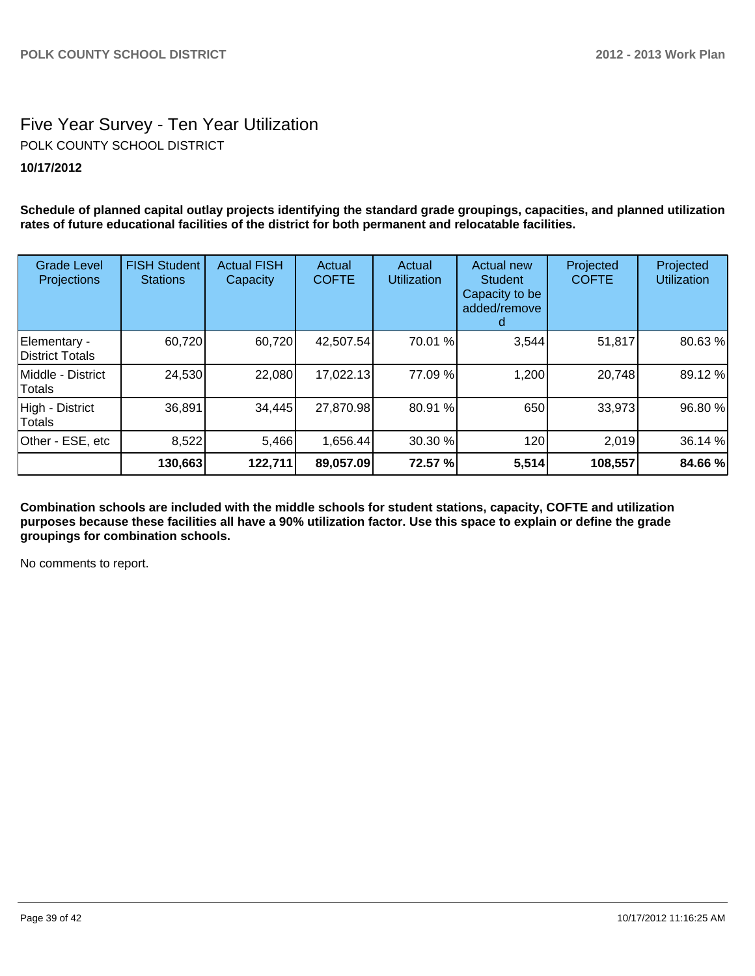# Five Year Survey - Ten Year Utilization **10/17/2012** POLK COUNTY SCHOOL DISTRICT

**Schedule of planned capital outlay projects identifying the standard grade groupings, capacities, and planned utilization rates of future educational facilities of the district for both permanent and relocatable facilities.**

| <b>Grade Level</b><br>Projections      | <b>FISH Student</b><br><b>Stations</b> | <b>Actual FISH</b><br>Capacity | Actual<br><b>COFTE</b> | Actual<br><b>Utilization</b> | Actual new<br><b>Student</b><br>Capacity to be<br>added/remove | Projected<br><b>COFTE</b> | Projected<br><b>Utilization</b> |
|----------------------------------------|----------------------------------------|--------------------------------|------------------------|------------------------------|----------------------------------------------------------------|---------------------------|---------------------------------|
| Elementary -<br><b>District Totals</b> | 60,720                                 | 60,720                         | 42,507.54              | 70.01 %                      | 3,544                                                          | 51,817                    | 80.63%                          |
| Middle - District<br>Totals            | 24,530                                 | 22,080                         | 17,022.13              | 77.09 %                      | 1,200                                                          | 20,748                    | 89.12 %                         |
| High - District<br>Totals              | 36,891                                 | 34,445                         | 27,870.98              | 80.91 %                      | 650                                                            | 33,973                    | 96.80 %                         |
| Other - ESE, etc                       | 8,522                                  | 5,466                          | 1,656.44               | 30.30%                       | 120                                                            | 2,019                     | 36.14 %                         |
|                                        | 130,663                                | 122,711                        | 89,057.09              | 72.57 %                      | 5,514                                                          | 108,557                   | 84.66 %                         |

**Combination schools are included with the middle schools for student stations, capacity, COFTE and utilization purposes because these facilities all have a 90% utilization factor. Use this space to explain or define the grade groupings for combination schools.**

No comments to report.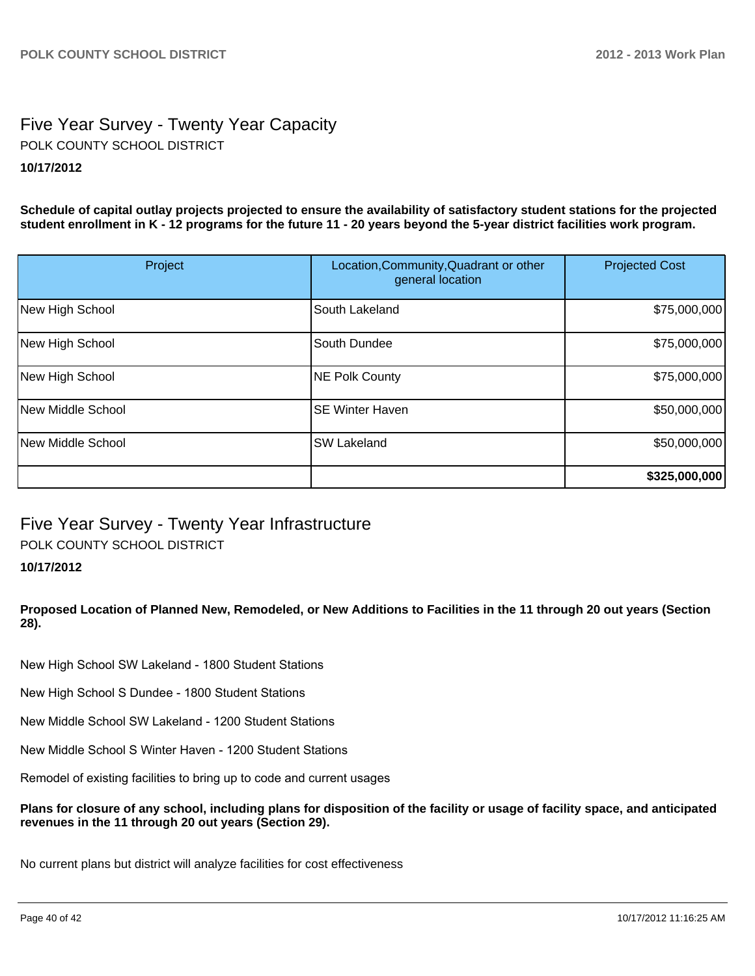## Five Year Survey - Twenty Year Capacity **10/17/2012** POLK COUNTY SCHOOL DISTRICT

**Schedule of capital outlay projects projected to ensure the availability of satisfactory student stations for the projected student enrollment in K - 12 programs for the future 11 - 20 years beyond the 5-year district facilities work program.**

| Project           | Location, Community, Quadrant or other<br>general location | <b>Projected Cost</b> |
|-------------------|------------------------------------------------------------|-----------------------|
| New High School   | South Lakeland                                             | \$75,000,000          |
| New High School   | South Dundee                                               | \$75,000,000          |
| New High School   | NE Polk County                                             | \$75,000,000          |
| New Middle School | <b>SE Winter Haven</b>                                     | \$50,000,000          |
| New Middle School | <b>SW Lakeland</b>                                         | \$50,000,000          |
|                   |                                                            | \$325,000,000         |

# Five Year Survey - Twenty Year Infrastructure POLK COUNTY SCHOOL DISTRICT

#### **10/17/2012**

#### **Proposed Location of Planned New, Remodeled, or New Additions to Facilities in the 11 through 20 out years (Section 28).**

New High School SW Lakeland - 1800 Student Stations

New High School S Dundee - 1800 Student Stations

New Middle School SW Lakeland - 1200 Student Stations

New Middle School S Winter Haven - 1200 Student Stations

Remodel of existing facilities to bring up to code and current usages

**Plans for closure of any school, including plans for disposition of the facility or usage of facility space, and anticipated revenues in the 11 through 20 out years (Section 29).**

No current plans but district will analyze facilities for cost effectiveness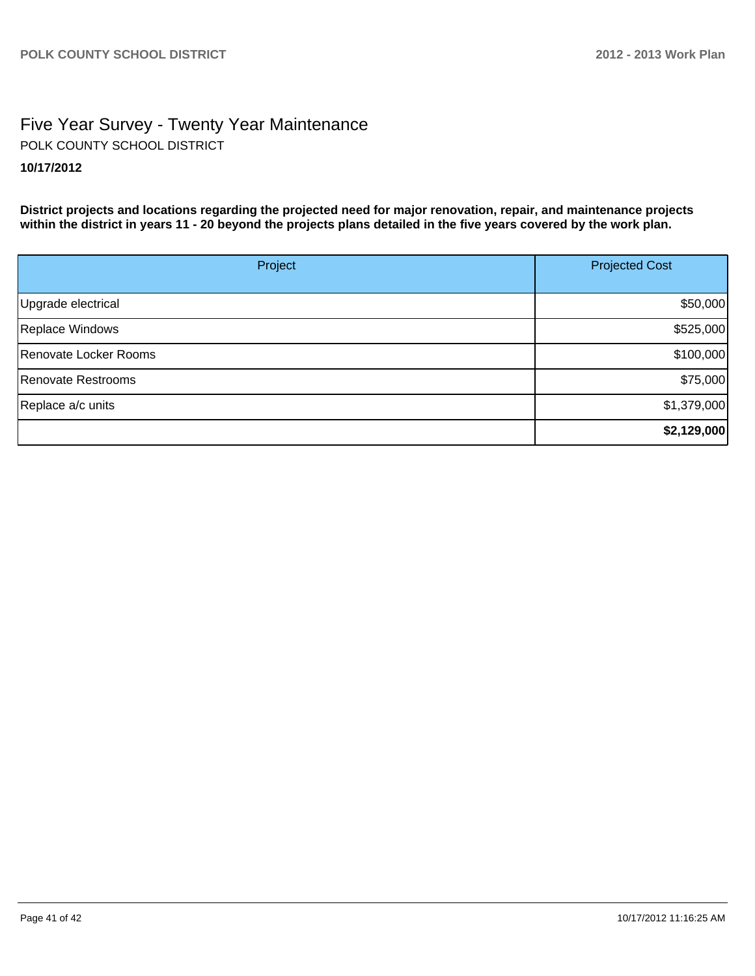# Five Year Survey - Twenty Year Maintenance **10/17/2012** POLK COUNTY SCHOOL DISTRICT

**District projects and locations regarding the projected need for major renovation, repair, and maintenance projects within the district in years 11 - 20 beyond the projects plans detailed in the five years covered by the work plan.**

| Project               | <b>Projected Cost</b> |
|-----------------------|-----------------------|
|                       |                       |
| Upgrade electrical    | \$50,000              |
| Replace Windows       | \$525,000             |
| Renovate Locker Rooms | \$100,000             |
| Renovate Restrooms    | \$75,000              |
| Replace a/c units     | \$1,379,000           |
|                       | \$2,129,000           |